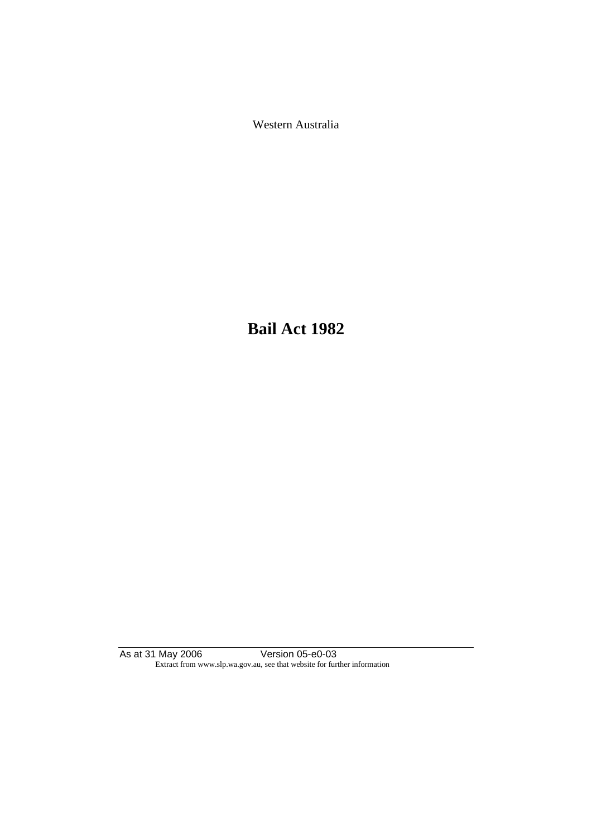Western Australia

**Bail Act 1982**

As at 31 May 2006 Version 05-e0-03 Extract from www.slp.wa.gov.au, see that website for further information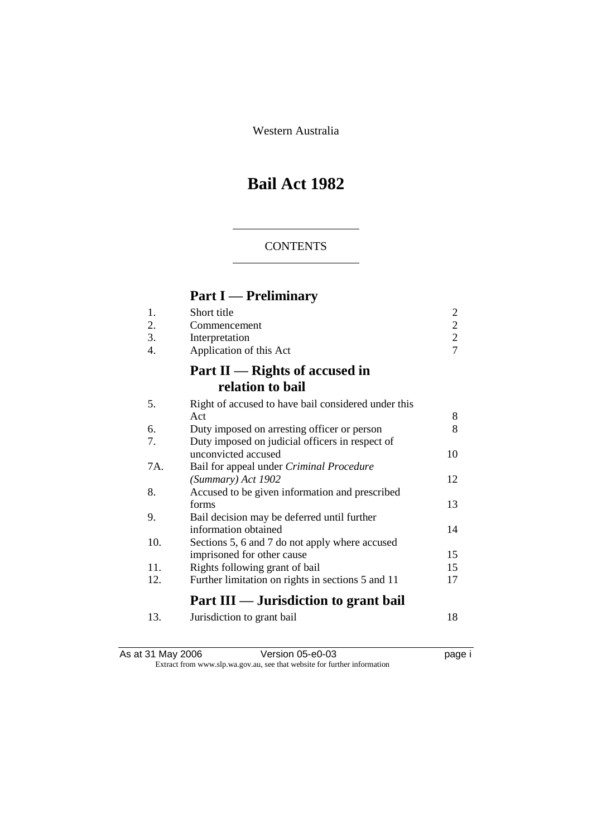Western Australia

# **Bail Act 1982**

# **CONTENTS**

# **Part I — Preliminary**

| 1.  | Short title                                         | 2              |
|-----|-----------------------------------------------------|----------------|
| 2.  | Commencement                                        | $\overline{c}$ |
| 3.  | Interpretation                                      | $\overline{c}$ |
| 4.  | Application of this Act                             | $\overline{7}$ |
|     | Part $II$ — Rights of accused in                    |                |
|     | relation to bail                                    |                |
| 5.  | Right of accused to have bail considered under this |                |
|     | Act                                                 | 8              |
| 6.  | Duty imposed on arresting officer or person         | 8              |
| 7.  | Duty imposed on judicial officers in respect of     |                |
|     | unconvicted accused                                 | 10             |
| 7A. | Bail for appeal under Criminal Procedure            |                |
|     | (Summary) Act 1902                                  | 12             |
| 8.  | Accused to be given information and prescribed      |                |
|     | forms                                               | 13             |
| 9.  | Bail decision may be deferred until further         |                |
|     | information obtained                                | 14             |
| 10. | Sections 5, 6 and 7 do not apply where accused      |                |
|     | imprisoned for other cause                          | 15             |
| 11. | Rights following grant of bail                      | 15             |
| 12. | Further limitation on rights in sections 5 and 11   | 17             |
|     | Part III — Jurisdiction to grant bail               |                |
| 13. | Jurisdiction to grant bail                          | 18             |

As at 31 May 2006 **Version 05-e0-03 Page i page i** Extract from www.slp.wa.gov.au, see that website for further information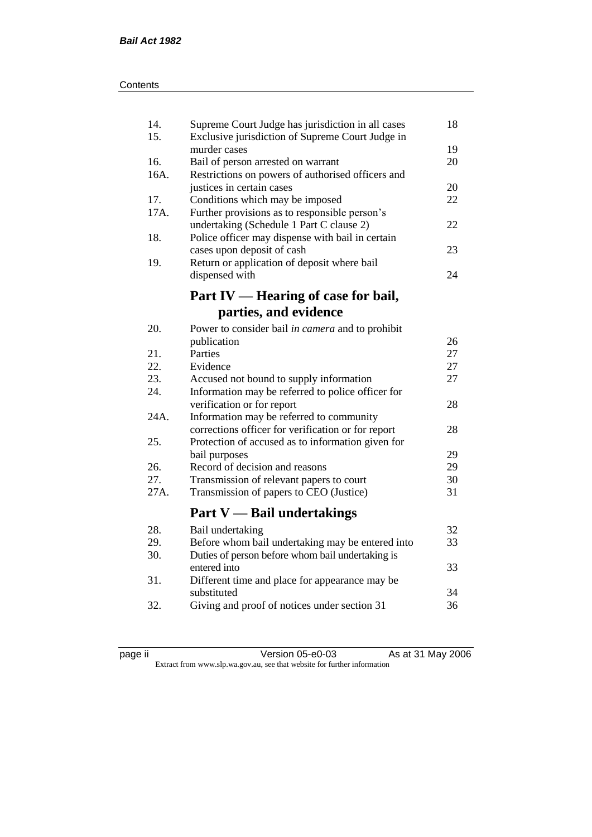| 14.<br>15. | Supreme Court Judge has jurisdiction in all cases<br>Exclusive jurisdiction of Supreme Court Judge in | 18 |
|------------|-------------------------------------------------------------------------------------------------------|----|
|            | murder cases                                                                                          | 19 |
| 16.        | Bail of person arrested on warrant                                                                    | 20 |
| 16A.       | Restrictions on powers of authorised officers and                                                     |    |
|            | justices in certain cases                                                                             | 20 |
| 17.        | Conditions which may be imposed                                                                       | 22 |
| 17A.       | Further provisions as to responsible person's                                                         |    |
|            | undertaking (Schedule 1 Part C clause 2)                                                              | 22 |
| 18.        | Police officer may dispense with bail in certain                                                      |    |
|            | cases upon deposit of cash                                                                            | 23 |
| 19.        | Return or application of deposit where bail                                                           |    |
|            | dispensed with                                                                                        | 24 |
|            | Part IV — Hearing of case for bail,                                                                   |    |
|            |                                                                                                       |    |
|            | parties, and evidence                                                                                 |    |
| 20.        | Power to consider bail in camera and to prohibit                                                      |    |
|            | publication                                                                                           | 26 |
| 21.        | Parties                                                                                               | 27 |
| 22.        | Evidence                                                                                              | 27 |
| 23.        | Accused not bound to supply information                                                               | 27 |
| 24.        | Information may be referred to police officer for                                                     |    |
|            | verification or for report                                                                            | 28 |
| 24A.       | Information may be referred to community                                                              |    |
|            | corrections officer for verification or for report                                                    | 28 |
| 25.        | Protection of accused as to information given for                                                     |    |
|            | bail purposes                                                                                         | 29 |
| 26.        | Record of decision and reasons                                                                        | 29 |
| 27.        | Transmission of relevant papers to court                                                              | 30 |
| 27A.       | Transmission of papers to CEO (Justice)                                                               | 31 |
|            |                                                                                                       |    |
|            | <b>Part V</b> — Bail undertakings                                                                     |    |
| 28.        | Bail undertaking                                                                                      | 32 |
| 29.        | Before whom bail undertaking may be entered into                                                      | 33 |
| 30.        | Duties of person before whom bail undertaking is                                                      |    |
|            | entered into                                                                                          | 33 |
| 31.        | Different time and place for appearance may be                                                        |    |
|            | substituted                                                                                           | 34 |
| 32.        | Giving and proof of notices under section 31                                                          | 36 |
|            |                                                                                                       |    |

page ii Version 05-e0-03 As at 31 May 2006 Extract from www.slp.wa.gov.au, see that website for further information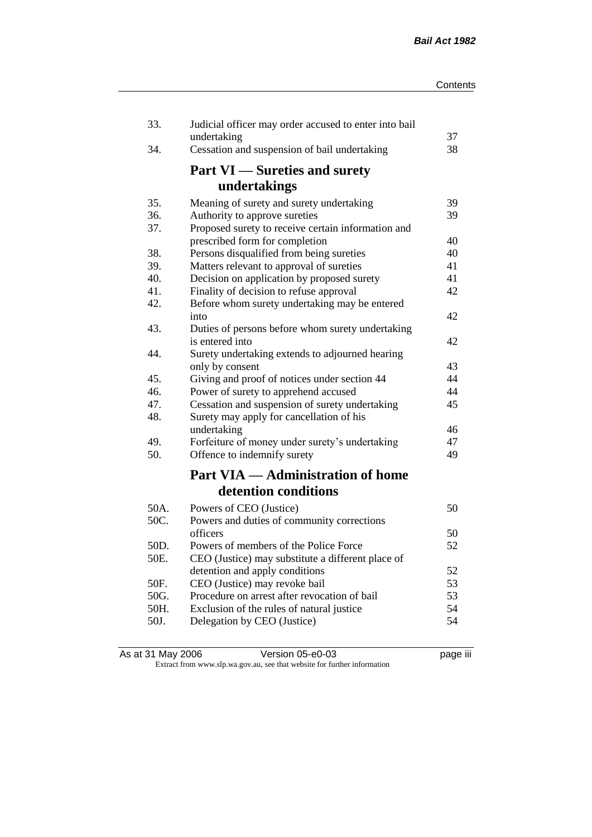| 33.  | Judicial officer may order accused to enter into bail<br>undertaking | 37 |
|------|----------------------------------------------------------------------|----|
| 34.  | Cessation and suspension of bail undertaking                         | 38 |
|      | <b>Part VI</b> — Sureties and surety                                 |    |
|      | undertakings                                                         |    |
| 35.  | Meaning of surety and surety undertaking                             | 39 |
| 36.  | Authority to approve sureties                                        | 39 |
| 37.  | Proposed surety to receive certain information and                   |    |
|      | prescribed form for completion                                       | 40 |
| 38.  | Persons disqualified from being sureties                             | 40 |
| 39.  | Matters relevant to approval of sureties                             | 41 |
| 40.  | Decision on application by proposed surety                           | 41 |
| 41.  | Finality of decision to refuse approval                              | 42 |
| 42.  | Before whom surety undertaking may be entered                        |    |
|      | into                                                                 | 42 |
| 43.  | Duties of persons before whom surety undertaking<br>is entered into  | 42 |
| 44.  |                                                                      |    |
|      | Surety undertaking extends to adjourned hearing<br>only by consent   | 43 |
| 45.  | Giving and proof of notices under section 44                         | 44 |
| 46.  | Power of surety to apprehend accused                                 | 44 |
| 47.  | Cessation and suspension of surety undertaking                       | 45 |
| 48.  | Surety may apply for cancellation of his                             |    |
|      | undertaking                                                          | 46 |
| 49.  | Forfeiture of money under surety's undertaking                       | 47 |
| 50.  | Offence to indemnify surety                                          | 49 |
|      | <b>Part VIA — Administration of home</b>                             |    |
|      | detention conditions                                                 |    |
| 50A. | Powers of CEO (Justice)                                              | 50 |
| 50C. | Powers and duties of community corrections                           |    |
|      | officers                                                             | 50 |
| 50D. | Powers of members of the Police Force                                | 52 |
| 50E. | CEO (Justice) may substitute a different place of                    |    |
|      | detention and apply conditions                                       | 52 |
| 50F. | CEO (Justice) may revoke bail                                        | 53 |
| 50G. | Procedure on arrest after revocation of bail                         | 53 |
| 50H. | Exclusion of the rules of natural justice                            | 54 |
| 50J. | Delegation by CEO (Justice)                                          | 54 |
|      |                                                                      |    |

| As at 31 May 2006 | Version 05-e0-03                                                         | <br>page III |
|-------------------|--------------------------------------------------------------------------|--------------|
|                   | Extract from www.slp.wa.gov.au, see that website for further information |              |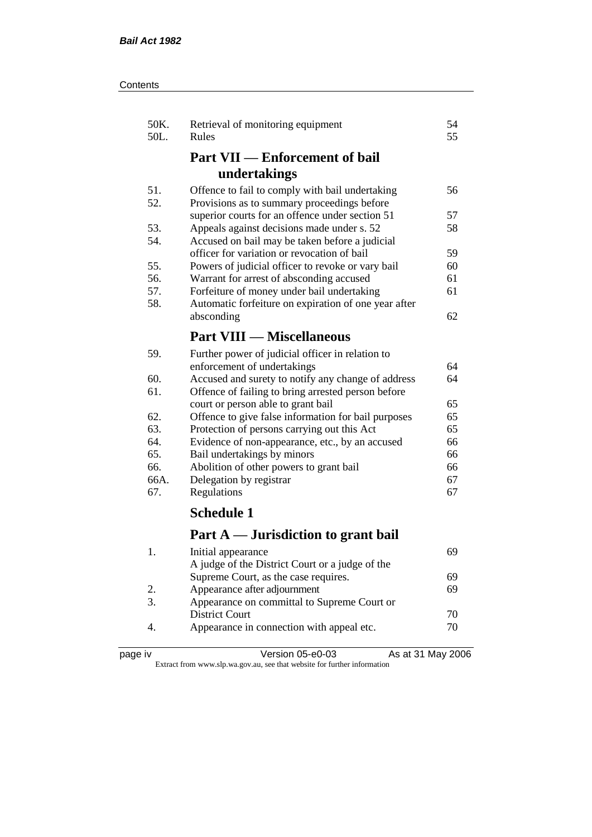| Contents |
|----------|
|----------|

| 50K.<br>50L. | Retrieval of monitoring equipment<br>Rules                           | 54<br>55 |
|--------------|----------------------------------------------------------------------|----------|
|              | <b>Part VII — Enforcement of bail</b>                                |          |
|              | undertakings                                                         |          |
| 51.          | Offence to fail to comply with bail undertaking                      | 56       |
| 52.          | Provisions as to summary proceedings before                          |          |
|              | superior courts for an offence under section 51                      | 57       |
| 53.          | Appeals against decisions made under s. 52                           | 58       |
| 54.          | Accused on bail may be taken before a judicial                       |          |
|              | officer for variation or revocation of bail                          | 59       |
| 55.          | Powers of judicial officer to revoke or vary bail                    | 60       |
| 56.          | Warrant for arrest of absconding accused                             | 61       |
| 57.          | Forfeiture of money under bail undertaking                           | 61       |
| 58.          | Automatic forfeiture on expiration of one year after                 |          |
|              | absconding                                                           | 62       |
|              | <b>Part VIII — Miscellaneous</b>                                     |          |
| 59.          | Further power of judicial officer in relation to                     |          |
|              | enforcement of undertakings                                          | 64       |
| 60.          | Accused and surety to notify any change of address                   | 64       |
| 61.          | Offence of failing to bring arrested person before                   |          |
|              | court or person able to grant bail                                   | 65       |
| 62.          | Offence to give false information for bail purposes                  | 65       |
| 63.          | Protection of persons carrying out this Act                          | 65       |
| 64.          | Evidence of non-appearance, etc., by an accused                      | 66       |
| 65.          | Bail undertakings by minors                                          | 66       |
| 66.          | Abolition of other powers to grant bail                              | 66       |
| 66A.         | Delegation by registrar                                              | 67       |
| 67.          | Regulations                                                          | 67       |
|              | <b>Schedule 1</b>                                                    |          |
|              | Part A — Jurisdiction to grant bail                                  |          |
|              |                                                                      |          |
| 1.           | Initial appearance                                                   | 69       |
|              | A judge of the District Court or a judge of the                      |          |
| 2.           | Supreme Court, as the case requires.<br>Appearance after adjournment | 69<br>69 |
| 3.           | Appearance on committal to Supreme Court or                          |          |
|              | <b>District Court</b>                                                | 70       |
|              |                                                                      |          |

4. Appearance in connection with appeal etc.  $70$ 

| ane |  |
|-----|--|
|     |  |

page iv Version 05-e0-03 As at 31 May 2006 Extract from www.slp.wa.gov.au, see that website for further information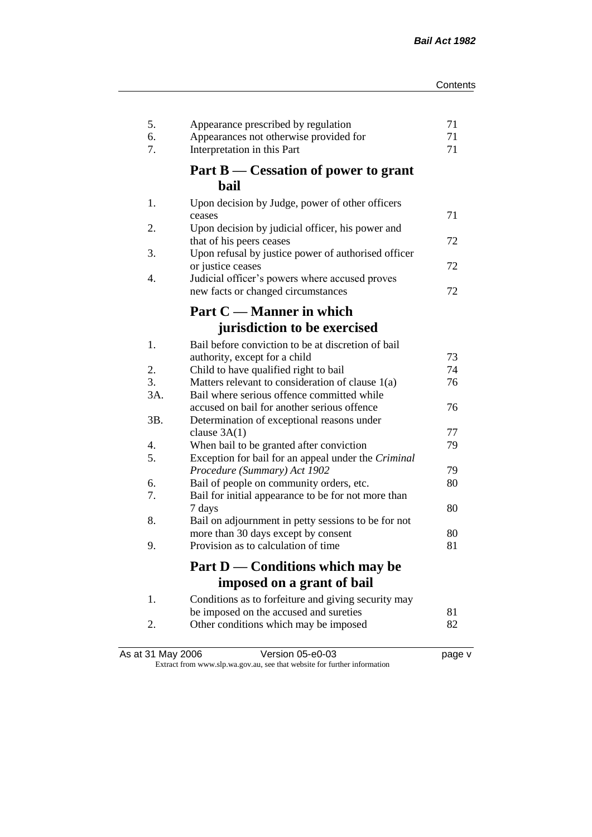| 5.<br>6.<br>7. | Appearance prescribed by regulation<br>Appearances not otherwise provided for<br>Interpretation in this Part | 71<br>71<br>71 |
|----------------|--------------------------------------------------------------------------------------------------------------|----------------|
|                | Part B — Cessation of power to grant<br>bail                                                                 |                |
|                |                                                                                                              |                |
| 1.             | Upon decision by Judge, power of other officers<br>ceases                                                    | 71             |
| 2.             | Upon decision by judicial officer, his power and                                                             |                |
|                | that of his peers ceases                                                                                     | 72             |
| 3.             | Upon refusal by justice power of authorised officer                                                          |                |
|                | or justice ceases                                                                                            | 72             |
| 4.             | Judicial officer's powers where accused proves                                                               |                |
|                | new facts or changed circumstances                                                                           | 72             |
|                | Part C — Manner in which                                                                                     |                |
|                | jurisdiction to be exercised                                                                                 |                |
|                | Bail before conviction to be at discretion of bail                                                           |                |
| 1.             | authority, except for a child                                                                                | 73             |
| 2.             | Child to have qualified right to bail                                                                        | 74             |
| 3.             | Matters relevant to consideration of clause 1(a)                                                             | 76             |
| 3A.            | Bail where serious offence committed while                                                                   |                |
|                | accused on bail for another serious offence                                                                  | 76             |
| 3B.            | Determination of exceptional reasons under                                                                   |                |
|                | clause $3A(1)$                                                                                               | 77             |
| 4.             | When bail to be granted after conviction                                                                     | 79             |
| 5.             | Exception for bail for an appeal under the Criminal                                                          |                |
|                | Procedure (Summary) Act 1902                                                                                 | 79             |
| 6.             | Bail of people on community orders, etc.                                                                     | 80             |
| 7.             | Bail for initial appearance to be for not more than                                                          |                |
| 8.             | 7 days                                                                                                       | 80             |
|                | Bail on adjournment in petty sessions to be for not<br>more than 30 days except by consent                   | 80             |
| 9.             | Provision as to calculation of time                                                                          | 81             |
|                |                                                                                                              |                |
|                | Part D — Conditions which may be                                                                             |                |
|                | imposed on a grant of bail                                                                                   |                |
| 1.             | Conditions as to forfeiture and giving security may                                                          |                |
|                | be imposed on the accused and sureties                                                                       | 81             |
| 2.             | Other conditions which may be imposed                                                                        | 82             |
|                |                                                                                                              |                |

| As at 31 May 2006 | Version 05-e0-03                                                         | page v |
|-------------------|--------------------------------------------------------------------------|--------|
|                   | Extract from www.slp.wa.gov.au, see that website for further information |        |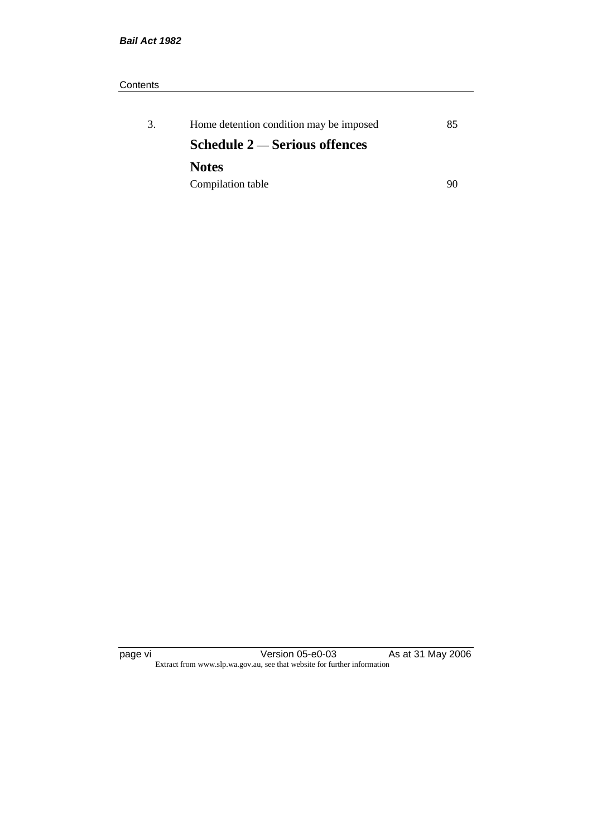# **Contents**

| 3. | Home detention condition may be imposed | 85 |
|----|-----------------------------------------|----|
|    | Schedule $2$ — Serious offences         |    |
|    | <b>Notes</b>                            |    |
|    | Compilation table                       | 90 |

page vi Version 05-e0-03 As at 31 May 2006 Extract from www.slp.wa.gov.au, see that website for further information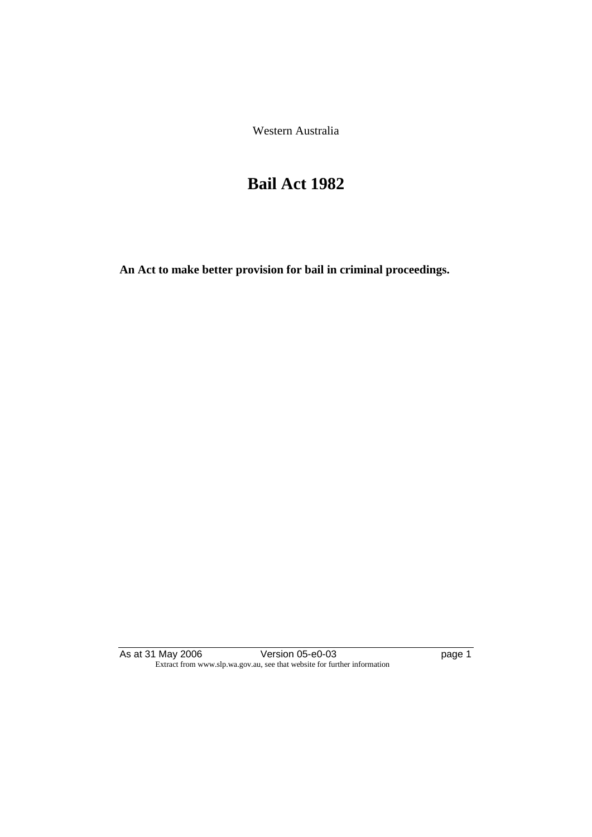Western Australia

# **Bail Act 1982**

**An Act to make better provision for bail in criminal proceedings.** 

As at 31 May 2006 Version 05-e0-03 page 1 Extract from www.slp.wa.gov.au, see that website for further information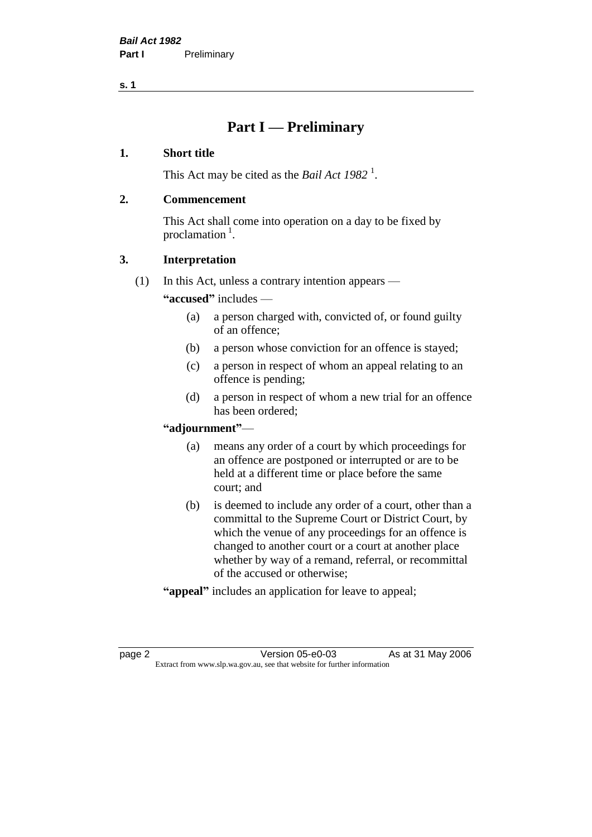# **Part I — Preliminary**

# **1. Short title**

This Act may be cited as the *Bail Act* 1982<sup>1</sup>.

# **2. Commencement**

This Act shall come into operation on a day to be fixed by proclamation  $<sup>1</sup>$ .</sup>

# **3. Interpretation**

(1) In this Act, unless a contrary intention appears —

**"accused"** includes —

- (a) a person charged with, convicted of, or found guilty of an offence;
- (b) a person whose conviction for an offence is stayed;
- (c) a person in respect of whom an appeal relating to an offence is pending;
- (d) a person in respect of whom a new trial for an offence has been ordered;

# **"adjournment"**—

- (a) means any order of a court by which proceedings for an offence are postponed or interrupted or are to be held at a different time or place before the same court; and
- (b) is deemed to include any order of a court, other than a committal to the Supreme Court or District Court, by which the venue of any proceedings for an offence is changed to another court or a court at another place whether by way of a remand, referral, or recommittal of the accused or otherwise;
- **"appeal"** includes an application for leave to appeal;

page 2 Version 05-e0-03 As at 31 May 2006 Extract from www.slp.wa.gov.au, see that website for further information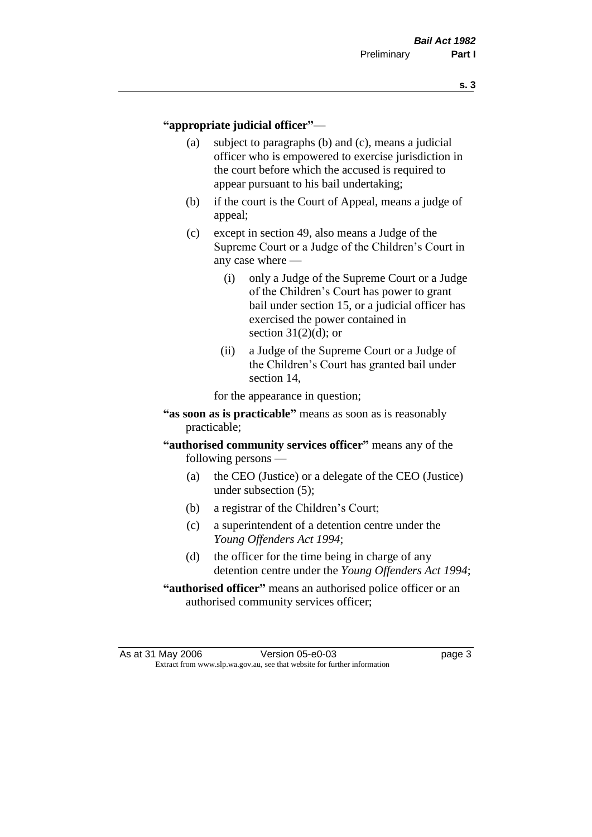### **"appropriate judicial officer"**—

- (a) subject to paragraphs (b) and (c), means a judicial officer who is empowered to exercise jurisdiction in the court before which the accused is required to appear pursuant to his bail undertaking;
- (b) if the court is the Court of Appeal, means a judge of appeal;
- (c) except in section 49, also means a Judge of the Supreme Court or a Judge of the Children's Court in any case where —
	- (i) only a Judge of the Supreme Court or a Judge of the Children's Court has power to grant bail under section 15, or a judicial officer has exercised the power contained in section  $31(2)(d)$ ; or
	- (ii) a Judge of the Supreme Court or a Judge of the Children's Court has granted bail under section 14,

for the appearance in question;

- **"as soon as is practicable"** means as soon as is reasonably practicable;
- **"authorised community services officer"** means any of the following persons —
	- (a) the CEO (Justice) or a delegate of the CEO (Justice) under subsection (5);
	- (b) a registrar of the Children's Court;
	- (c) a superintendent of a detention centre under the *Young Offenders Act 1994*;
	- (d) the officer for the time being in charge of any detention centre under the *Young Offenders Act 1994*;
- **"authorised officer"** means an authorised police officer or an authorised community services officer;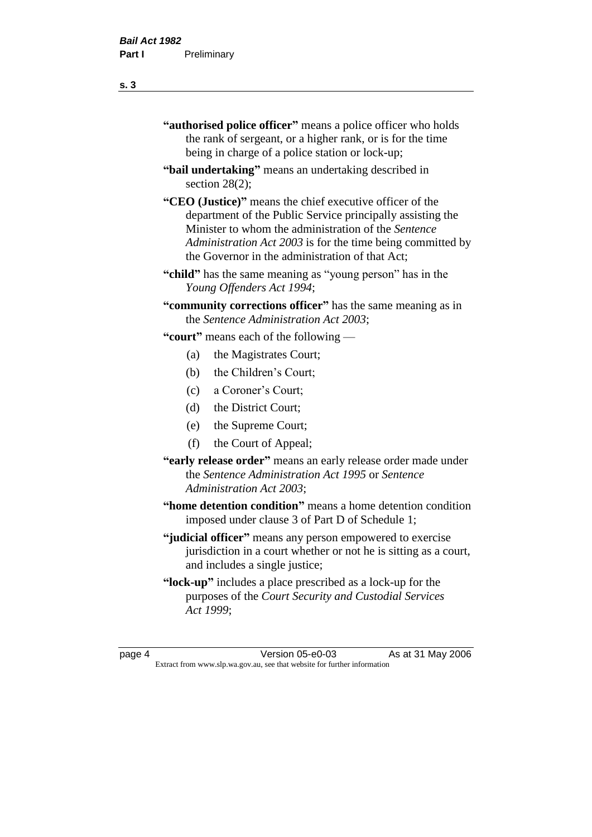| "authorised police officer" means a police officer who holds |
|--------------------------------------------------------------|
| the rank of sergeant, or a higher rank, or is for the time   |
| being in charge of a police station or lock-up;              |

- **"bail undertaking"** means an undertaking described in section 28(2);
- **"CEO (Justice)"** means the chief executive officer of the department of the Public Service principally assisting the Minister to whom the administration of the *Sentence Administration Act 2003* is for the time being committed by the Governor in the administration of that Act;
- **"child"** has the same meaning as "young person" has in the *Young Offenders Act 1994*;
- **"community corrections officer"** has the same meaning as in the *Sentence Administration Act 2003*;

**"court"** means each of the following —

- (a) the Magistrates Court;
- (b) the Children's Court;
- (c) a Coroner's Court;
- (d) the District Court;
- (e) the Supreme Court;
- (f) the Court of Appeal;
- **"early release order"** means an early release order made under the *Sentence Administration Act 1995* or *Sentence Administration Act 2003*;
- **"home detention condition"** means a home detention condition imposed under clause 3 of Part D of Schedule 1;
- **"judicial officer"** means any person empowered to exercise jurisdiction in a court whether or not he is sitting as a court, and includes a single justice;
- **"lock-up"** includes a place prescribed as a lock-up for the purposes of the *Court Security and Custodial Services Act 1999*;

page 4 Version 05-e0-03 As at 31 May 2006 Extract from www.slp.wa.gov.au, see that website for further information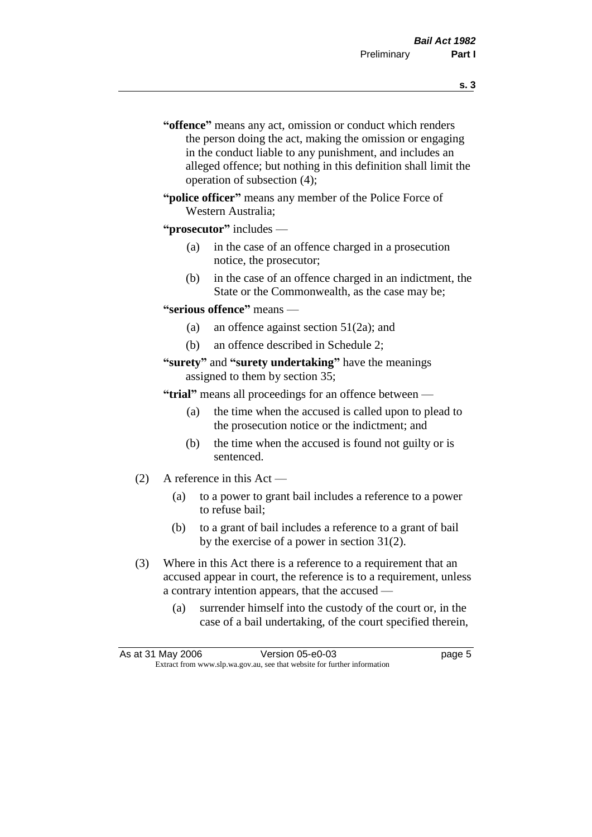- **s. 3**
- **"offence"** means any act, omission or conduct which renders the person doing the act, making the omission or engaging in the conduct liable to any punishment, and includes an alleged offence; but nothing in this definition shall limit the operation of subsection (4);
- **"police officer"** means any member of the Police Force of Western Australia;
- **"prosecutor"** includes
	- (a) in the case of an offence charged in a prosecution notice, the prosecutor;
	- (b) in the case of an offence charged in an indictment, the State or the Commonwealth, as the case may be;
- **"serious offence"** means
	- (a) an offence against section 51(2a); and
	- (b) an offence described in Schedule 2;
- **"surety"** and **"surety undertaking"** have the meanings assigned to them by section 35;

**"trial"** means all proceedings for an offence between —

- (a) the time when the accused is called upon to plead to the prosecution notice or the indictment; and
- (b) the time when the accused is found not guilty or is sentenced.
- (2) A reference in this Act
	- (a) to a power to grant bail includes a reference to a power to refuse bail;
	- (b) to a grant of bail includes a reference to a grant of bail by the exercise of a power in section 31(2).
- (3) Where in this Act there is a reference to a requirement that an accused appear in court, the reference is to a requirement, unless a contrary intention appears, that the accused —
	- (a) surrender himself into the custody of the court or, in the case of a bail undertaking, of the court specified therein,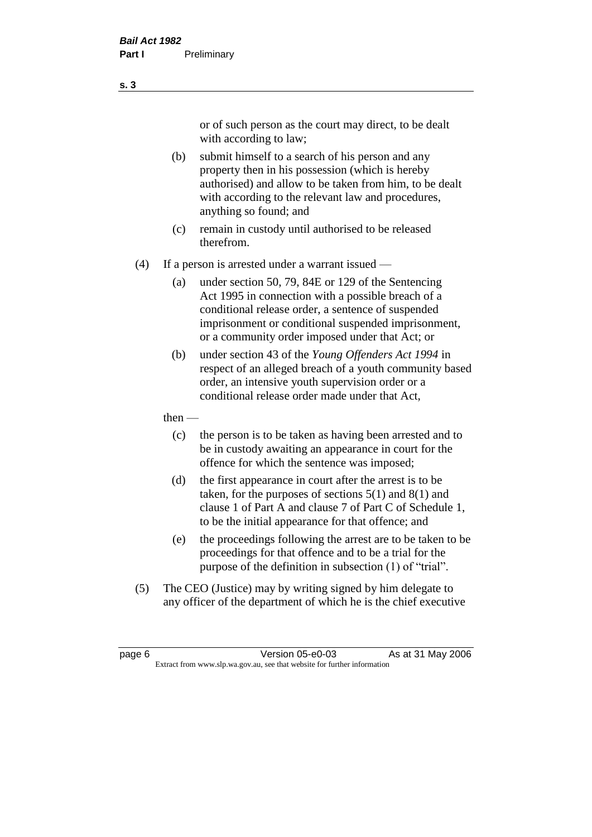or of such person as the court may direct, to be dealt with according to law;

(b) submit himself to a search of his person and any property then in his possession (which is hereby authorised) and allow to be taken from him, to be dealt with according to the relevant law and procedures, anything so found; and

- (c) remain in custody until authorised to be released therefrom.
- (4) If a person is arrested under a warrant issued
	- (a) under section 50, 79, 84E or 129 of the Sentencing Act 1995 in connection with a possible breach of a conditional release order, a sentence of suspended imprisonment or conditional suspended imprisonment, or a community order imposed under that Act; or
	- (b) under section 43 of the *Young Offenders Act 1994* in respect of an alleged breach of a youth community based order, an intensive youth supervision order or a conditional release order made under that Act,
	- then
		- (c) the person is to be taken as having been arrested and to be in custody awaiting an appearance in court for the offence for which the sentence was imposed;
		- (d) the first appearance in court after the arrest is to be taken, for the purposes of sections  $5(1)$  and  $8(1)$  and clause 1 of Part A and clause 7 of Part C of Schedule 1, to be the initial appearance for that offence; and
		- (e) the proceedings following the arrest are to be taken to be proceedings for that offence and to be a trial for the purpose of the definition in subsection (1) of "trial".
- (5) The CEO (Justice) may by writing signed by him delegate to any officer of the department of which he is the chief executive

page 6 **Version 05-e0-03** As at 31 May 2006 Extract from www.slp.wa.gov.au, see that website for further information

**s. 3**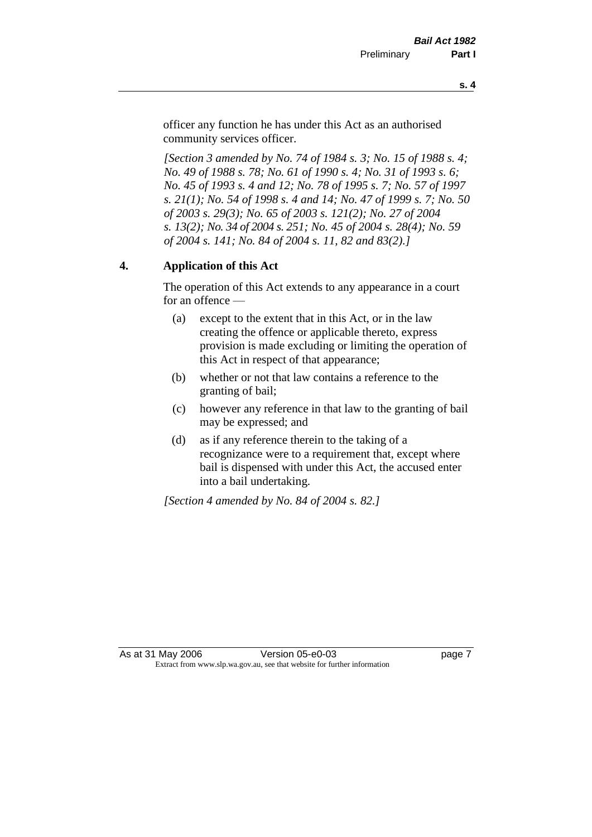officer any function he has under this Act as an authorised community services officer.

*[Section 3 amended by No. 74 of 1984 s. 3; No. 15 of 1988 s. 4; No. 49 of 1988 s. 78; No. 61 of 1990 s. 4; No. 31 of 1993 s. 6; No. 45 of 1993 s. 4 and 12; No. 78 of 1995 s. 7; No. 57 of 1997 s. 21(1); No. 54 of 1998 s. 4 and 14; No. 47 of 1999 s. 7; No. 50 of 2003 s. 29(3); No. 65 of 2003 s. 121(2); No. 27 of 2004 s. 13(2); No. 34 of 2004 s. 251; No. 45 of 2004 s. 28(4); No. 59 of 2004 s. 141; No. 84 of 2004 s. 11, 82 and 83(2).]* 

# **4. Application of this Act**

The operation of this Act extends to any appearance in a court for an offence —

- (a) except to the extent that in this Act, or in the law creating the offence or applicable thereto, express provision is made excluding or limiting the operation of this Act in respect of that appearance;
- (b) whether or not that law contains a reference to the granting of bail;
- (c) however any reference in that law to the granting of bail may be expressed; and
- (d) as if any reference therein to the taking of a recognizance were to a requirement that, except where bail is dispensed with under this Act, the accused enter into a bail undertaking.

*[Section 4 amended by No. 84 of 2004 s. 82.]*

As at 31 May 2006 Version 05-e0-03 page 7 Extract from www.slp.wa.gov.au, see that website for further information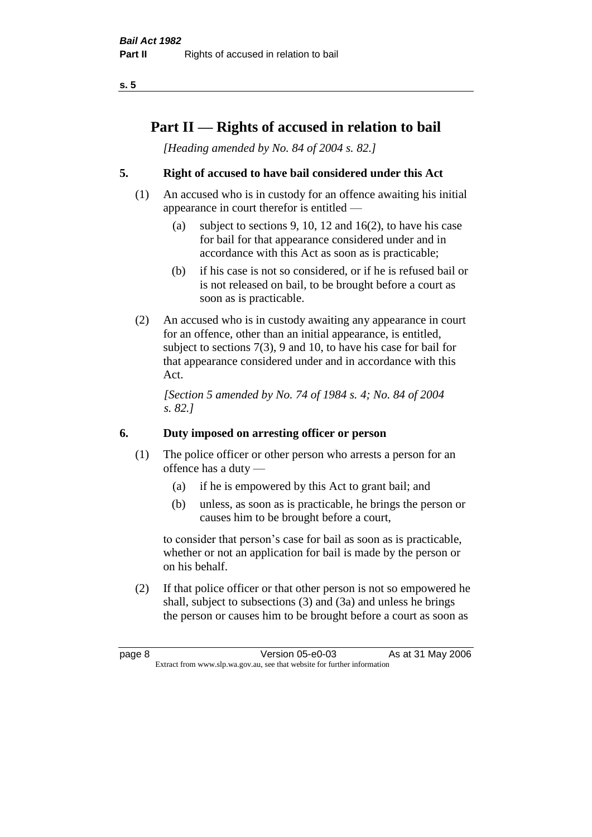# **Part II — Rights of accused in relation to bail**

*[Heading amended by No. 84 of 2004 s. 82.]* 

# **5. Right of accused to have bail considered under this Act**

- (1) An accused who is in custody for an offence awaiting his initial appearance in court therefor is entitled —
	- (a) subject to sections 9, 10, 12 and 16(2), to have his case for bail for that appearance considered under and in accordance with this Act as soon as is practicable;
	- (b) if his case is not so considered, or if he is refused bail or is not released on bail, to be brought before a court as soon as is practicable.
- (2) An accused who is in custody awaiting any appearance in court for an offence, other than an initial appearance, is entitled, subject to sections 7(3), 9 and 10, to have his case for bail for that appearance considered under and in accordance with this Act.

*[Section 5 amended by No. 74 of 1984 s. 4; No. 84 of 2004 s. 82.]* 

# **6. Duty imposed on arresting officer or person**

- (1) The police officer or other person who arrests a person for an offence has a duty —
	- (a) if he is empowered by this Act to grant bail; and
	- (b) unless, as soon as is practicable, he brings the person or causes him to be brought before a court,

to consider that person's case for bail as soon as is practicable, whether or not an application for bail is made by the person or on his behalf.

(2) If that police officer or that other person is not so empowered he shall, subject to subsections (3) and (3a) and unless he brings the person or causes him to be brought before a court as soon as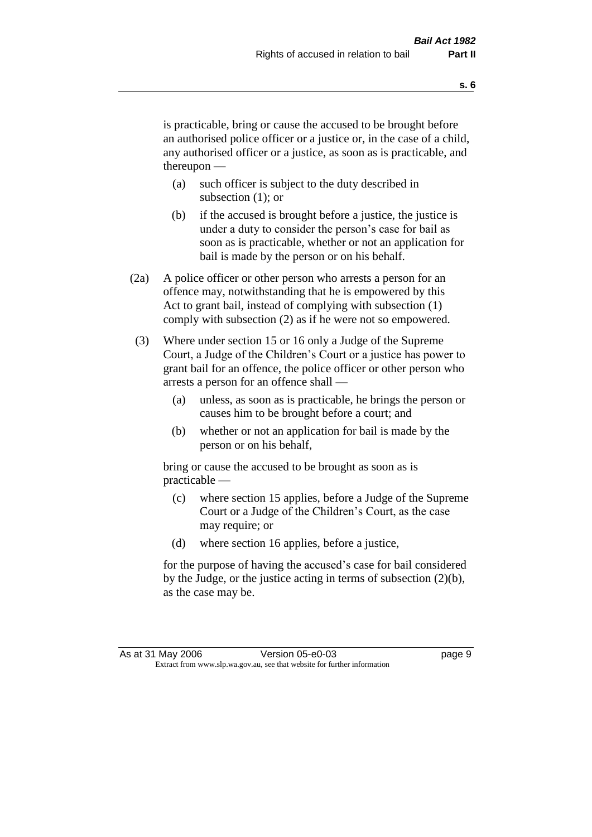is practicable, bring or cause the accused to be brought before an authorised police officer or a justice or, in the case of a child, any authorised officer or a justice, as soon as is practicable, and thereupon —

- (a) such officer is subject to the duty described in subsection (1); or
- (b) if the accused is brought before a justice, the justice is under a duty to consider the person's case for bail as soon as is practicable, whether or not an application for bail is made by the person or on his behalf.
- (2a) A police officer or other person who arrests a person for an offence may, notwithstanding that he is empowered by this Act to grant bail, instead of complying with subsection (1) comply with subsection (2) as if he were not so empowered.
- (3) Where under section 15 or 16 only a Judge of the Supreme Court, a Judge of the Children's Court or a justice has power to grant bail for an offence, the police officer or other person who arrests a person for an offence shall —
	- (a) unless, as soon as is practicable, he brings the person or causes him to be brought before a court; and
	- (b) whether or not an application for bail is made by the person or on his behalf,

bring or cause the accused to be brought as soon as is practicable —

- (c) where section 15 applies, before a Judge of the Supreme Court or a Judge of the Children's Court, as the case may require; or
- (d) where section 16 applies, before a justice,

for the purpose of having the accused's case for bail considered by the Judge, or the justice acting in terms of subsection (2)(b), as the case may be.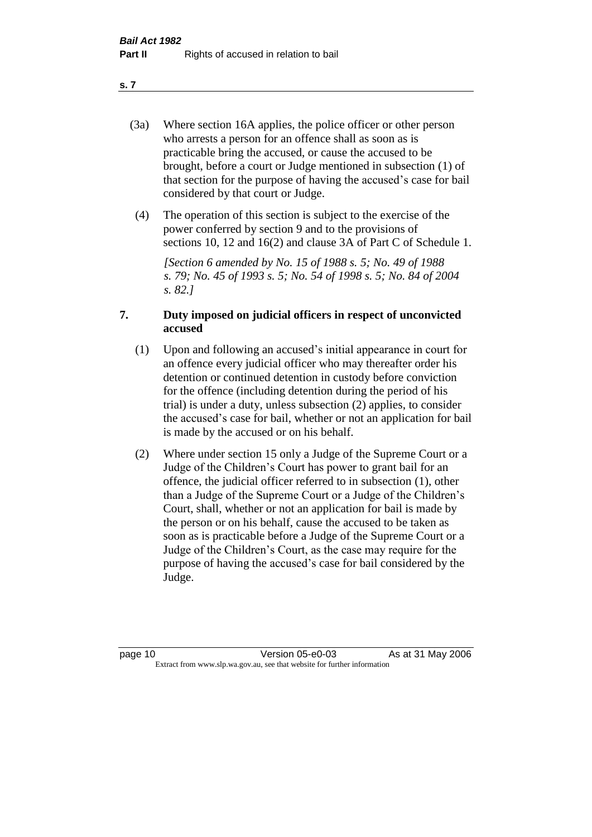- (3a) Where section 16A applies, the police officer or other person who arrests a person for an offence shall as soon as is practicable bring the accused, or cause the accused to be brought, before a court or Judge mentioned in subsection (1) of that section for the purpose of having the accused's case for bail considered by that court or Judge.
- (4) The operation of this section is subject to the exercise of the power conferred by section 9 and to the provisions of sections 10, 12 and 16(2) and clause 3A of Part C of Schedule 1.

*[Section 6 amended by No. 15 of 1988 s. 5; No. 49 of 1988 s. 79; No. 45 of 1993 s. 5; No. 54 of 1998 s. 5; No. 84 of 2004 s. 82.]* 

# **7. Duty imposed on judicial officers in respect of unconvicted accused**

- (1) Upon and following an accused's initial appearance in court for an offence every judicial officer who may thereafter order his detention or continued detention in custody before conviction for the offence (including detention during the period of his trial) is under a duty, unless subsection (2) applies, to consider the accused's case for bail, whether or not an application for bail is made by the accused or on his behalf.
- (2) Where under section 15 only a Judge of the Supreme Court or a Judge of the Children's Court has power to grant bail for an offence, the judicial officer referred to in subsection (1), other than a Judge of the Supreme Court or a Judge of the Children's Court, shall, whether or not an application for bail is made by the person or on his behalf, cause the accused to be taken as soon as is practicable before a Judge of the Supreme Court or a Judge of the Children's Court, as the case may require for the purpose of having the accused's case for bail considered by the Judge.

**s. 7**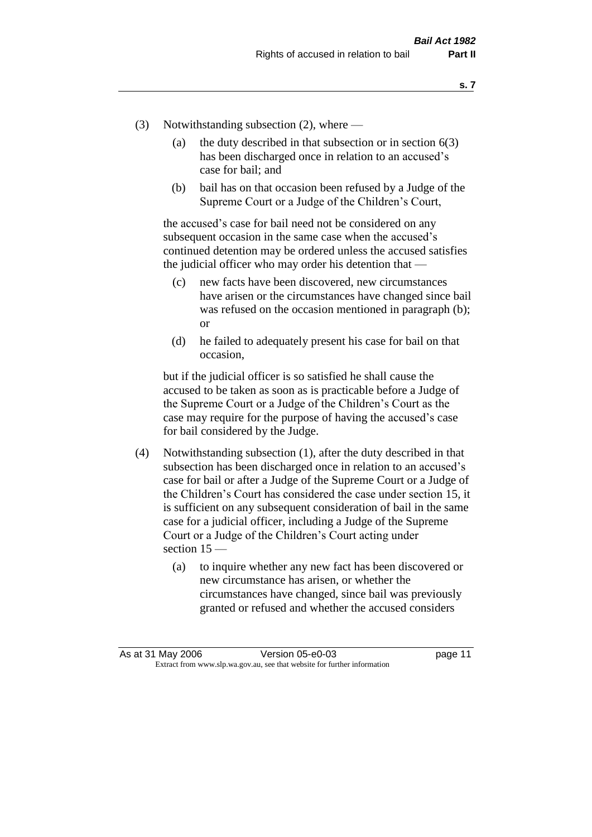- (3) Notwithstanding subsection (2), where
	- (a) the duty described in that subsection or in section  $6(3)$ has been discharged once in relation to an accused's case for bail; and
	- (b) bail has on that occasion been refused by a Judge of the Supreme Court or a Judge of the Children's Court,

the accused's case for bail need not be considered on any subsequent occasion in the same case when the accused's continued detention may be ordered unless the accused satisfies the judicial officer who may order his detention that —

- (c) new facts have been discovered, new circumstances have arisen or the circumstances have changed since bail was refused on the occasion mentioned in paragraph (b); or
- (d) he failed to adequately present his case for bail on that occasion,

but if the judicial officer is so satisfied he shall cause the accused to be taken as soon as is practicable before a Judge of the Supreme Court or a Judge of the Children's Court as the case may require for the purpose of having the accused's case for bail considered by the Judge.

- (4) Notwithstanding subsection (1), after the duty described in that subsection has been discharged once in relation to an accused's case for bail or after a Judge of the Supreme Court or a Judge of the Children's Court has considered the case under section 15, it is sufficient on any subsequent consideration of bail in the same case for a judicial officer, including a Judge of the Supreme Court or a Judge of the Children's Court acting under section 15 —
	- (a) to inquire whether any new fact has been discovered or new circumstance has arisen, or whether the circumstances have changed, since bail was previously granted or refused and whether the accused considers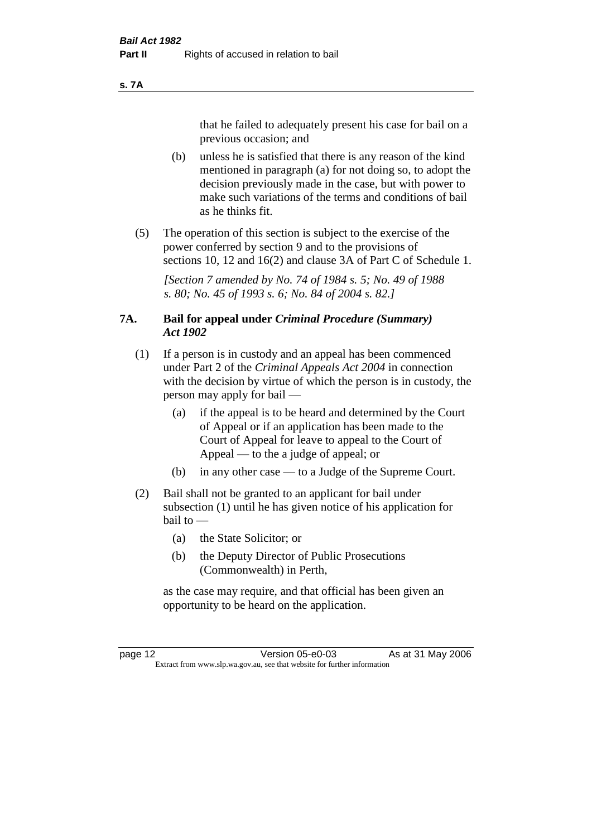#### **s. 7A**

that he failed to adequately present his case for bail on a previous occasion; and

- (b) unless he is satisfied that there is any reason of the kind mentioned in paragraph (a) for not doing so, to adopt the decision previously made in the case, but with power to make such variations of the terms and conditions of bail as he thinks fit.
- (5) The operation of this section is subject to the exercise of the power conferred by section 9 and to the provisions of sections 10, 12 and 16(2) and clause 3A of Part C of Schedule 1.

*[Section 7 amended by No. 74 of 1984 s. 5; No. 49 of 1988 s. 80; No. 45 of 1993 s. 6; No. 84 of 2004 s. 82.]* 

# **7A. Bail for appeal under** *Criminal Procedure (Summary) Act 1902*

- (1) If a person is in custody and an appeal has been commenced under Part 2 of the *Criminal Appeals Act 2004* in connection with the decision by virtue of which the person is in custody, the person may apply for bail —
	- (a) if the appeal is to be heard and determined by the Court of Appeal or if an application has been made to the Court of Appeal for leave to appeal to the Court of Appeal — to the a judge of appeal; or
	- (b) in any other case to a Judge of the Supreme Court.
- (2) Bail shall not be granted to an applicant for bail under subsection (1) until he has given notice of his application for bail to —
	- (a) the State Solicitor; or
	- (b) the Deputy Director of Public Prosecutions (Commonwealth) in Perth,

as the case may require, and that official has been given an opportunity to be heard on the application.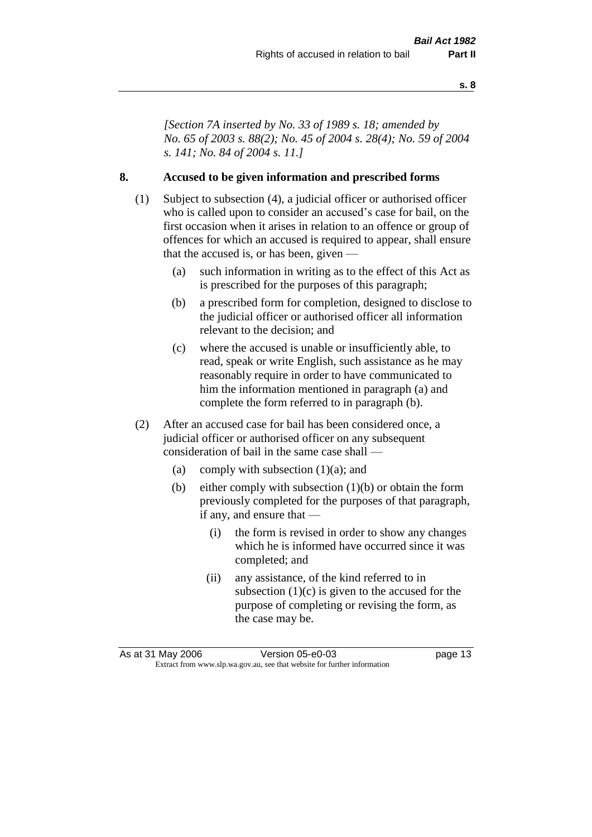*[Section 7A inserted by No. 33 of 1989 s. 18; amended by No. 65 of 2003 s. 88(2); No. 45 of 2004 s. 28(4); No. 59 of 2004 s. 141; No. 84 of 2004 s. 11.]* 

# **8. Accused to be given information and prescribed forms**

- (1) Subject to subsection (4), a judicial officer or authorised officer who is called upon to consider an accused's case for bail, on the first occasion when it arises in relation to an offence or group of offences for which an accused is required to appear, shall ensure that the accused is, or has been, given —
	- (a) such information in writing as to the effect of this Act as is prescribed for the purposes of this paragraph;
	- (b) a prescribed form for completion, designed to disclose to the judicial officer or authorised officer all information relevant to the decision; and
	- (c) where the accused is unable or insufficiently able, to read, speak or write English, such assistance as he may reasonably require in order to have communicated to him the information mentioned in paragraph (a) and complete the form referred to in paragraph (b).
- (2) After an accused case for bail has been considered once, a judicial officer or authorised officer on any subsequent consideration of bail in the same case shall —
	- (a) comply with subsection  $(1)(a)$ ; and
	- (b) either comply with subsection (1)(b) or obtain the form previously completed for the purposes of that paragraph, if any, and ensure that —
		- (i) the form is revised in order to show any changes which he is informed have occurred since it was completed; and
		- (ii) any assistance, of the kind referred to in subsection  $(1)(c)$  is given to the accused for the purpose of completing or revising the form, as the case may be.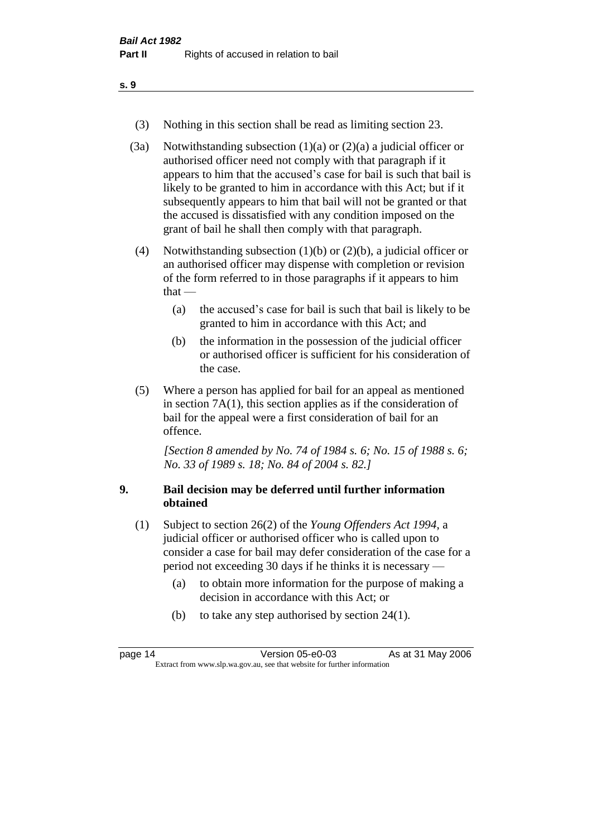- (3) Nothing in this section shall be read as limiting section 23.
- (3a) Notwithstanding subsection  $(1)(a)$  or  $(2)(a)$  a judicial officer or authorised officer need not comply with that paragraph if it appears to him that the accused's case for bail is such that bail is likely to be granted to him in accordance with this Act; but if it subsequently appears to him that bail will not be granted or that the accused is dissatisfied with any condition imposed on the grant of bail he shall then comply with that paragraph.
- (4) Notwithstanding subsection (1)(b) or (2)(b), a judicial officer or an authorised officer may dispense with completion or revision of the form referred to in those paragraphs if it appears to him  $that -$ 
	- (a) the accused's case for bail is such that bail is likely to be granted to him in accordance with this Act; and
	- (b) the information in the possession of the judicial officer or authorised officer is sufficient for his consideration of the case.
- (5) Where a person has applied for bail for an appeal as mentioned in section 7A(1), this section applies as if the consideration of bail for the appeal were a first consideration of bail for an offence.

*[Section 8 amended by No. 74 of 1984 s. 6; No. 15 of 1988 s. 6; No. 33 of 1989 s. 18; No. 84 of 2004 s. 82.]* 

# **9. Bail decision may be deferred until further information obtained**

- (1) Subject to section 26(2) of the *Young Offenders Act 1994*, a judicial officer or authorised officer who is called upon to consider a case for bail may defer consideration of the case for a period not exceeding 30 days if he thinks it is necessary —
	- (a) to obtain more information for the purpose of making a decision in accordance with this Act; or
	- (b) to take any step authorised by section 24(1).

| page 14 | Version 05-e0-03                                                         | As at 31 May 2006 |
|---------|--------------------------------------------------------------------------|-------------------|
|         | Extract from www.slp.wa.gov.au, see that website for further information |                   |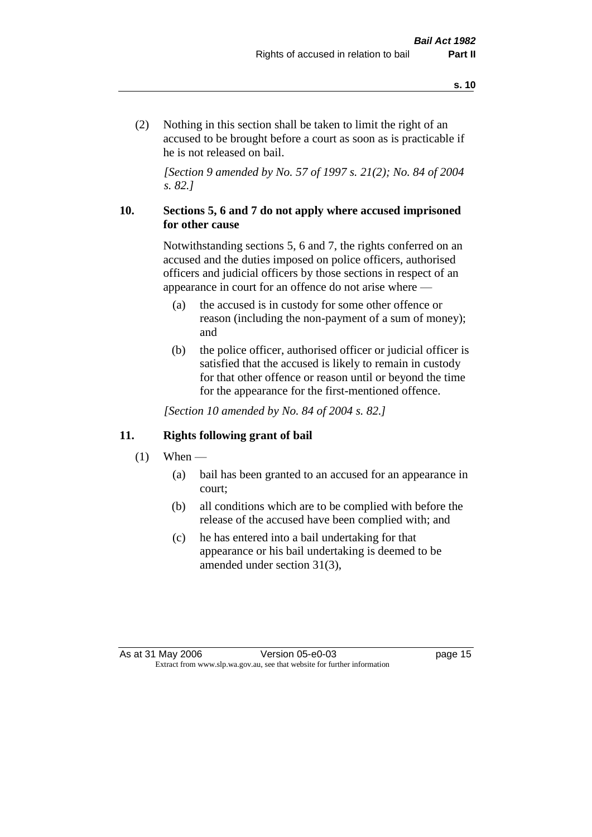(2) Nothing in this section shall be taken to limit the right of an accused to be brought before a court as soon as is practicable if he is not released on bail.

*[Section 9 amended by No. 57 of 1997 s. 21(2); No. 84 of 2004 s. 82.]*

# **10. Sections 5, 6 and 7 do not apply where accused imprisoned for other cause**

Notwithstanding sections 5, 6 and 7, the rights conferred on an accused and the duties imposed on police officers, authorised officers and judicial officers by those sections in respect of an appearance in court for an offence do not arise where —

- (a) the accused is in custody for some other offence or reason (including the non-payment of a sum of money); and
- (b) the police officer, authorised officer or judicial officer is satisfied that the accused is likely to remain in custody for that other offence or reason until or beyond the time for the appearance for the first-mentioned offence.

*[Section 10 amended by No. 84 of 2004 s. 82.]*

# **11. Rights following grant of bail**

- $(1)$  When
	- (a) bail has been granted to an accused for an appearance in court;
	- (b) all conditions which are to be complied with before the release of the accused have been complied with; and
	- (c) he has entered into a bail undertaking for that appearance or his bail undertaking is deemed to be amended under section 31(3),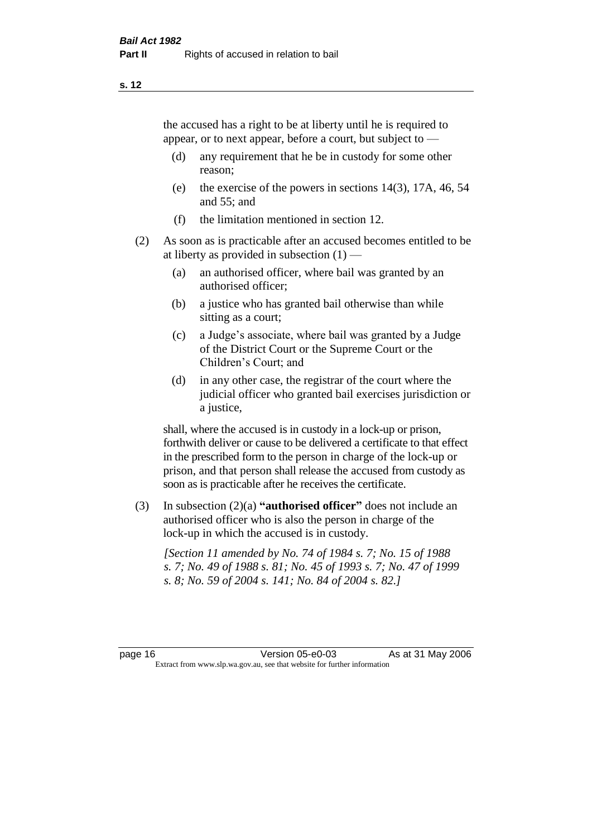the accused has a right to be at liberty until he is required to appear, or to next appear, before a court, but subject to —

- (d) any requirement that he be in custody for some other reason;
- (e) the exercise of the powers in sections 14(3), 17A, 46, 54 and 55; and
- (f) the limitation mentioned in section 12.
- (2) As soon as is practicable after an accused becomes entitled to be at liberty as provided in subsection  $(1)$  —
	- (a) an authorised officer, where bail was granted by an authorised officer;
	- (b) a justice who has granted bail otherwise than while sitting as a court;
	- (c) a Judge's associate, where bail was granted by a Judge of the District Court or the Supreme Court or the Children's Court; and
	- (d) in any other case, the registrar of the court where the judicial officer who granted bail exercises jurisdiction or a justice,

shall, where the accused is in custody in a lock-up or prison, forthwith deliver or cause to be delivered a certificate to that effect in the prescribed form to the person in charge of the lock-up or prison, and that person shall release the accused from custody as soon as is practicable after he receives the certificate.

(3) In subsection (2)(a) **"authorised officer"** does not include an authorised officer who is also the person in charge of the lock-up in which the accused is in custody.

*[Section 11 amended by No. 74 of 1984 s. 7; No. 15 of 1988 s. 7; No. 49 of 1988 s. 81; No. 45 of 1993 s. 7; No. 47 of 1999 s. 8; No. 59 of 2004 s. 141; No. 84 of 2004 s. 82.]*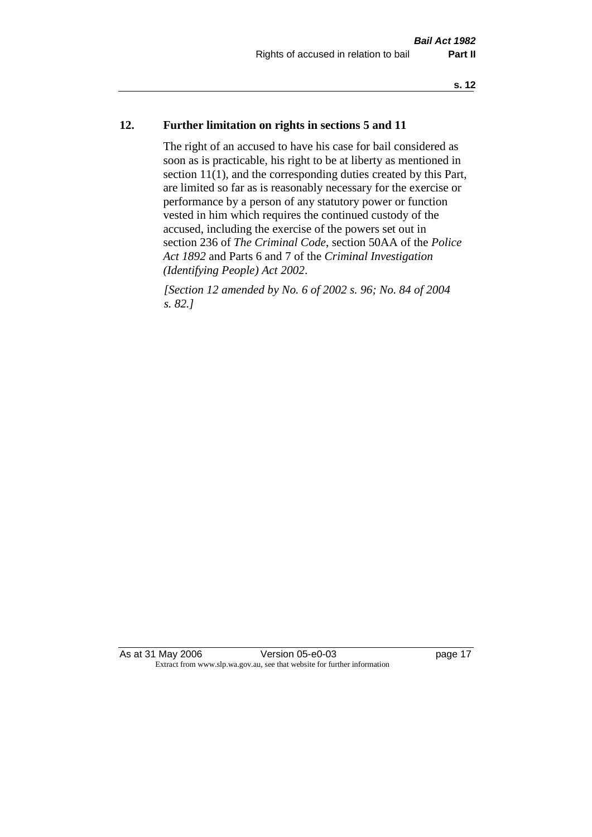# **12. Further limitation on rights in sections 5 and 11**

The right of an accused to have his case for bail considered as soon as is practicable, his right to be at liberty as mentioned in section 11(1), and the corresponding duties created by this Part, are limited so far as is reasonably necessary for the exercise or performance by a person of any statutory power or function vested in him which requires the continued custody of the accused, including the exercise of the powers set out in section 236 of *The Criminal Code*, section 50AA of the *Police Act 1892* and Parts 6 and 7 of the *Criminal Investigation (Identifying People) Act 2002*.

*[Section 12 amended by No. 6 of 2002 s. 96; No. 84 of 2004 s. 82.]*

As at 31 May 2006 Version 05-e0-03 page 17 Extract from www.slp.wa.gov.au, see that website for further information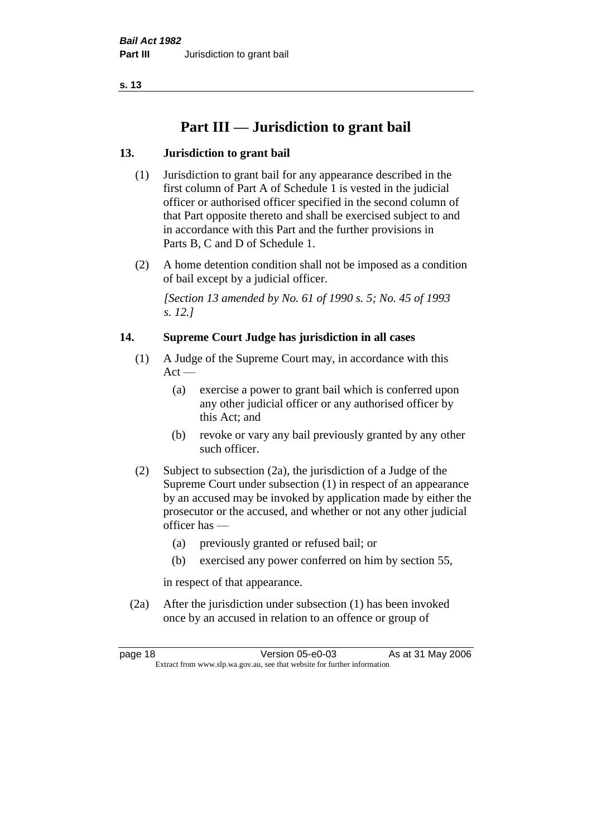# **Part III — Jurisdiction to grant bail**

# **13. Jurisdiction to grant bail**

- (1) Jurisdiction to grant bail for any appearance described in the first column of Part A of Schedule 1 is vested in the judicial officer or authorised officer specified in the second column of that Part opposite thereto and shall be exercised subject to and in accordance with this Part and the further provisions in Parts B, C and D of Schedule 1.
- (2) A home detention condition shall not be imposed as a condition of bail except by a judicial officer.

*[Section 13 amended by No. 61 of 1990 s. 5; No. 45 of 1993 s. 12.]* 

# **14. Supreme Court Judge has jurisdiction in all cases**

- (1) A Judge of the Supreme Court may, in accordance with this  $Act -$ 
	- (a) exercise a power to grant bail which is conferred upon any other judicial officer or any authorised officer by this Act; and
	- (b) revoke or vary any bail previously granted by any other such officer.
- (2) Subject to subsection (2a), the jurisdiction of a Judge of the Supreme Court under subsection (1) in respect of an appearance by an accused may be invoked by application made by either the prosecutor or the accused, and whether or not any other judicial officer has —
	- (a) previously granted or refused bail; or
	- (b) exercised any power conferred on him by section 55,

in respect of that appearance.

(2a) After the jurisdiction under subsection (1) has been invoked once by an accused in relation to an offence or group of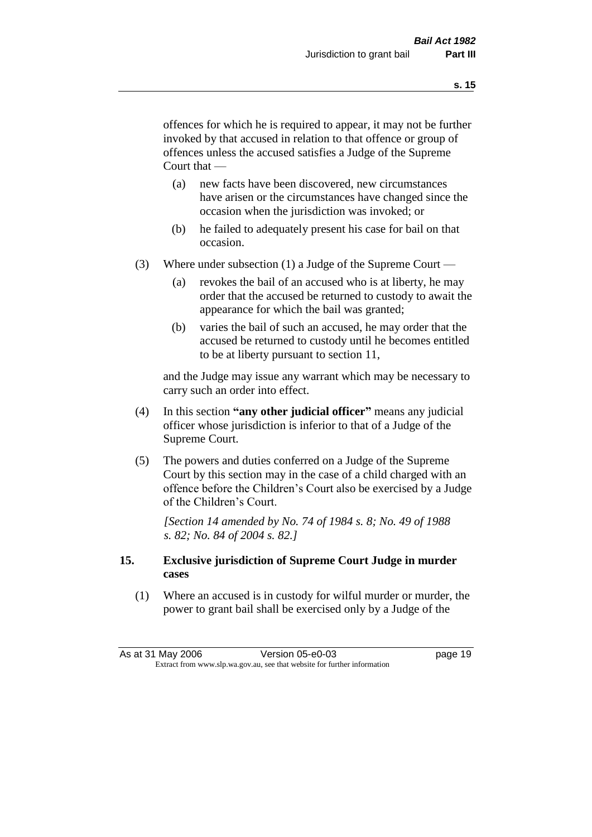offences for which he is required to appear, it may not be further invoked by that accused in relation to that offence or group of offences unless the accused satisfies a Judge of the Supreme Court that —

- (a) new facts have been discovered, new circumstances have arisen or the circumstances have changed since the occasion when the jurisdiction was invoked; or
- (b) he failed to adequately present his case for bail on that occasion.
- (3) Where under subsection (1) a Judge of the Supreme Court
	- (a) revokes the bail of an accused who is at liberty, he may order that the accused be returned to custody to await the appearance for which the bail was granted;
	- (b) varies the bail of such an accused, he may order that the accused be returned to custody until he becomes entitled to be at liberty pursuant to section 11,

and the Judge may issue any warrant which may be necessary to carry such an order into effect.

- (4) In this section **"any other judicial officer"** means any judicial officer whose jurisdiction is inferior to that of a Judge of the Supreme Court.
- (5) The powers and duties conferred on a Judge of the Supreme Court by this section may in the case of a child charged with an offence before the Children's Court also be exercised by a Judge of the Children's Court.

*[Section 14 amended by No. 74 of 1984 s. 8; No. 49 of 1988 s. 82; No. 84 of 2004 s. 82.]* 

# **15. Exclusive jurisdiction of Supreme Court Judge in murder cases**

(1) Where an accused is in custody for wilful murder or murder, the power to grant bail shall be exercised only by a Judge of the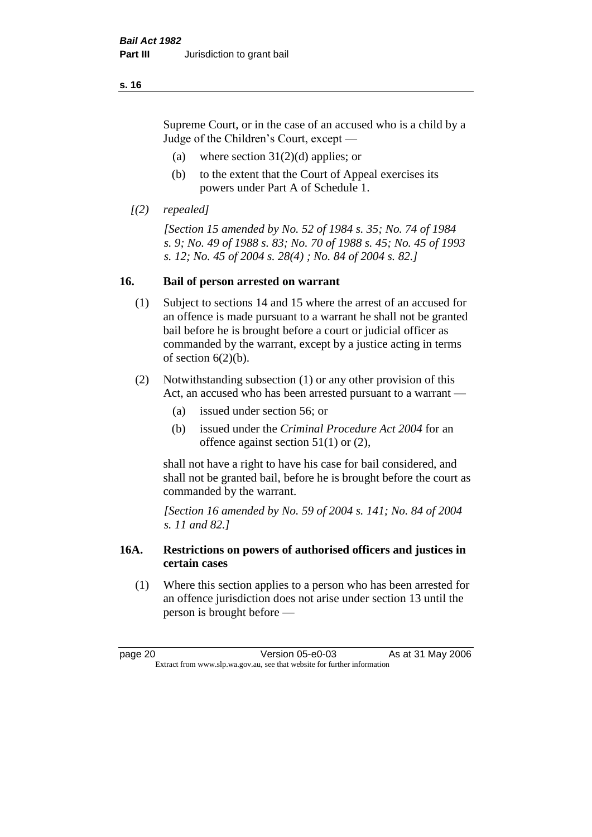Supreme Court, or in the case of an accused who is a child by a Judge of the Children's Court, except —

- (a) where section  $31(2)(d)$  applies; or
- (b) to the extent that the Court of Appeal exercises its powers under Part A of Schedule 1.
- *[(2) repealed]*

*[Section 15 amended by No. 52 of 1984 s. 35; No. 74 of 1984 s. 9; No. 49 of 1988 s. 83; No. 70 of 1988 s. 45; No. 45 of 1993 s. 12; No. 45 of 2004 s. 28(4) ; No. 84 of 2004 s. 82.]* 

# **16. Bail of person arrested on warrant**

- (1) Subject to sections 14 and 15 where the arrest of an accused for an offence is made pursuant to a warrant he shall not be granted bail before he is brought before a court or judicial officer as commanded by the warrant, except by a justice acting in terms of section  $6(2)(b)$ .
- (2) Notwithstanding subsection (1) or any other provision of this Act, an accused who has been arrested pursuant to a warrant —
	- (a) issued under section 56; or
	- (b) issued under the *Criminal Procedure Act 2004* for an offence against section 51(1) or (2),

shall not have a right to have his case for bail considered, and shall not be granted bail, before he is brought before the court as commanded by the warrant.

*[Section 16 amended by No. 59 of 2004 s. 141; No. 84 of 2004 s. 11 and 82.]*

# **16A. Restrictions on powers of authorised officers and justices in certain cases**

(1) Where this section applies to a person who has been arrested for an offence jurisdiction does not arise under section 13 until the person is brought before —

page 20 **Version 05-e0-03** As at 31 May 2006 Extract from www.slp.wa.gov.au, see that website for further information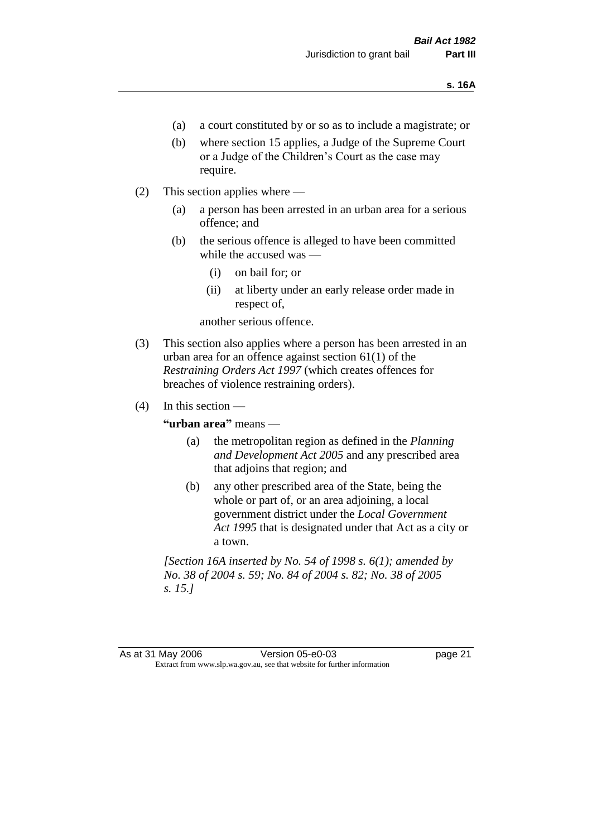- (a) a court constituted by or so as to include a magistrate; or
- (b) where section 15 applies, a Judge of the Supreme Court or a Judge of the Children's Court as the case may require.
- (2) This section applies where
	- (a) a person has been arrested in an urban area for a serious offence; and
	- (b) the serious offence is alleged to have been committed while the accused was —
		- (i) on bail for; or
		- (ii) at liberty under an early release order made in respect of,

another serious offence.

- (3) This section also applies where a person has been arrested in an urban area for an offence against section 61(1) of the *Restraining Orders Act 1997* (which creates offences for breaches of violence restraining orders).
- $(4)$  In this section —

**"urban area"** means —

- (a) the metropolitan region as defined in the *Planning and Development Act 2005* and any prescribed area that adjoins that region; and
- (b) any other prescribed area of the State, being the whole or part of, or an area adjoining, a local government district under the *Local Government Act 1995* that is designated under that Act as a city or a town.

*[Section 16A inserted by No. 54 of 1998 s. 6(1); amended by No. 38 of 2004 s. 59; No. 84 of 2004 s. 82; No. 38 of 2005 s. 15.]*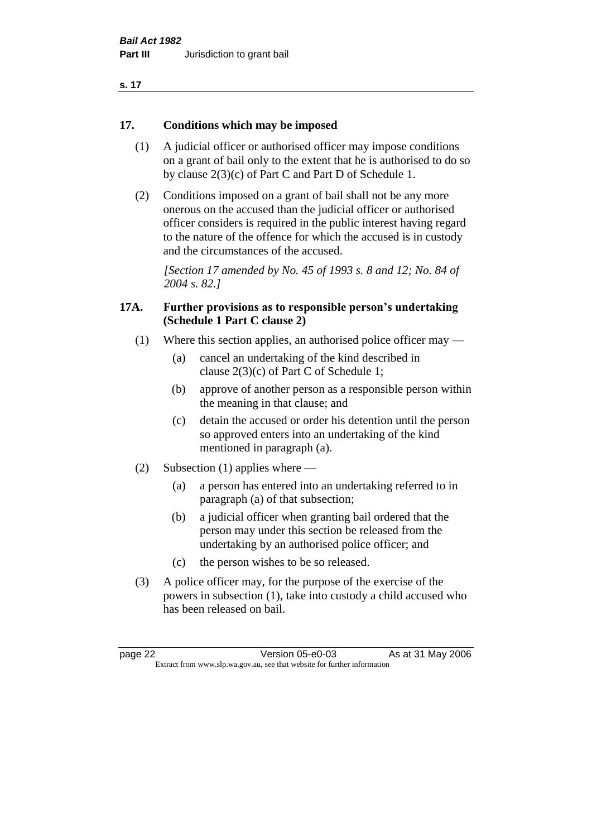### **17. Conditions which may be imposed**

- (1) A judicial officer or authorised officer may impose conditions on a grant of bail only to the extent that he is authorised to do so by clause 2(3)(c) of Part C and Part D of Schedule 1.
- (2) Conditions imposed on a grant of bail shall not be any more onerous on the accused than the judicial officer or authorised officer considers is required in the public interest having regard to the nature of the offence for which the accused is in custody and the circumstances of the accused.

*[Section 17 amended by No. 45 of 1993 s. 8 and 12; No. 84 of 2004 s. 82.]* 

# **17A. Further provisions as to responsible person's undertaking (Schedule 1 Part C clause 2)**

- (1) Where this section applies, an authorised police officer may
	- (a) cancel an undertaking of the kind described in clause 2(3)(c) of Part C of Schedule 1;
	- (b) approve of another person as a responsible person within the meaning in that clause; and
	- (c) detain the accused or order his detention until the person so approved enters into an undertaking of the kind mentioned in paragraph (a).
- (2) Subsection (1) applies where
	- (a) a person has entered into an undertaking referred to in paragraph (a) of that subsection;
	- (b) a judicial officer when granting bail ordered that the person may under this section be released from the undertaking by an authorised police officer; and
	- (c) the person wishes to be so released.
- (3) A police officer may, for the purpose of the exercise of the powers in subsection (1), take into custody a child accused who has been released on bail.

page 22 Version 05-e0-03 As at 31 May 2006 Extract from www.slp.wa.gov.au, see that website for further information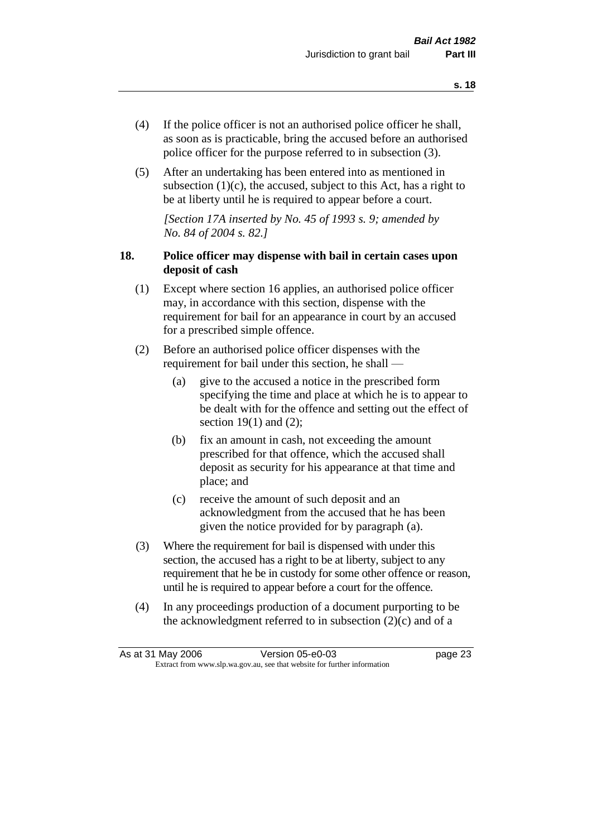- (4) If the police officer is not an authorised police officer he shall, as soon as is practicable, bring the accused before an authorised police officer for the purpose referred to in subsection (3).
- (5) After an undertaking has been entered into as mentioned in subsection  $(1)(c)$ , the accused, subject to this Act, has a right to be at liberty until he is required to appear before a court.

*[Section 17A inserted by No. 45 of 1993 s. 9; amended by No. 84 of 2004 s. 82.]* 

# **18. Police officer may dispense with bail in certain cases upon deposit of cash**

- (1) Except where section 16 applies, an authorised police officer may, in accordance with this section, dispense with the requirement for bail for an appearance in court by an accused for a prescribed simple offence.
- (2) Before an authorised police officer dispenses with the requirement for bail under this section, he shall —
	- (a) give to the accused a notice in the prescribed form specifying the time and place at which he is to appear to be dealt with for the offence and setting out the effect of section  $19(1)$  and  $(2)$ ;
	- (b) fix an amount in cash, not exceeding the amount prescribed for that offence, which the accused shall deposit as security for his appearance at that time and place; and
	- (c) receive the amount of such deposit and an acknowledgment from the accused that he has been given the notice provided for by paragraph (a).
- (3) Where the requirement for bail is dispensed with under this section, the accused has a right to be at liberty, subject to any requirement that he be in custody for some other offence or reason, until he is required to appear before a court for the offence.
- (4) In any proceedings production of a document purporting to be the acknowledgment referred to in subsection  $(2)(c)$  and of a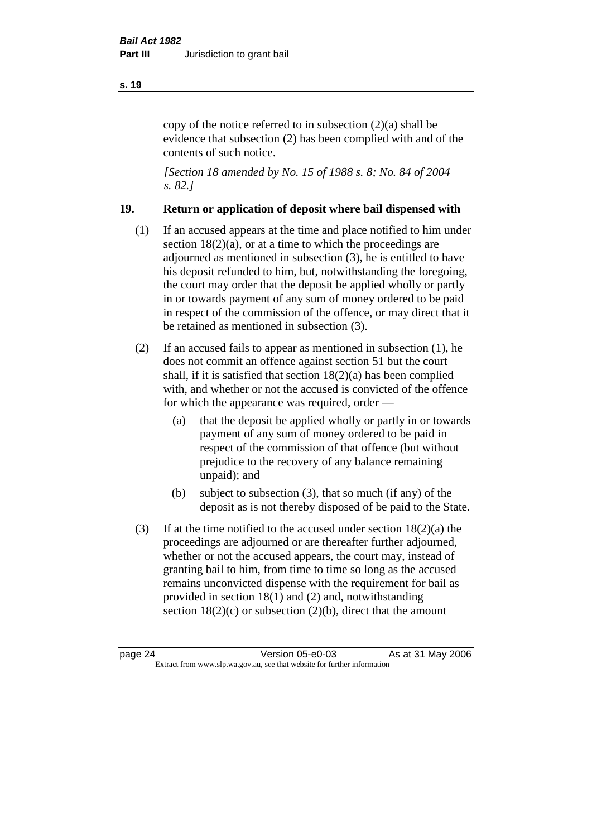copy of the notice referred to in subsection (2)(a) shall be evidence that subsection (2) has been complied with and of the contents of such notice.

*[Section 18 amended by No. 15 of 1988 s. 8; No. 84 of 2004 s. 82.]* 

# **19. Return or application of deposit where bail dispensed with**

- (1) If an accused appears at the time and place notified to him under section  $18(2)(a)$ , or at a time to which the proceedings are adjourned as mentioned in subsection (3), he is entitled to have his deposit refunded to him, but, notwithstanding the foregoing, the court may order that the deposit be applied wholly or partly in or towards payment of any sum of money ordered to be paid in respect of the commission of the offence, or may direct that it be retained as mentioned in subsection (3).
- (2) If an accused fails to appear as mentioned in subsection (1), he does not commit an offence against section 51 but the court shall, if it is satisfied that section 18(2)(a) has been complied with, and whether or not the accused is convicted of the offence for which the appearance was required, order —
	- (a) that the deposit be applied wholly or partly in or towards payment of any sum of money ordered to be paid in respect of the commission of that offence (but without prejudice to the recovery of any balance remaining unpaid); and
	- (b) subject to subsection (3), that so much (if any) of the deposit as is not thereby disposed of be paid to the State.
- (3) If at the time notified to the accused under section 18(2)(a) the proceedings are adjourned or are thereafter further adjourned, whether or not the accused appears, the court may, instead of granting bail to him, from time to time so long as the accused remains unconvicted dispense with the requirement for bail as provided in section 18(1) and (2) and, notwithstanding section  $18(2)(c)$  or subsection  $(2)(b)$ , direct that the amount

**s. 19**

page 24 Version 05-e0-03 As at 31 May 2006 Extract from www.slp.wa.gov.au, see that website for further information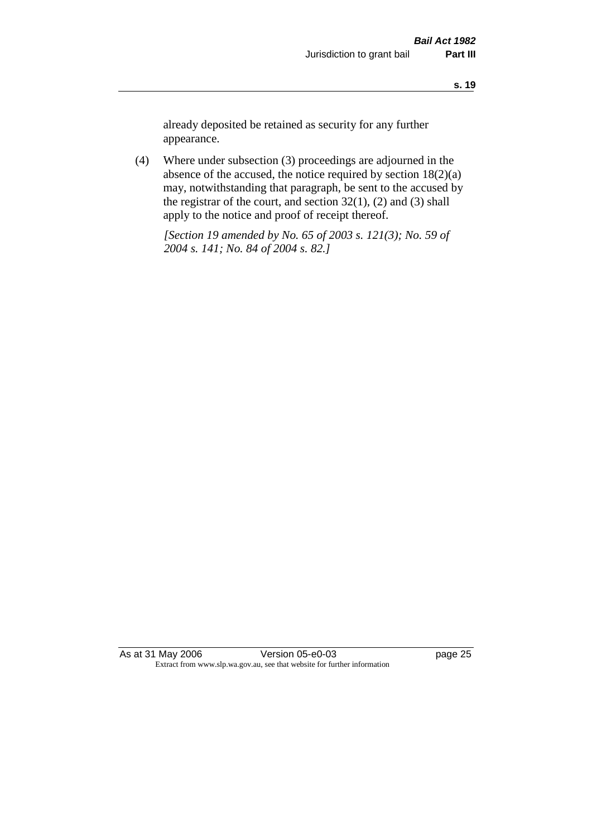already deposited be retained as security for any further appearance.

(4) Where under subsection (3) proceedings are adjourned in the absence of the accused, the notice required by section 18(2)(a) may, notwithstanding that paragraph, be sent to the accused by the registrar of the court, and section  $32(1)$ ,  $(2)$  and  $(3)$  shall apply to the notice and proof of receipt thereof.

*[Section 19 amended by No. 65 of 2003 s. 121(3); No. 59 of 2004 s. 141; No. 84 of 2004 s. 82.]*

As at 31 May 2006 Version 05-e0-03 Page 25 Extract from www.slp.wa.gov.au, see that website for further information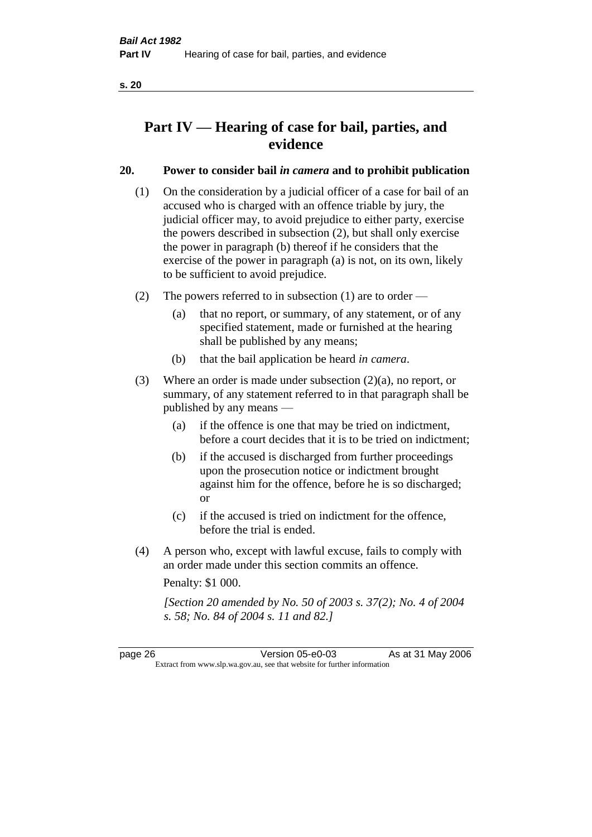# **Part IV — Hearing of case for bail, parties, and evidence**

# **20. Power to consider bail** *in camera* **and to prohibit publication**

- (1) On the consideration by a judicial officer of a case for bail of an accused who is charged with an offence triable by jury, the judicial officer may, to avoid prejudice to either party, exercise the powers described in subsection (2), but shall only exercise the power in paragraph (b) thereof if he considers that the exercise of the power in paragraph (a) is not, on its own, likely to be sufficient to avoid prejudice.
- (2) The powers referred to in subsection (1) are to order
	- (a) that no report, or summary, of any statement, or of any specified statement, made or furnished at the hearing shall be published by any means;
	- (b) that the bail application be heard *in camera*.
- (3) Where an order is made under subsection (2)(a), no report, or summary, of any statement referred to in that paragraph shall be published by any means —
	- (a) if the offence is one that may be tried on indictment, before a court decides that it is to be tried on indictment;
	- (b) if the accused is discharged from further proceedings upon the prosecution notice or indictment brought against him for the offence, before he is so discharged; or
	- (c) if the accused is tried on indictment for the offence, before the trial is ended.
- (4) A person who, except with lawful excuse, fails to comply with an order made under this section commits an offence.

Penalty: \$1 000.

*[Section 20 amended by No. 50 of 2003 s. 37(2); No. 4 of 2004 s. 58; No. 84 of 2004 s. 11 and 82.]*

page 26 Version 05-e0-03 As at 31 May 2006 Extract from www.slp.wa.gov.au, see that website for further information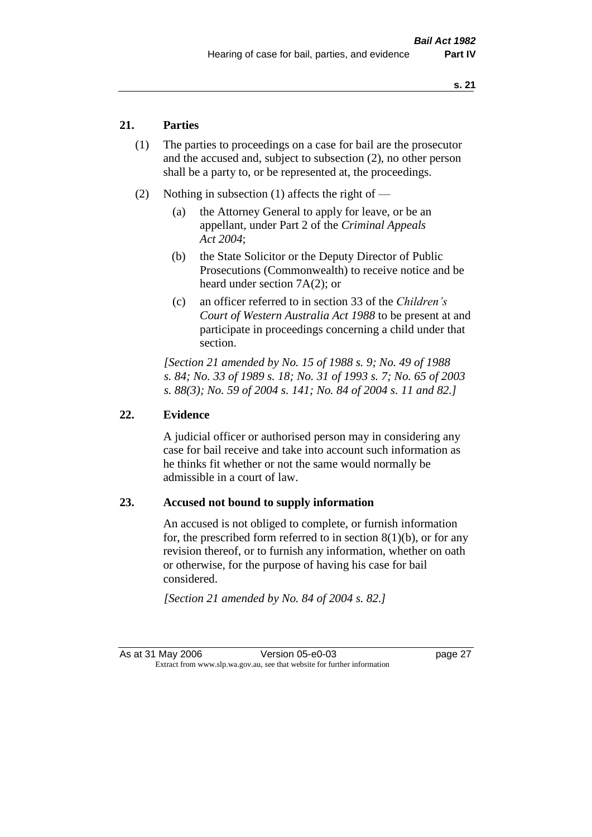# **21. Parties**

- (1) The parties to proceedings on a case for bail are the prosecutor and the accused and, subject to subsection (2), no other person shall be a party to, or be represented at, the proceedings.
- (2) Nothing in subsection (1) affects the right of
	- (a) the Attorney General to apply for leave, or be an appellant, under Part 2 of the *Criminal Appeals Act 2004*;
	- (b) the State Solicitor or the Deputy Director of Public Prosecutions (Commonwealth) to receive notice and be heard under section 7A(2); or
	- (c) an officer referred to in section 33 of the *Children's Court of Western Australia Act 1988* to be present at and participate in proceedings concerning a child under that section.

*[Section 21 amended by No. 15 of 1988 s. 9; No. 49 of 1988 s. 84; No. 33 of 1989 s. 18; No. 31 of 1993 s. 7; No. 65 of 2003 s. 88(3); No. 59 of 2004 s. 141; No. 84 of 2004 s. 11 and 82.]* 

### **22. Evidence**

A judicial officer or authorised person may in considering any case for bail receive and take into account such information as he thinks fit whether or not the same would normally be admissible in a court of law.

# **23. Accused not bound to supply information**

An accused is not obliged to complete, or furnish information for, the prescribed form referred to in section  $8(1)(b)$ , or for any revision thereof, or to furnish any information, whether on oath or otherwise, for the purpose of having his case for bail considered.

*[Section 21 amended by No. 84 of 2004 s. 82.]*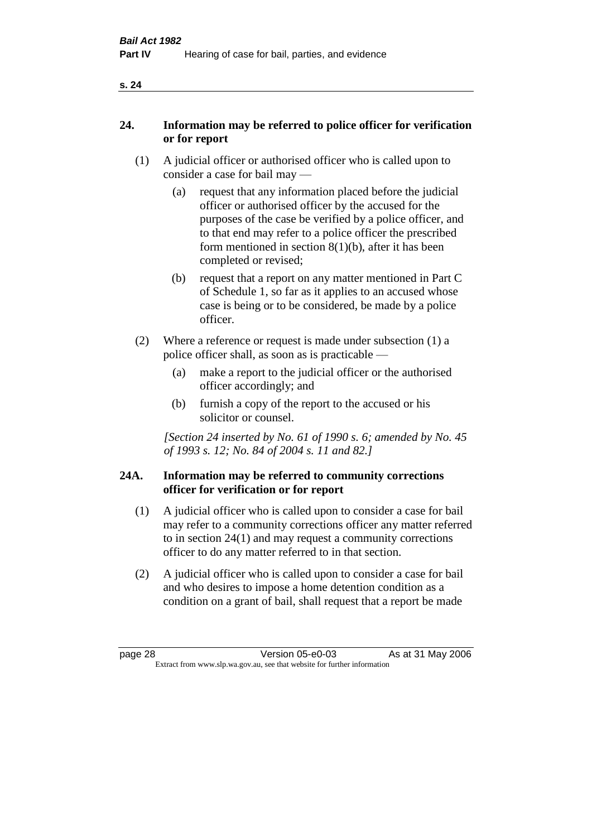| ×<br>×<br>v |
|-------------|
|-------------|

# **24. Information may be referred to police officer for verification or for report**

- (1) A judicial officer or authorised officer who is called upon to consider a case for bail may —
	- (a) request that any information placed before the judicial officer or authorised officer by the accused for the purposes of the case be verified by a police officer, and to that end may refer to a police officer the prescribed form mentioned in section 8(1)(b), after it has been completed or revised;
	- (b) request that a report on any matter mentioned in Part C of Schedule 1, so far as it applies to an accused whose case is being or to be considered, be made by a police officer.
- (2) Where a reference or request is made under subsection (1) a police officer shall, as soon as is practicable —
	- (a) make a report to the judicial officer or the authorised officer accordingly; and
	- (b) furnish a copy of the report to the accused or his solicitor or counsel.

*[Section 24 inserted by No. 61 of 1990 s. 6; amended by No. 45 of 1993 s. 12; No. 84 of 2004 s. 11 and 82.]* 

# **24A. Information may be referred to community corrections officer for verification or for report**

- (1) A judicial officer who is called upon to consider a case for bail may refer to a community corrections officer any matter referred to in section 24(1) and may request a community corrections officer to do any matter referred to in that section.
- (2) A judicial officer who is called upon to consider a case for bail and who desires to impose a home detention condition as a condition on a grant of bail, shall request that a report be made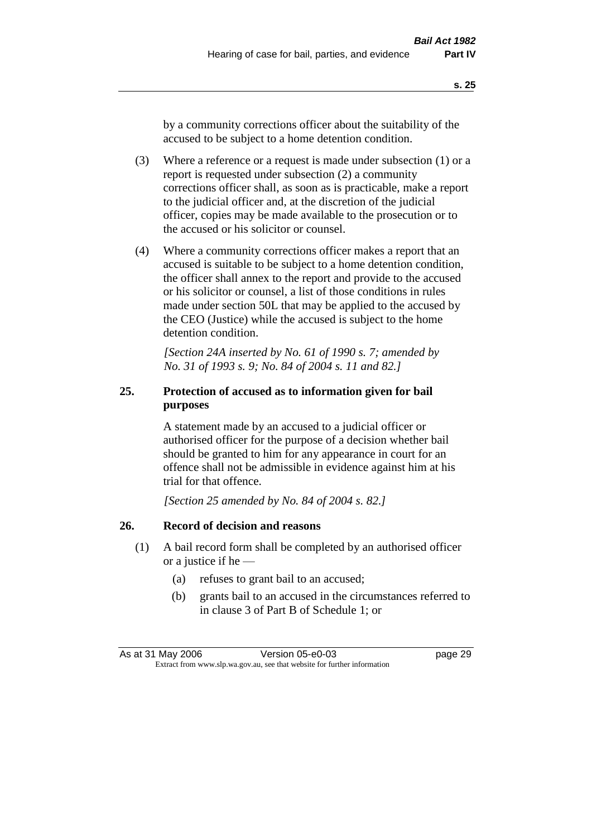by a community corrections officer about the suitability of the accused to be subject to a home detention condition.

- (3) Where a reference or a request is made under subsection (1) or a report is requested under subsection (2) a community corrections officer shall, as soon as is practicable, make a report to the judicial officer and, at the discretion of the judicial officer, copies may be made available to the prosecution or to the accused or his solicitor or counsel.
- (4) Where a community corrections officer makes a report that an accused is suitable to be subject to a home detention condition, the officer shall annex to the report and provide to the accused or his solicitor or counsel, a list of those conditions in rules made under section 50L that may be applied to the accused by the CEO (Justice) while the accused is subject to the home detention condition.

*[Section 24A inserted by No. 61 of 1990 s. 7; amended by No. 31 of 1993 s. 9; No. 84 of 2004 s. 11 and 82.]* 

# **25. Protection of accused as to information given for bail purposes**

A statement made by an accused to a judicial officer or authorised officer for the purpose of a decision whether bail should be granted to him for any appearance in court for an offence shall not be admissible in evidence against him at his trial for that offence.

*[Section 25 amended by No. 84 of 2004 s. 82.]* 

### **26. Record of decision and reasons**

- (1) A bail record form shall be completed by an authorised officer or a justice if he —
	- (a) refuses to grant bail to an accused;
	- (b) grants bail to an accused in the circumstances referred to in clause 3 of Part B of Schedule 1; or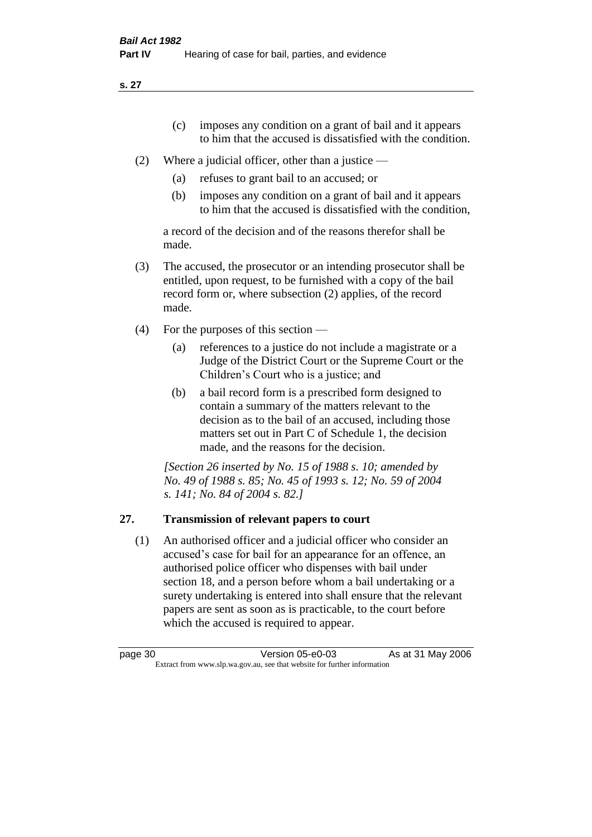**s. 27**

- (c) imposes any condition on a grant of bail and it appears to him that the accused is dissatisfied with the condition.
- (2) Where a judicial officer, other than a justice
	- (a) refuses to grant bail to an accused; or
	- (b) imposes any condition on a grant of bail and it appears to him that the accused is dissatisfied with the condition,

a record of the decision and of the reasons therefor shall be made.

- (3) The accused, the prosecutor or an intending prosecutor shall be entitled, upon request, to be furnished with a copy of the bail record form or, where subsection (2) applies, of the record made.
- (4) For the purposes of this section
	- (a) references to a justice do not include a magistrate or a Judge of the District Court or the Supreme Court or the Children's Court who is a justice; and
	- (b) a bail record form is a prescribed form designed to contain a summary of the matters relevant to the decision as to the bail of an accused, including those matters set out in Part C of Schedule 1, the decision made, and the reasons for the decision.

*[Section 26 inserted by No. 15 of 1988 s. 10; amended by No. 49 of 1988 s. 85; No. 45 of 1993 s. 12; No. 59 of 2004 s. 141; No. 84 of 2004 s. 82.]* 

# **27. Transmission of relevant papers to court**

(1) An authorised officer and a judicial officer who consider an accused's case for bail for an appearance for an offence, an authorised police officer who dispenses with bail under section 18, and a person before whom a bail undertaking or a surety undertaking is entered into shall ensure that the relevant papers are sent as soon as is practicable, to the court before which the accused is required to appear.

page 30 Version 05-e0-03 As at 31 May 2006 Extract from www.slp.wa.gov.au, see that website for further information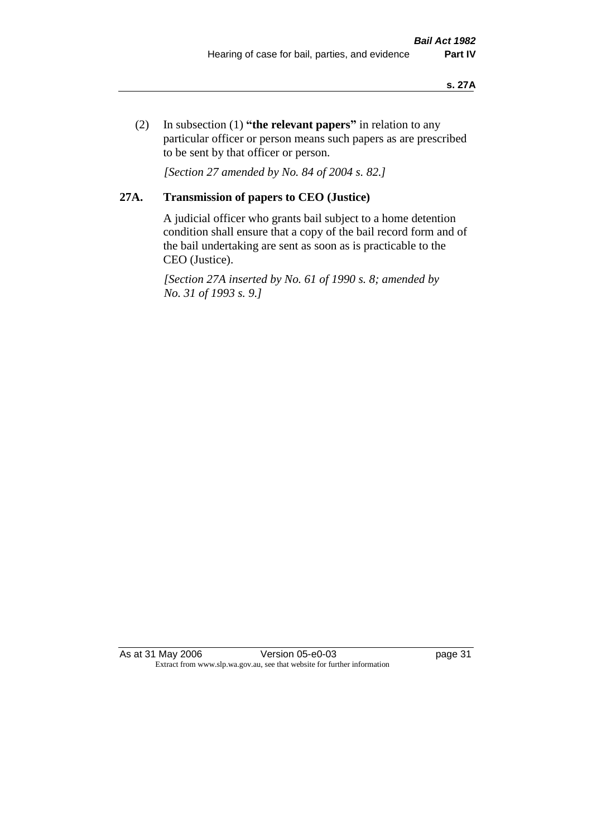(2) In subsection (1) **"the relevant papers"** in relation to any particular officer or person means such papers as are prescribed to be sent by that officer or person.

*[Section 27 amended by No. 84 of 2004 s. 82.]* 

# **27A. Transmission of papers to CEO (Justice)**

A judicial officer who grants bail subject to a home detention condition shall ensure that a copy of the bail record form and of the bail undertaking are sent as soon as is practicable to the CEO (Justice).

*[Section 27A inserted by No. 61 of 1990 s. 8; amended by No. 31 of 1993 s. 9.]* 

As at 31 May 2006 Version 05-e0-03 Page 31 Extract from www.slp.wa.gov.au, see that website for further information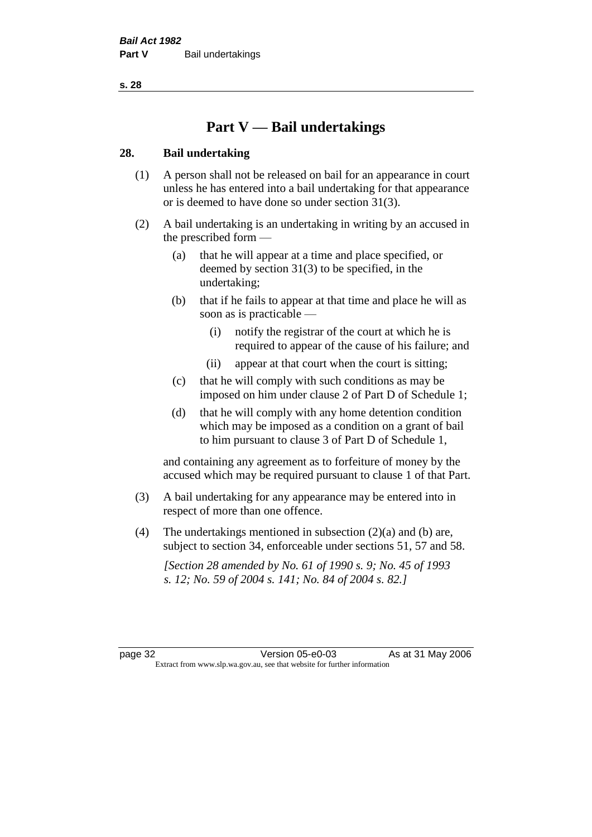**s. 28**

# **Part V — Bail undertakings**

### **28. Bail undertaking**

- (1) A person shall not be released on bail for an appearance in court unless he has entered into a bail undertaking for that appearance or is deemed to have done so under section 31(3).
- (2) A bail undertaking is an undertaking in writing by an accused in the prescribed form —
	- (a) that he will appear at a time and place specified, or deemed by section 31(3) to be specified, in the undertaking;
	- (b) that if he fails to appear at that time and place he will as soon as is practicable —
		- (i) notify the registrar of the court at which he is required to appear of the cause of his failure; and
		- (ii) appear at that court when the court is sitting;
	- (c) that he will comply with such conditions as may be imposed on him under clause 2 of Part D of Schedule 1;
	- (d) that he will comply with any home detention condition which may be imposed as a condition on a grant of bail to him pursuant to clause 3 of Part D of Schedule 1,

and containing any agreement as to forfeiture of money by the accused which may be required pursuant to clause 1 of that Part.

- (3) A bail undertaking for any appearance may be entered into in respect of more than one offence.
- (4) The undertakings mentioned in subsection  $(2)(a)$  and (b) are, subject to section 34, enforceable under sections 51, 57 and 58.

*[Section 28 amended by No. 61 of 1990 s. 9; No. 45 of 1993 s. 12; No. 59 of 2004 s. 141; No. 84 of 2004 s. 82.]* 

page 32 Version 05-e0-03 As at 31 May 2006 Extract from www.slp.wa.gov.au, see that website for further information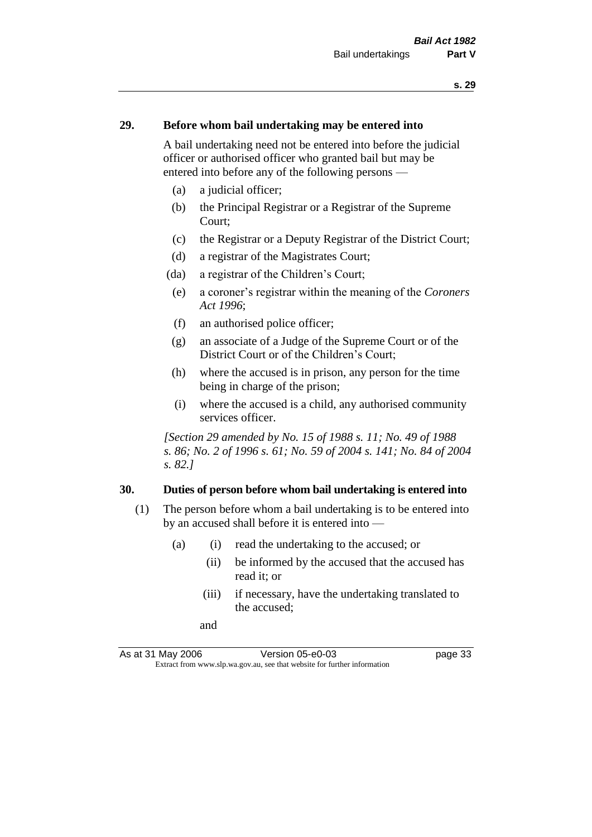### **29. Before whom bail undertaking may be entered into**

A bail undertaking need not be entered into before the judicial officer or authorised officer who granted bail but may be entered into before any of the following persons —

- (a) a judicial officer;
- (b) the Principal Registrar or a Registrar of the Supreme Court;
- (c) the Registrar or a Deputy Registrar of the District Court;
- (d) a registrar of the Magistrates Court;
- (da) a registrar of the Children's Court;
- (e) a coroner's registrar within the meaning of the *Coroners Act 1996*;
- (f) an authorised police officer;
- (g) an associate of a Judge of the Supreme Court or of the District Court or of the Children's Court;
- (h) where the accused is in prison, any person for the time being in charge of the prison;
- (i) where the accused is a child, any authorised community services officer.

*[Section 29 amended by No. 15 of 1988 s. 11; No. 49 of 1988 s. 86; No. 2 of 1996 s. 61; No. 59 of 2004 s. 141; No. 84 of 2004 s. 82.]* 

#### **30. Duties of person before whom bail undertaking is entered into**

- (1) The person before whom a bail undertaking is to be entered into by an accused shall before it is entered into —
	- (a) (i) read the undertaking to the accused; or
		- (ii) be informed by the accused that the accused has read it; or
		- (iii) if necessary, have the undertaking translated to the accused;
		- and

As at 31 May 2006 Version 05-e0-03 page 33 Extract from www.slp.wa.gov.au, see that website for further information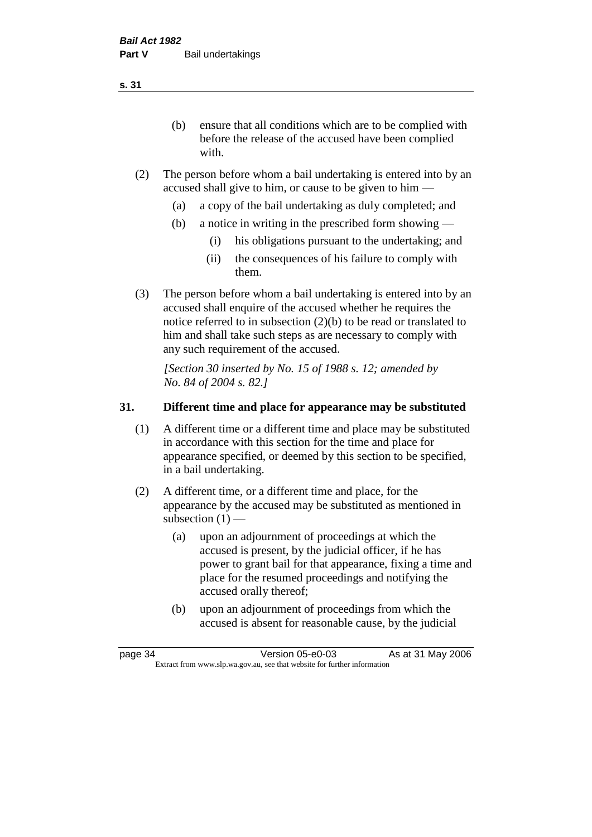(b) ensure that all conditions which are to be complied with before the release of the accused have been complied with.

- (2) The person before whom a bail undertaking is entered into by an accused shall give to him, or cause to be given to him —
	- (a) a copy of the bail undertaking as duly completed; and
	- (b) a notice in writing in the prescribed form showing
		- (i) his obligations pursuant to the undertaking; and
		- (ii) the consequences of his failure to comply with them.
- (3) The person before whom a bail undertaking is entered into by an accused shall enquire of the accused whether he requires the notice referred to in subsection (2)(b) to be read or translated to him and shall take such steps as are necessary to comply with any such requirement of the accused.

*[Section 30 inserted by No. 15 of 1988 s. 12; amended by No. 84 of 2004 s. 82.]* 

## **31. Different time and place for appearance may be substituted**

- (1) A different time or a different time and place may be substituted in accordance with this section for the time and place for appearance specified, or deemed by this section to be specified, in a bail undertaking.
- (2) A different time, or a different time and place, for the appearance by the accused may be substituted as mentioned in subsection  $(1)$  —
	- (a) upon an adjournment of proceedings at which the accused is present, by the judicial officer, if he has power to grant bail for that appearance, fixing a time and place for the resumed proceedings and notifying the accused orally thereof;
	- (b) upon an adjournment of proceedings from which the accused is absent for reasonable cause, by the judicial

page 34 Version 05-e0-03 As at 31 May 2006 Extract from www.slp.wa.gov.au, see that website for further information

**s. 31**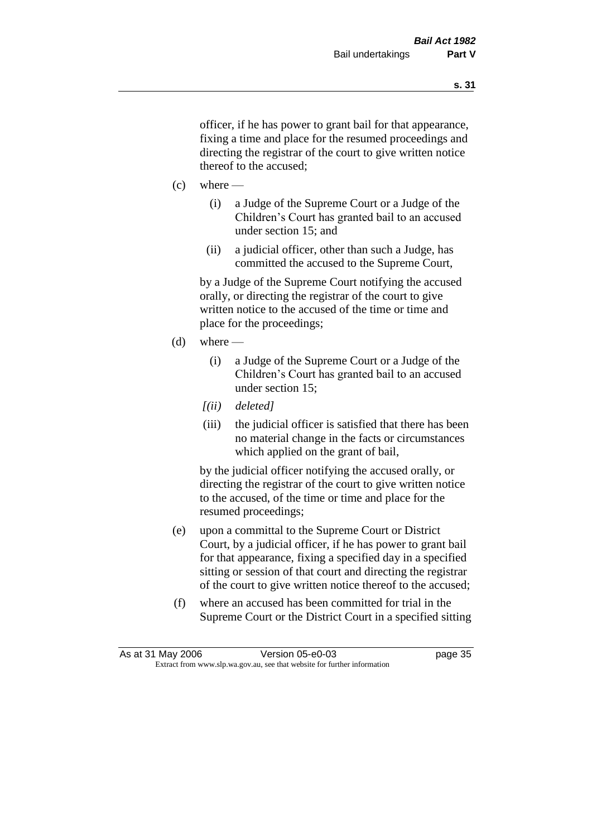officer, if he has power to grant bail for that appearance, fixing a time and place for the resumed proceedings and directing the registrar of the court to give written notice thereof to the accused;

- $(c)$  where
	- (i) a Judge of the Supreme Court or a Judge of the Children's Court has granted bail to an accused under section 15; and
	- (ii) a judicial officer, other than such a Judge, has committed the accused to the Supreme Court,

by a Judge of the Supreme Court notifying the accused orally, or directing the registrar of the court to give written notice to the accused of the time or time and place for the proceedings;

- $(d)$  where
	- (i) a Judge of the Supreme Court or a Judge of the Children's Court has granted bail to an accused under section 15;
	- *[(ii) deleted]*
	- (iii) the judicial officer is satisfied that there has been no material change in the facts or circumstances which applied on the grant of bail,

by the judicial officer notifying the accused orally, or directing the registrar of the court to give written notice to the accused, of the time or time and place for the resumed proceedings;

- (e) upon a committal to the Supreme Court or District Court, by a judicial officer, if he has power to grant bail for that appearance, fixing a specified day in a specified sitting or session of that court and directing the registrar of the court to give written notice thereof to the accused;
- (f) where an accused has been committed for trial in the Supreme Court or the District Court in a specified sitting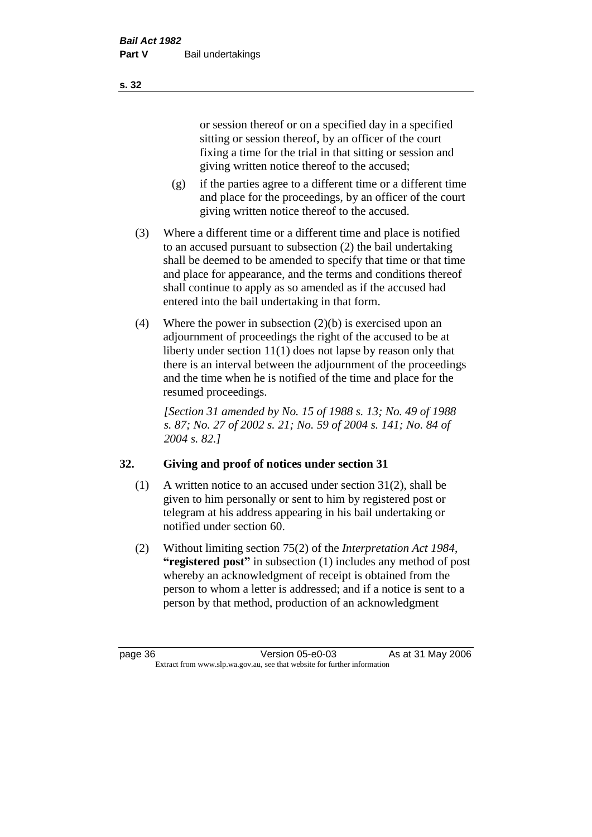or session thereof or on a specified day in a specified sitting or session thereof, by an officer of the court fixing a time for the trial in that sitting or session and giving written notice thereof to the accused;

- (g) if the parties agree to a different time or a different time and place for the proceedings, by an officer of the court giving written notice thereof to the accused.
- (3) Where a different time or a different time and place is notified to an accused pursuant to subsection (2) the bail undertaking shall be deemed to be amended to specify that time or that time and place for appearance, and the terms and conditions thereof shall continue to apply as so amended as if the accused had entered into the bail undertaking in that form.
- (4) Where the power in subsection (2)(b) is exercised upon an adjournment of proceedings the right of the accused to be at liberty under section 11(1) does not lapse by reason only that there is an interval between the adjournment of the proceedings and the time when he is notified of the time and place for the resumed proceedings.

*[Section 31 amended by No. 15 of 1988 s. 13; No. 49 of 1988 s. 87; No. 27 of 2002 s. 21; No. 59 of 2004 s. 141; No. 84 of 2004 s. 82.]* 

# **32. Giving and proof of notices under section 31**

- (1) A written notice to an accused under section 31(2), shall be given to him personally or sent to him by registered post or telegram at his address appearing in his bail undertaking or notified under section 60.
- (2) Without limiting section 75(2) of the *Interpretation Act 1984*, **"registered post"** in subsection (1) includes any method of post whereby an acknowledgment of receipt is obtained from the person to whom a letter is addressed; and if a notice is sent to a person by that method, production of an acknowledgment

page 36 Version 05-e0-03 As at 31 May 2006 Extract from www.slp.wa.gov.au, see that website for further information

**s. 32**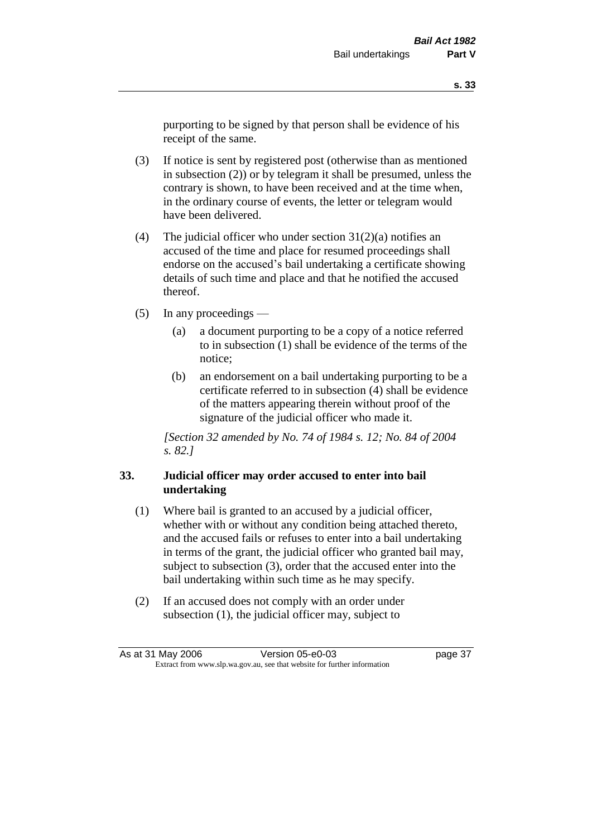purporting to be signed by that person shall be evidence of his receipt of the same.

- (3) If notice is sent by registered post (otherwise than as mentioned in subsection (2)) or by telegram it shall be presumed, unless the contrary is shown, to have been received and at the time when, in the ordinary course of events, the letter or telegram would have been delivered.
- (4) The judicial officer who under section  $31(2)(a)$  notifies an accused of the time and place for resumed proceedings shall endorse on the accused's bail undertaking a certificate showing details of such time and place and that he notified the accused thereof.
- (5) In any proceedings
	- (a) a document purporting to be a copy of a notice referred to in subsection (1) shall be evidence of the terms of the notice;
	- (b) an endorsement on a bail undertaking purporting to be a certificate referred to in subsection (4) shall be evidence of the matters appearing therein without proof of the signature of the judicial officer who made it.

*[Section 32 amended by No. 74 of 1984 s. 12; No. 84 of 2004 s. 82.]* 

### **33. Judicial officer may order accused to enter into bail undertaking**

- (1) Where bail is granted to an accused by a judicial officer, whether with or without any condition being attached thereto, and the accused fails or refuses to enter into a bail undertaking in terms of the grant, the judicial officer who granted bail may, subject to subsection (3), order that the accused enter into the bail undertaking within such time as he may specify.
- (2) If an accused does not comply with an order under subsection (1), the judicial officer may, subject to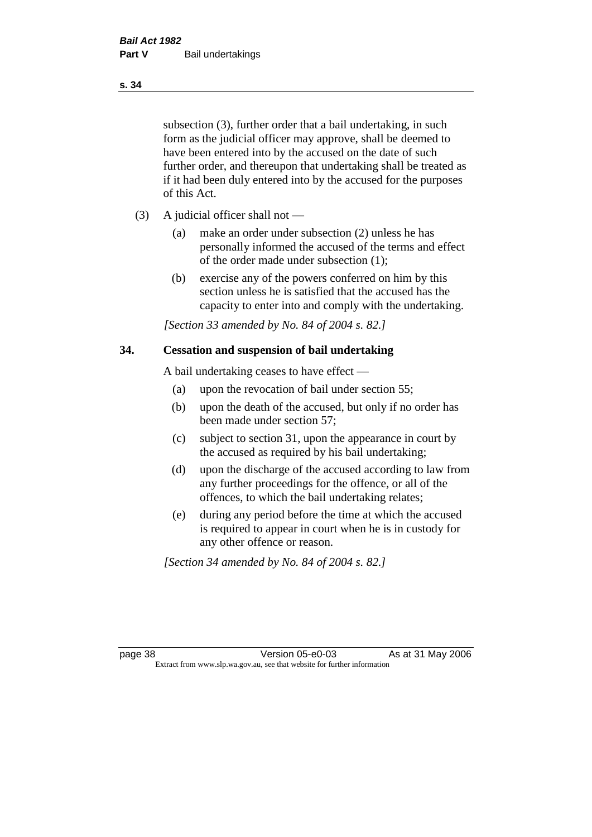subsection (3), further order that a bail undertaking, in such form as the judicial officer may approve, shall be deemed to have been entered into by the accused on the date of such further order, and thereupon that undertaking shall be treated as if it had been duly entered into by the accused for the purposes of this Act.

- (3) A judicial officer shall not
	- (a) make an order under subsection (2) unless he has personally informed the accused of the terms and effect of the order made under subsection (1);
	- (b) exercise any of the powers conferred on him by this section unless he is satisfied that the accused has the capacity to enter into and comply with the undertaking.

*[Section 33 amended by No. 84 of 2004 s. 82.]* 

#### **34. Cessation and suspension of bail undertaking**

A bail undertaking ceases to have effect —

- (a) upon the revocation of bail under section 55;
- (b) upon the death of the accused, but only if no order has been made under section 57;
- (c) subject to section 31, upon the appearance in court by the accused as required by his bail undertaking;
- (d) upon the discharge of the accused according to law from any further proceedings for the offence, or all of the offences, to which the bail undertaking relates;
- (e) during any period before the time at which the accused is required to appear in court when he is in custody for any other offence or reason.

*[Section 34 amended by No. 84 of 2004 s. 82.]* 

page 38 Version 05-e0-03 As at 31 May 2006 Extract from www.slp.wa.gov.au, see that website for further information

**s. 34**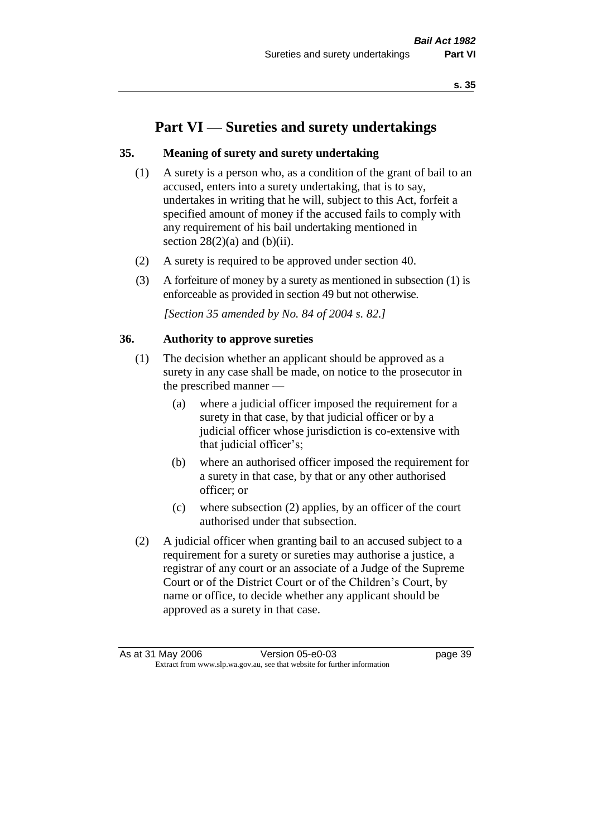# **Part VI — Sureties and surety undertakings**

### **35. Meaning of surety and surety undertaking**

- (1) A surety is a person who, as a condition of the grant of bail to an accused, enters into a surety undertaking, that is to say, undertakes in writing that he will, subject to this Act, forfeit a specified amount of money if the accused fails to comply with any requirement of his bail undertaking mentioned in section  $28(2)(a)$  and  $(b)(ii)$ .
- (2) A surety is required to be approved under section 40.
- (3) A forfeiture of money by a surety as mentioned in subsection (1) is enforceable as provided in section 49 but not otherwise.

*[Section 35 amended by No. 84 of 2004 s. 82.]* 

#### **36. Authority to approve sureties**

- (1) The decision whether an applicant should be approved as a surety in any case shall be made, on notice to the prosecutor in the prescribed manner —
	- (a) where a judicial officer imposed the requirement for a surety in that case, by that judicial officer or by a judicial officer whose jurisdiction is co-extensive with that judicial officer's;
	- (b) where an authorised officer imposed the requirement for a surety in that case, by that or any other authorised officer; or
	- (c) where subsection (2) applies, by an officer of the court authorised under that subsection.
- (2) A judicial officer when granting bail to an accused subject to a requirement for a surety or sureties may authorise a justice, a registrar of any court or an associate of a Judge of the Supreme Court or of the District Court or of the Children's Court, by name or office, to decide whether any applicant should be approved as a surety in that case.

As at 31 May 2006 Version 05-e0-03 page 39 Extract from www.slp.wa.gov.au, see that website for further information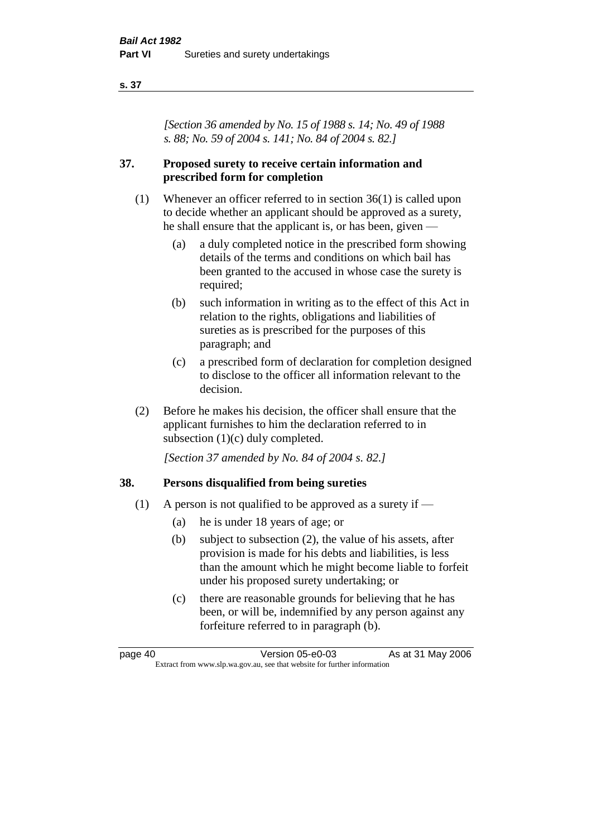#### **s. 37**

*[Section 36 amended by No. 15 of 1988 s. 14; No. 49 of 1988 s. 88; No. 59 of 2004 s. 141; No. 84 of 2004 s. 82.]* 

### **37. Proposed surety to receive certain information and prescribed form for completion**

- (1) Whenever an officer referred to in section 36(1) is called upon to decide whether an applicant should be approved as a surety, he shall ensure that the applicant is, or has been, given —
	- (a) a duly completed notice in the prescribed form showing details of the terms and conditions on which bail has been granted to the accused in whose case the surety is required;
	- (b) such information in writing as to the effect of this Act in relation to the rights, obligations and liabilities of sureties as is prescribed for the purposes of this paragraph; and
	- (c) a prescribed form of declaration for completion designed to disclose to the officer all information relevant to the decision.
- (2) Before he makes his decision, the officer shall ensure that the applicant furnishes to him the declaration referred to in subsection (1)(c) duly completed.

*[Section 37 amended by No. 84 of 2004 s. 82.]* 

### **38. Persons disqualified from being sureties**

- (1) A person is not qualified to be approved as a surety if  $-$ 
	- (a) he is under 18 years of age; or
	- (b) subject to subsection (2), the value of his assets, after provision is made for his debts and liabilities, is less than the amount which he might become liable to forfeit under his proposed surety undertaking; or
	- (c) there are reasonable grounds for believing that he has been, or will be, indemnified by any person against any forfeiture referred to in paragraph (b).

page 40 Version 05-e0-03 As at 31 May 2006 Extract from www.slp.wa.gov.au, see that website for further information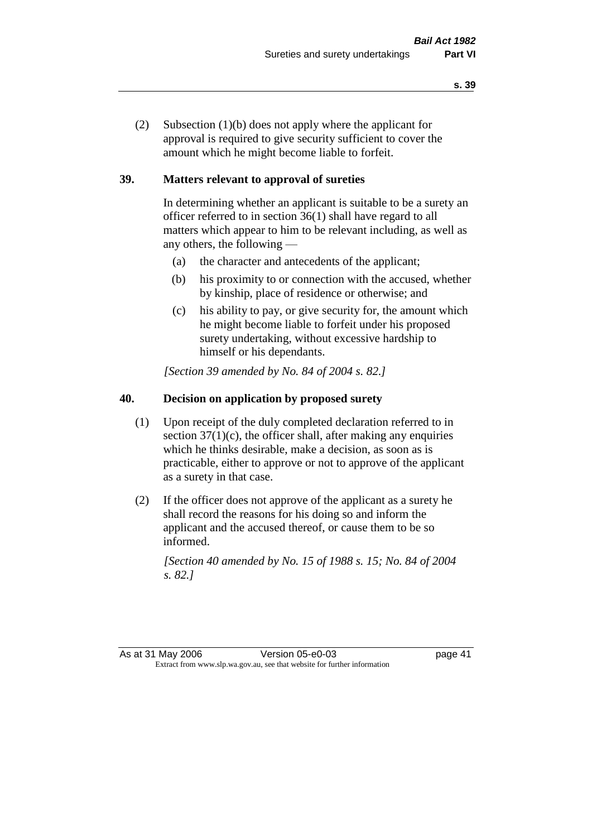(2) Subsection (1)(b) does not apply where the applicant for approval is required to give security sufficient to cover the amount which he might become liable to forfeit.

## **39. Matters relevant to approval of sureties**

In determining whether an applicant is suitable to be a surety an officer referred to in section 36(1) shall have regard to all matters which appear to him to be relevant including, as well as any others, the following —

- (a) the character and antecedents of the applicant;
- (b) his proximity to or connection with the accused, whether by kinship, place of residence or otherwise; and
- (c) his ability to pay, or give security for, the amount which he might become liable to forfeit under his proposed surety undertaking, without excessive hardship to himself or his dependants.

*[Section 39 amended by No. 84 of 2004 s. 82.]* 

# **40. Decision on application by proposed surety**

- (1) Upon receipt of the duly completed declaration referred to in section  $37(1)(c)$ , the officer shall, after making any enquiries which he thinks desirable, make a decision, as soon as is practicable, either to approve or not to approve of the applicant as a surety in that case.
- (2) If the officer does not approve of the applicant as a surety he shall record the reasons for his doing so and inform the applicant and the accused thereof, or cause them to be so informed.

*[Section 40 amended by No. 15 of 1988 s. 15; No. 84 of 2004 s. 82.]* 

As at 31 May 2006 Version 05-e0-03 page 41 Extract from www.slp.wa.gov.au, see that website for further information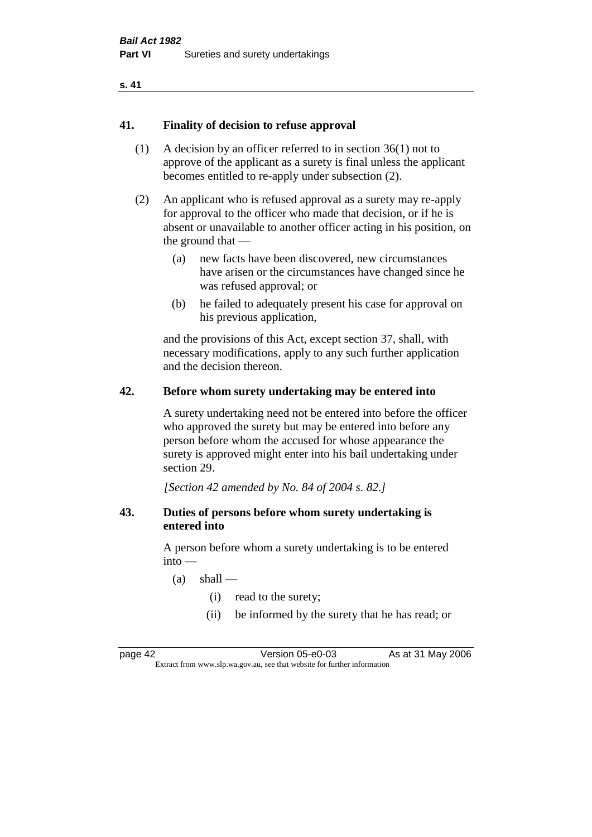#### **s. 41**

#### **41. Finality of decision to refuse approval**

- (1) A decision by an officer referred to in section 36(1) not to approve of the applicant as a surety is final unless the applicant becomes entitled to re-apply under subsection (2).
- (2) An applicant who is refused approval as a surety may re-apply for approval to the officer who made that decision, or if he is absent or unavailable to another officer acting in his position, on the ground that —
	- (a) new facts have been discovered, new circumstances have arisen or the circumstances have changed since he was refused approval; or
	- (b) he failed to adequately present his case for approval on his previous application,

and the provisions of this Act, except section 37, shall, with necessary modifications, apply to any such further application and the decision thereon.

#### **42. Before whom surety undertaking may be entered into**

A surety undertaking need not be entered into before the officer who approved the surety but may be entered into before any person before whom the accused for whose appearance the surety is approved might enter into his bail undertaking under section 29.

*[Section 42 amended by No. 84 of 2004 s. 82.]* 

#### **43. Duties of persons before whom surety undertaking is entered into**

A person before whom a surety undertaking is to be entered  $into -$ 

- $(a)$  shall
	- (i) read to the surety;
	- (ii) be informed by the surety that he has read; or

page 42 Version 05-e0-03 As at 31 May 2006 Extract from www.slp.wa.gov.au, see that website for further information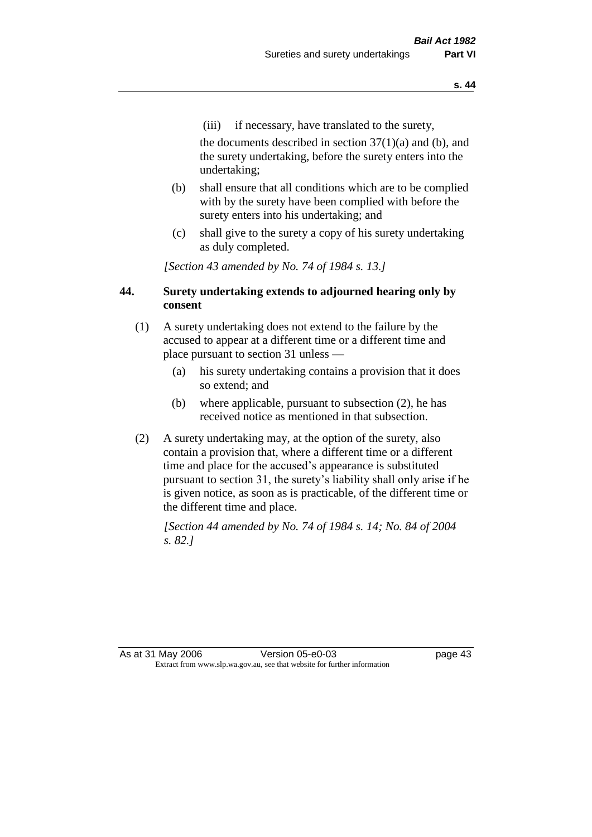(iii) if necessary, have translated to the surety,

the documents described in section  $37(1)(a)$  and (b), and the surety undertaking, before the surety enters into the undertaking;

- (b) shall ensure that all conditions which are to be complied with by the surety have been complied with before the surety enters into his undertaking; and
- (c) shall give to the surety a copy of his surety undertaking as duly completed.

*[Section 43 amended by No. 74 of 1984 s. 13.]* 

## **44. Surety undertaking extends to adjourned hearing only by consent**

- (1) A surety undertaking does not extend to the failure by the accused to appear at a different time or a different time and place pursuant to section 31 unless —
	- (a) his surety undertaking contains a provision that it does so extend; and
	- (b) where applicable, pursuant to subsection (2), he has received notice as mentioned in that subsection.
- (2) A surety undertaking may, at the option of the surety, also contain a provision that, where a different time or a different time and place for the accused's appearance is substituted pursuant to section 31, the surety's liability shall only arise if he is given notice, as soon as is practicable, of the different time or the different time and place.

*[Section 44 amended by No. 74 of 1984 s. 14; No. 84 of 2004 s. 82.]* 

As at 31 May 2006 Version 05-e0-03 page 43 Extract from www.slp.wa.gov.au, see that website for further information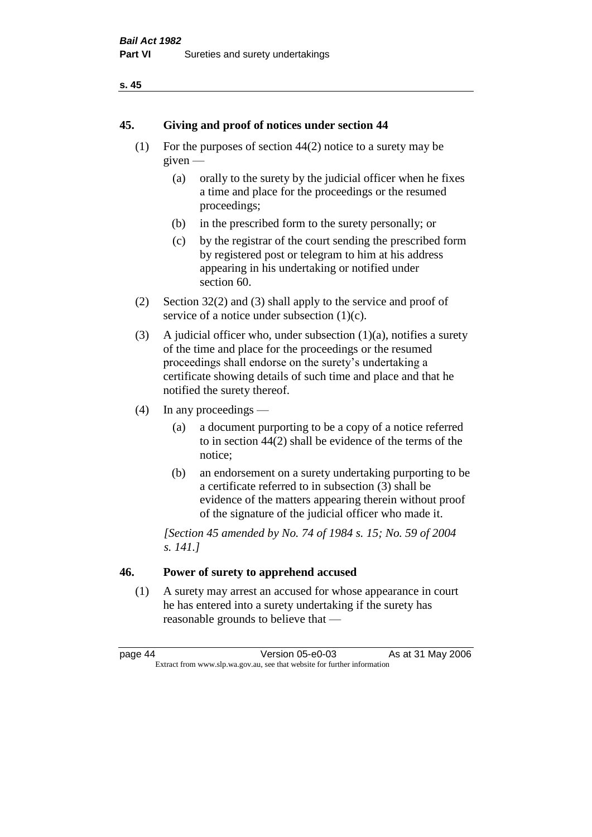#### **s. 45**

#### **45. Giving and proof of notices under section 44**

- (1) For the purposes of section 44(2) notice to a surety may be given —
	- (a) orally to the surety by the judicial officer when he fixes a time and place for the proceedings or the resumed proceedings;
	- (b) in the prescribed form to the surety personally; or
	- (c) by the registrar of the court sending the prescribed form by registered post or telegram to him at his address appearing in his undertaking or notified under section 60.
- (2) Section 32(2) and (3) shall apply to the service and proof of service of a notice under subsection  $(1)(c)$ .
- (3) A judicial officer who, under subsection  $(1)(a)$ , notifies a surety of the time and place for the proceedings or the resumed proceedings shall endorse on the surety's undertaking a certificate showing details of such time and place and that he notified the surety thereof.
- (4) In any proceedings
	- (a) a document purporting to be a copy of a notice referred to in section 44(2) shall be evidence of the terms of the notice;
	- (b) an endorsement on a surety undertaking purporting to be a certificate referred to in subsection (3) shall be evidence of the matters appearing therein without proof of the signature of the judicial officer who made it.

*[Section 45 amended by No. 74 of 1984 s. 15; No. 59 of 2004 s. 141.]* 

# **46. Power of surety to apprehend accused**

(1) A surety may arrest an accused for whose appearance in court he has entered into a surety undertaking if the surety has reasonable grounds to believe that —

page 44 Version 05-e0-03 As at 31 May 2006 Extract from www.slp.wa.gov.au, see that website for further information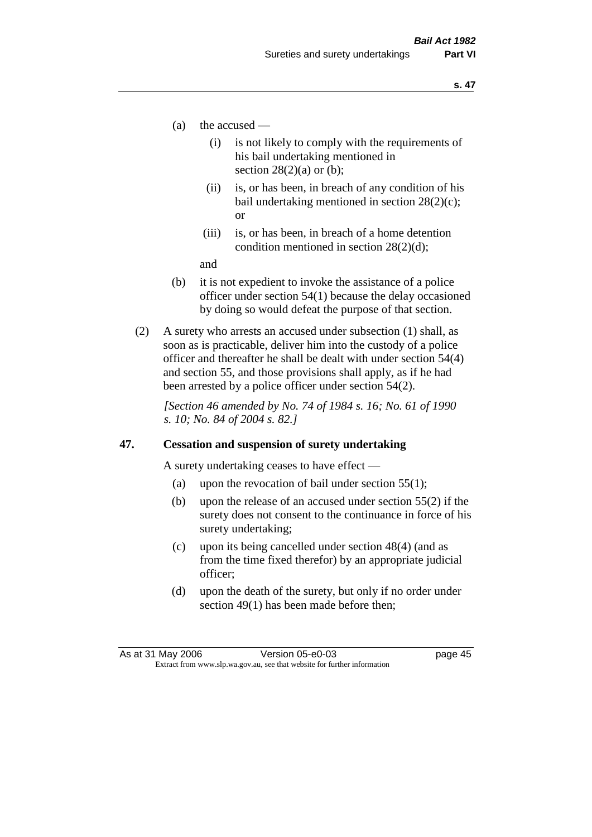- (a) the accused
	- (i) is not likely to comply with the requirements of his bail undertaking mentioned in section  $28(2)(a)$  or (b):
	- (ii) is, or has been, in breach of any condition of his bail undertaking mentioned in section 28(2)(c); or
	- (iii) is, or has been, in breach of a home detention condition mentioned in section 28(2)(d);

and

- (b) it is not expedient to invoke the assistance of a police officer under section 54(1) because the delay occasioned by doing so would defeat the purpose of that section.
- (2) A surety who arrests an accused under subsection (1) shall, as soon as is practicable, deliver him into the custody of a police officer and thereafter he shall be dealt with under section 54(4) and section 55, and those provisions shall apply, as if he had been arrested by a police officer under section 54(2).

*[Section 46 amended by No. 74 of 1984 s. 16; No. 61 of 1990 s. 10; No. 84 of 2004 s. 82.]* 

#### **47. Cessation and suspension of surety undertaking**

A surety undertaking ceases to have effect —

- (a) upon the revocation of bail under section  $55(1)$ ;
- (b) upon the release of an accused under section 55(2) if the surety does not consent to the continuance in force of his surety undertaking;
- (c) upon its being cancelled under section 48(4) (and as from the time fixed therefor) by an appropriate judicial officer;
- (d) upon the death of the surety, but only if no order under section 49(1) has been made before then;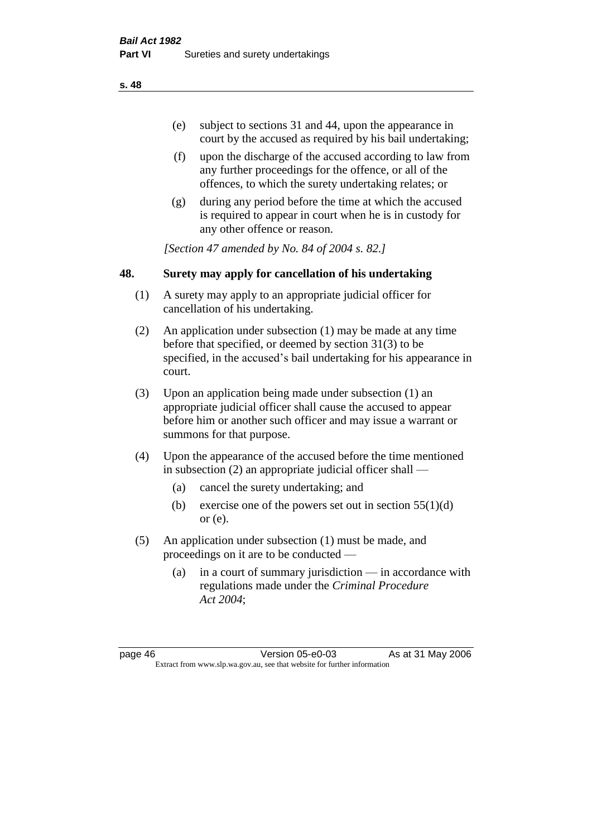- (e) subject to sections 31 and 44, upon the appearance in court by the accused as required by his bail undertaking;
- (f) upon the discharge of the accused according to law from any further proceedings for the offence, or all of the offences, to which the surety undertaking relates; or
- (g) during any period before the time at which the accused is required to appear in court when he is in custody for any other offence or reason.

*[Section 47 amended by No. 84 of 2004 s. 82.]* 

## **48. Surety may apply for cancellation of his undertaking**

- (1) A surety may apply to an appropriate judicial officer for cancellation of his undertaking.
- (2) An application under subsection (1) may be made at any time before that specified, or deemed by section 31(3) to be specified, in the accused's bail undertaking for his appearance in court.
- (3) Upon an application being made under subsection (1) an appropriate judicial officer shall cause the accused to appear before him or another such officer and may issue a warrant or summons for that purpose.
- (4) Upon the appearance of the accused before the time mentioned in subsection (2) an appropriate judicial officer shall —
	- (a) cancel the surety undertaking; and
	- (b) exercise one of the powers set out in section  $55(1)(d)$ or (e).
- (5) An application under subsection (1) must be made, and proceedings on it are to be conducted —
	- (a) in a court of summary jurisdiction in accordance with regulations made under the *Criminal Procedure Act 2004*;

page 46 Version 05-e0-03 As at 31 May 2006 Extract from www.slp.wa.gov.au, see that website for further information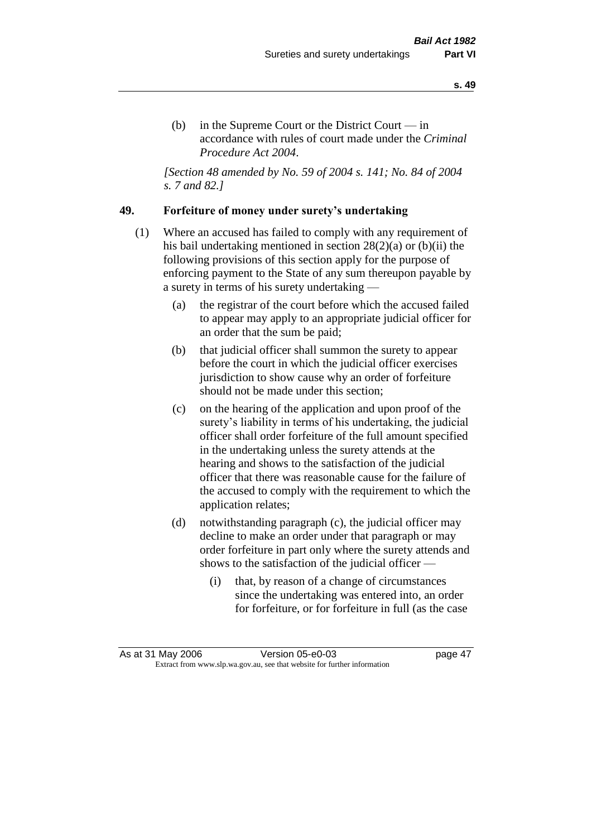(b) in the Supreme Court or the District Court  $-\text{in}$ accordance with rules of court made under the *Criminal Procedure Act 2004*.

*[Section 48 amended by No. 59 of 2004 s. 141; No. 84 of 2004 s. 7 and 82.]* 

## **49. Forfeiture of money under surety's undertaking**

- (1) Where an accused has failed to comply with any requirement of his bail undertaking mentioned in section 28(2)(a) or (b)(ii) the following provisions of this section apply for the purpose of enforcing payment to the State of any sum thereupon payable by a surety in terms of his surety undertaking —
	- (a) the registrar of the court before which the accused failed to appear may apply to an appropriate judicial officer for an order that the sum be paid;
	- (b) that judicial officer shall summon the surety to appear before the court in which the judicial officer exercises jurisdiction to show cause why an order of forfeiture should not be made under this section;
	- (c) on the hearing of the application and upon proof of the surety's liability in terms of his undertaking, the judicial officer shall order forfeiture of the full amount specified in the undertaking unless the surety attends at the hearing and shows to the satisfaction of the judicial officer that there was reasonable cause for the failure of the accused to comply with the requirement to which the application relates;
	- (d) notwithstanding paragraph (c), the judicial officer may decline to make an order under that paragraph or may order forfeiture in part only where the surety attends and shows to the satisfaction of the judicial officer —
		- (i) that, by reason of a change of circumstances since the undertaking was entered into, an order for forfeiture, or for forfeiture in full (as the case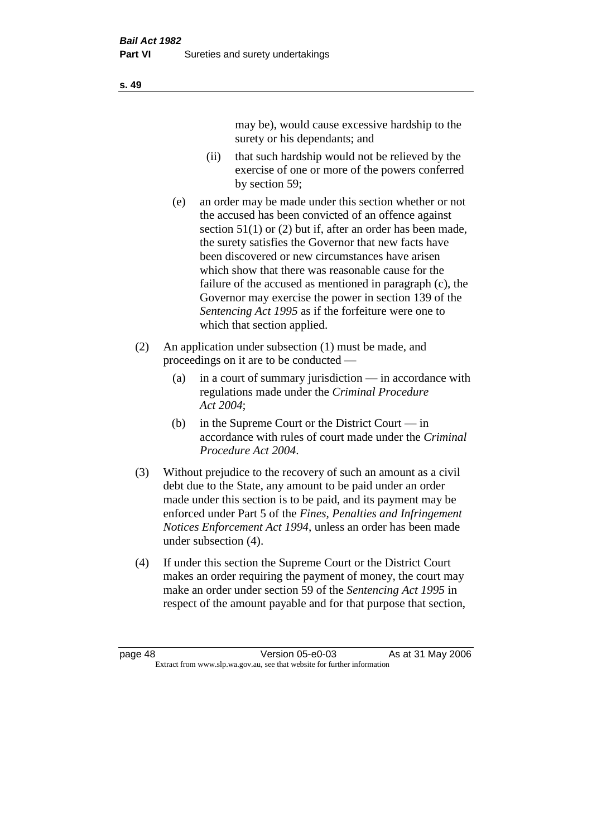may be), would cause excessive hardship to the surety or his dependants; and

- (ii) that such hardship would not be relieved by the exercise of one or more of the powers conferred by section 59;
- (e) an order may be made under this section whether or not the accused has been convicted of an offence against section 51(1) or (2) but if, after an order has been made, the surety satisfies the Governor that new facts have been discovered or new circumstances have arisen which show that there was reasonable cause for the failure of the accused as mentioned in paragraph (c), the Governor may exercise the power in section 139 of the *Sentencing Act 1995* as if the forfeiture were one to which that section applied.
- (2) An application under subsection (1) must be made, and proceedings on it are to be conducted —
	- (a) in a court of summary jurisdiction in accordance with regulations made under the *Criminal Procedure Act 2004*;
	- (b) in the Supreme Court or the District Court  $-\text{in}$ accordance with rules of court made under the *Criminal Procedure Act 2004*.
- (3) Without prejudice to the recovery of such an amount as a civil debt due to the State, any amount to be paid under an order made under this section is to be paid, and its payment may be enforced under Part 5 of the *Fines, Penalties and Infringement Notices Enforcement Act 1994*, unless an order has been made under subsection (4).
- (4) If under this section the Supreme Court or the District Court makes an order requiring the payment of money, the court may make an order under section 59 of the *Sentencing Act 1995* in respect of the amount payable and for that purpose that section,

page 48 Version 05-e0-03 As at 31 May 2006 Extract from www.slp.wa.gov.au, see that website for further information

**s. 49**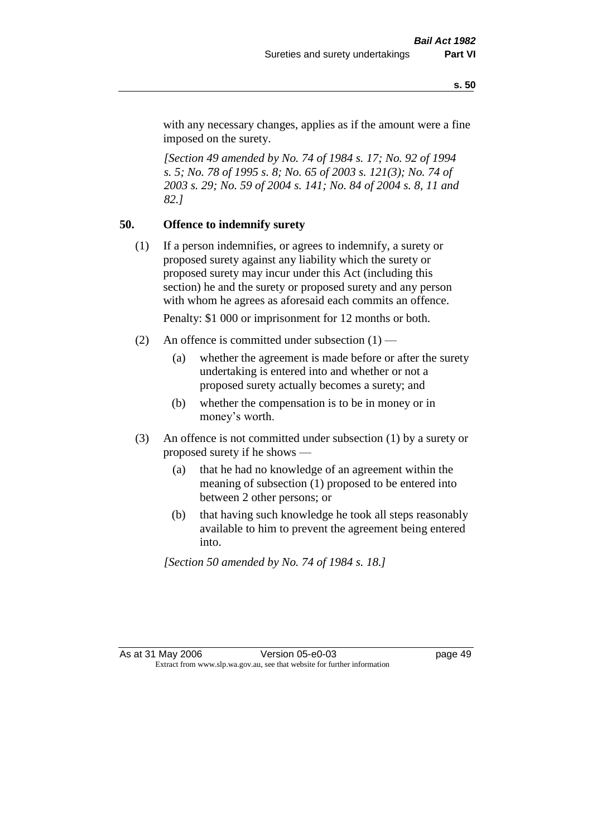with any necessary changes, applies as if the amount were a fine imposed on the surety.

*[Section 49 amended by No. 74 of 1984 s. 17; No. 92 of 1994 s. 5; No. 78 of 1995 s. 8; No. 65 of 2003 s. 121(3); No. 74 of 2003 s. 29; No. 59 of 2004 s. 141; No. 84 of 2004 s. 8, 11 and 82.]* 

### **50. Offence to indemnify surety**

(1) If a person indemnifies, or agrees to indemnify, a surety or proposed surety against any liability which the surety or proposed surety may incur under this Act (including this section) he and the surety or proposed surety and any person with whom he agrees as aforesaid each commits an offence.

Penalty: \$1 000 or imprisonment for 12 months or both.

- (2) An offence is committed under subsection  $(1)$ 
	- (a) whether the agreement is made before or after the surety undertaking is entered into and whether or not a proposed surety actually becomes a surety; and
	- (b) whether the compensation is to be in money or in money's worth.
- (3) An offence is not committed under subsection (1) by a surety or proposed surety if he shows —
	- (a) that he had no knowledge of an agreement within the meaning of subsection (1) proposed to be entered into between 2 other persons; or
	- (b) that having such knowledge he took all steps reasonably available to him to prevent the agreement being entered into.

*[Section 50 amended by No. 74 of 1984 s. 18.]*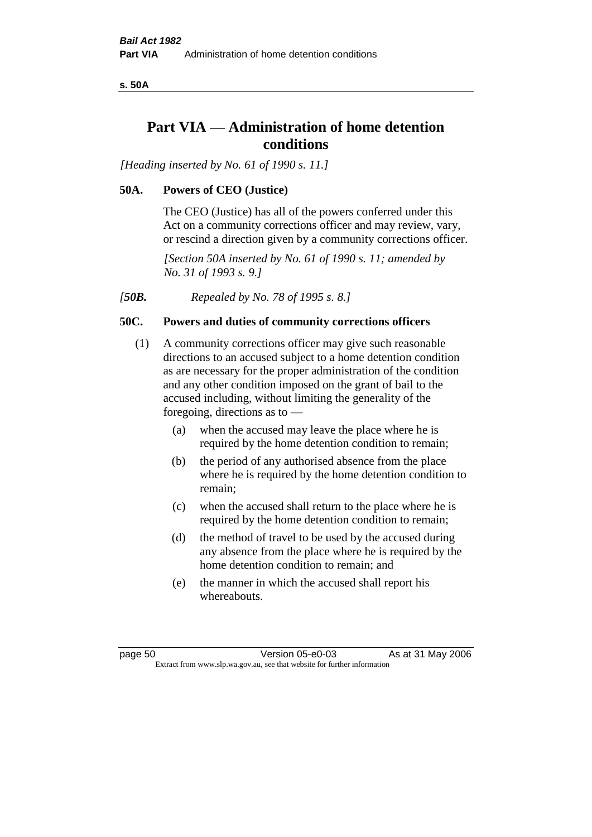**s. 50A**

# **Part VIA — Administration of home detention conditions**

*[Heading inserted by No. 61 of 1990 s. 11.]* 

## **50A. Powers of CEO (Justice)**

The CEO (Justice) has all of the powers conferred under this Act on a community corrections officer and may review, vary, or rescind a direction given by a community corrections officer.

*[Section 50A inserted by No. 61 of 1990 s. 11; amended by No. 31 of 1993 s. 9.]* 

*[50B. Repealed by No. 78 of 1995 s. 8.]* 

## **50C. Powers and duties of community corrections officers**

- (1) A community corrections officer may give such reasonable directions to an accused subject to a home detention condition as are necessary for the proper administration of the condition and any other condition imposed on the grant of bail to the accused including, without limiting the generality of the foregoing, directions as to —
	- (a) when the accused may leave the place where he is required by the home detention condition to remain;
	- (b) the period of any authorised absence from the place where he is required by the home detention condition to remain;
	- (c) when the accused shall return to the place where he is required by the home detention condition to remain;
	- (d) the method of travel to be used by the accused during any absence from the place where he is required by the home detention condition to remain; and
	- (e) the manner in which the accused shall report his whereabouts.

page 50 Version 05-e0-03 As at 31 May 2006 Extract from www.slp.wa.gov.au, see that website for further information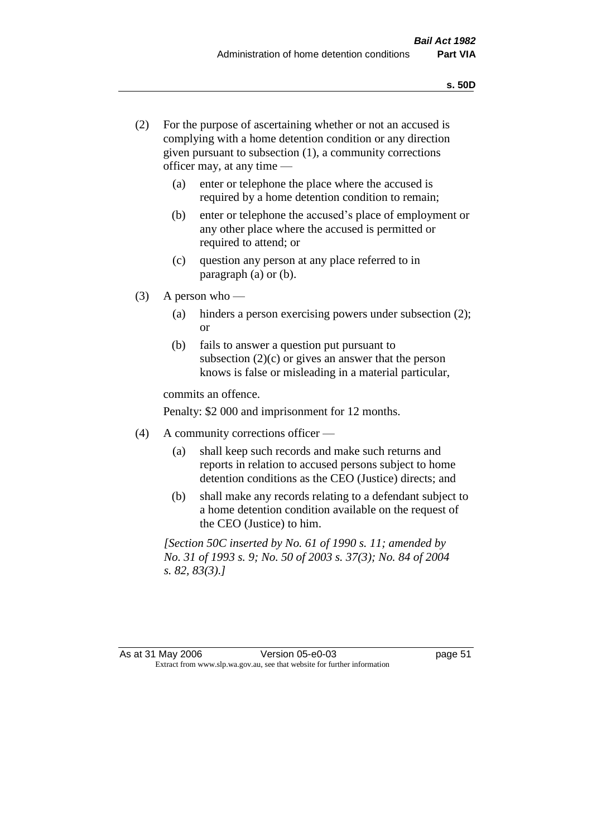- (2) For the purpose of ascertaining whether or not an accused is complying with a home detention condition or any direction given pursuant to subsection (1), a community corrections officer may, at any time —
	- (a) enter or telephone the place where the accused is required by a home detention condition to remain;
	- (b) enter or telephone the accused's place of employment or any other place where the accused is permitted or required to attend; or
	- (c) question any person at any place referred to in paragraph (a) or (b).
- $(3)$  A person who
	- (a) hinders a person exercising powers under subsection (2); or
	- (b) fails to answer a question put pursuant to subsection  $(2)(c)$  or gives an answer that the person knows is false or misleading in a material particular,

commits an offence.

Penalty: \$2 000 and imprisonment for 12 months.

- (4) A community corrections officer
	- (a) shall keep such records and make such returns and reports in relation to accused persons subject to home detention conditions as the CEO (Justice) directs; and
	- (b) shall make any records relating to a defendant subject to a home detention condition available on the request of the CEO (Justice) to him.

*[Section 50C inserted by No. 61 of 1990 s. 11; amended by No. 31 of 1993 s. 9; No. 50 of 2003 s. 37(3); No. 84 of 2004 s. 82, 83(3).]*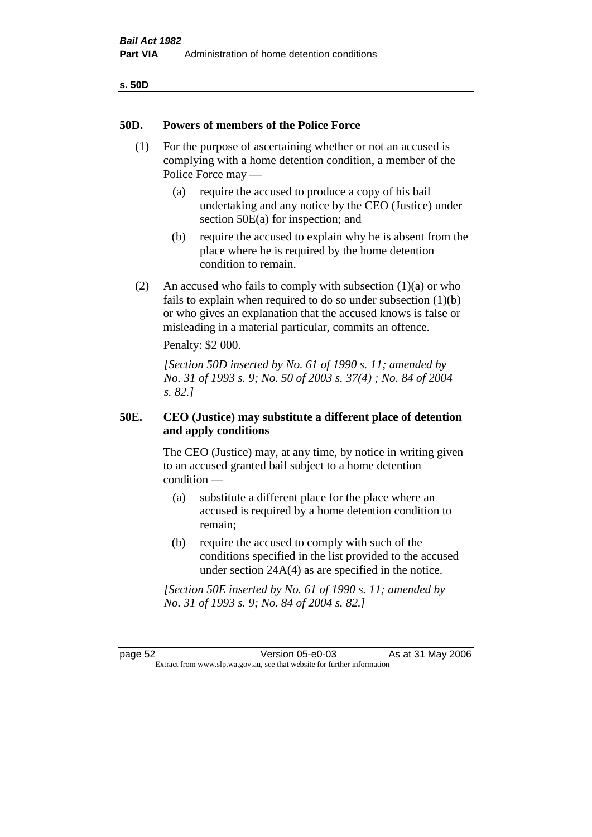| v<br>۰,<br>×<br>۰.<br>× |  |
|-------------------------|--|
|-------------------------|--|

#### **50D. Powers of members of the Police Force**

- (1) For the purpose of ascertaining whether or not an accused is complying with a home detention condition, a member of the Police Force may —
	- (a) require the accused to produce a copy of his bail undertaking and any notice by the CEO (Justice) under section 50E(a) for inspection; and
	- (b) require the accused to explain why he is absent from the place where he is required by the home detention condition to remain.
- (2) An accused who fails to comply with subsection  $(1)(a)$  or who fails to explain when required to do so under subsection (1)(b) or who gives an explanation that the accused knows is false or misleading in a material particular, commits an offence.

Penalty: \$2 000.

*[Section 50D inserted by No. 61 of 1990 s. 11; amended by No. 31 of 1993 s. 9; No. 50 of 2003 s. 37(4) ; No. 84 of 2004 s. 82.]* 

## **50E. CEO (Justice) may substitute a different place of detention and apply conditions**

The CEO (Justice) may, at any time, by notice in writing given to an accused granted bail subject to a home detention condition —

- (a) substitute a different place for the place where an accused is required by a home detention condition to remain;
- (b) require the accused to comply with such of the conditions specified in the list provided to the accused under section 24A(4) as are specified in the notice.

*[Section 50E inserted by No. 61 of 1990 s. 11; amended by No. 31 of 1993 s. 9; No. 84 of 2004 s. 82.]* 

page 52 Version 05-e0-03 As at 31 May 2006 Extract from www.slp.wa.gov.au, see that website for further information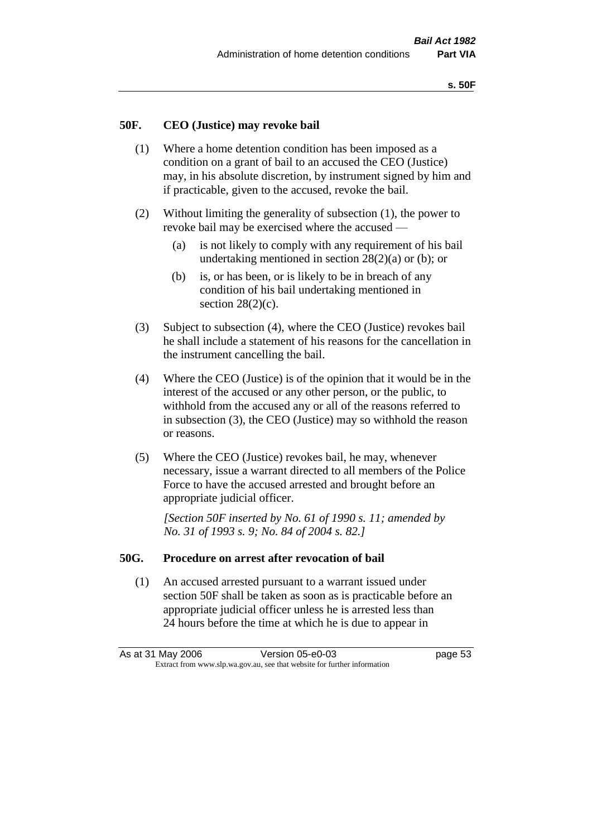#### **50F. CEO (Justice) may revoke bail**

- (1) Where a home detention condition has been imposed as a condition on a grant of bail to an accused the CEO (Justice) may, in his absolute discretion, by instrument signed by him and if practicable, given to the accused, revoke the bail.
- (2) Without limiting the generality of subsection (1), the power to revoke bail may be exercised where the accused —
	- (a) is not likely to comply with any requirement of his bail undertaking mentioned in section  $28(2)(a)$  or (b); or
	- (b) is, or has been, or is likely to be in breach of any condition of his bail undertaking mentioned in section  $28(2)(c)$ .
- (3) Subject to subsection (4), where the CEO (Justice) revokes bail he shall include a statement of his reasons for the cancellation in the instrument cancelling the bail.
- (4) Where the CEO (Justice) is of the opinion that it would be in the interest of the accused or any other person, or the public, to withhold from the accused any or all of the reasons referred to in subsection (3), the CEO (Justice) may so withhold the reason or reasons.
- (5) Where the CEO (Justice) revokes bail, he may, whenever necessary, issue a warrant directed to all members of the Police Force to have the accused arrested and brought before an appropriate judicial officer.

*[Section 50F inserted by No. 61 of 1990 s. 11; amended by No. 31 of 1993 s. 9; No. 84 of 2004 s. 82.]* 

#### **50G. Procedure on arrest after revocation of bail**

(1) An accused arrested pursuant to a warrant issued under section 50F shall be taken as soon as is practicable before an appropriate judicial officer unless he is arrested less than 24 hours before the time at which he is due to appear in

As at 31 May 2006 Version 05-e0-03 page 53 Extract from www.slp.wa.gov.au, see that website for further information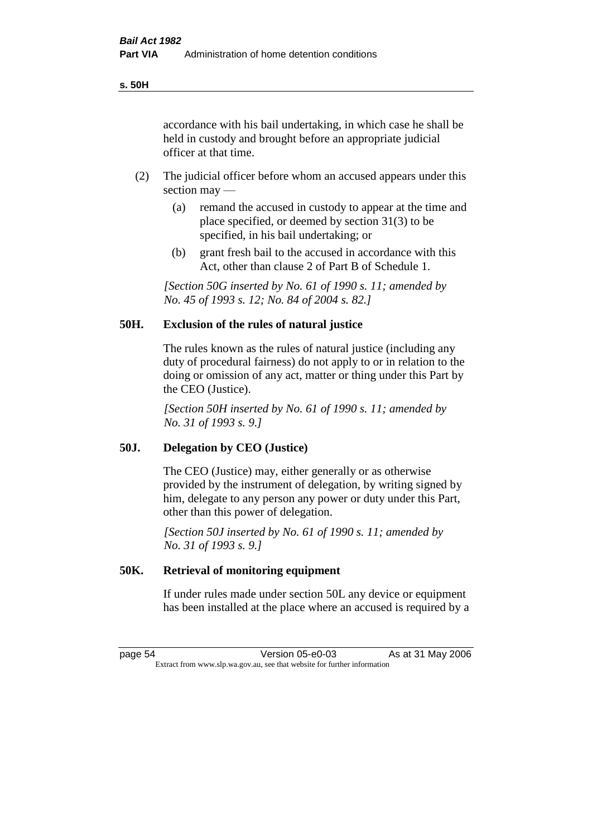accordance with his bail undertaking, in which case he shall be held in custody and brought before an appropriate judicial officer at that time.

- (2) The judicial officer before whom an accused appears under this section may —
	- (a) remand the accused in custody to appear at the time and place specified, or deemed by section 31(3) to be specified, in his bail undertaking; or
	- (b) grant fresh bail to the accused in accordance with this Act, other than clause 2 of Part B of Schedule 1.

*[Section 50G inserted by No. 61 of 1990 s. 11; amended by No. 45 of 1993 s. 12; No. 84 of 2004 s. 82.]* 

## **50H. Exclusion of the rules of natural justice**

The rules known as the rules of natural justice (including any duty of procedural fairness) do not apply to or in relation to the doing or omission of any act, matter or thing under this Part by the CEO (Justice).

*[Section 50H inserted by No. 61 of 1990 s. 11; amended by No. 31 of 1993 s. 9.]* 

### **50J. Delegation by CEO (Justice)**

The CEO (Justice) may, either generally or as otherwise provided by the instrument of delegation, by writing signed by him, delegate to any person any power or duty under this Part, other than this power of delegation.

*[Section 50J inserted by No. 61 of 1990 s. 11; amended by No. 31 of 1993 s. 9.]*

#### **50K. Retrieval of monitoring equipment**

If under rules made under section 50L any device or equipment has been installed at the place where an accused is required by a

page 54 Version 05-e0-03 As at 31 May 2006 Extract from www.slp.wa.gov.au, see that website for further information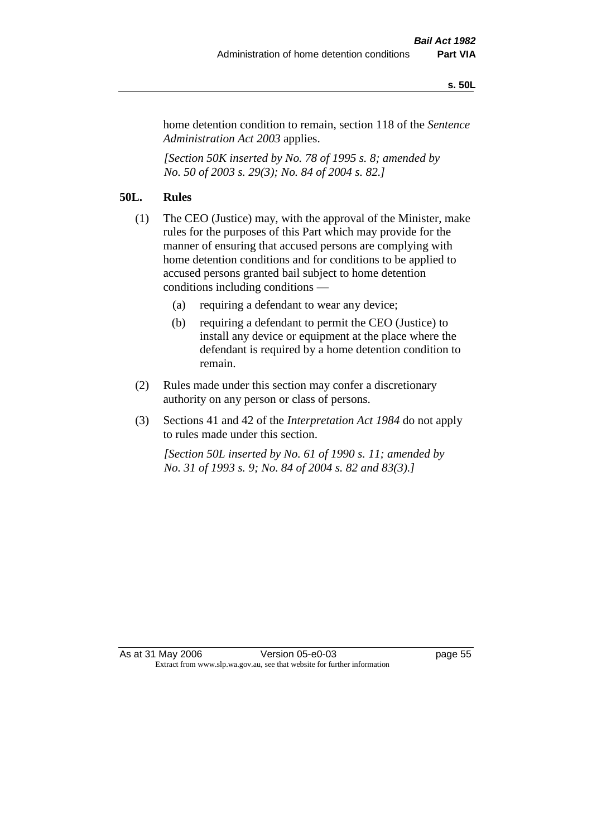#### **s. 50L**

home detention condition to remain, section 118 of the *Sentence Administration Act 2003* applies.

*[Section 50K inserted by No. 78 of 1995 s. 8; amended by No. 50 of 2003 s. 29(3); No. 84 of 2004 s. 82.]* 

# **50L. Rules**

- (1) The CEO (Justice) may, with the approval of the Minister, make rules for the purposes of this Part which may provide for the manner of ensuring that accused persons are complying with home detention conditions and for conditions to be applied to accused persons granted bail subject to home detention conditions including conditions —
	- (a) requiring a defendant to wear any device;
	- (b) requiring a defendant to permit the CEO (Justice) to install any device or equipment at the place where the defendant is required by a home detention condition to remain.
- (2) Rules made under this section may confer a discretionary authority on any person or class of persons.
- (3) Sections 41 and 42 of the *Interpretation Act 1984* do not apply to rules made under this section.

*[Section 50L inserted by No. 61 of 1990 s. 11; amended by No. 31 of 1993 s. 9; No. 84 of 2004 s. 82 and 83(3).]*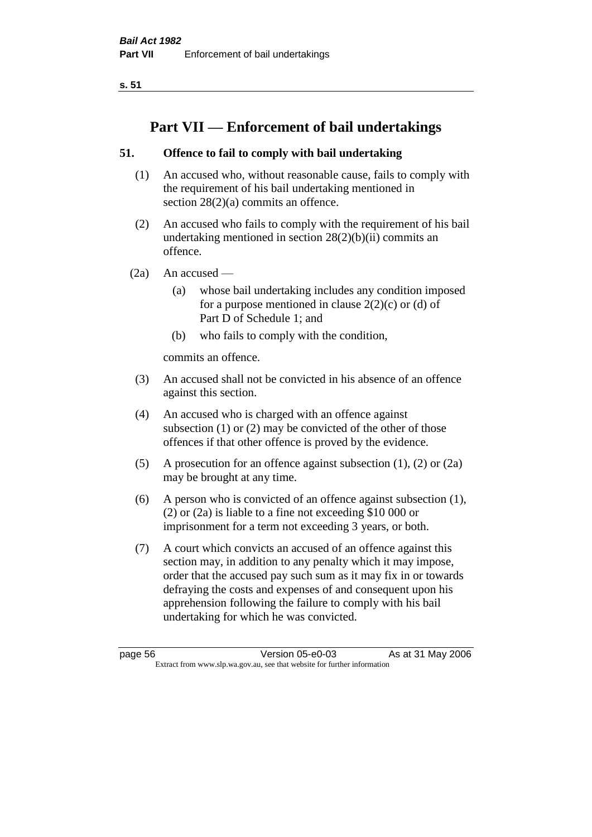**s. 51**

# **Part VII — Enforcement of bail undertakings**

# **51. Offence to fail to comply with bail undertaking**

- (1) An accused who, without reasonable cause, fails to comply with the requirement of his bail undertaking mentioned in section 28(2)(a) commits an offence.
- (2) An accused who fails to comply with the requirement of his bail undertaking mentioned in section  $28(2)(b)(ii)$  commits an offence.
- $(2a)$  An accused
	- (a) whose bail undertaking includes any condition imposed for a purpose mentioned in clause  $2(2)(c)$  or (d) of Part D of Schedule 1; and
	- (b) who fails to comply with the condition,

commits an offence.

- (3) An accused shall not be convicted in his absence of an offence against this section.
- (4) An accused who is charged with an offence against subsection (1) or (2) may be convicted of the other of those offences if that other offence is proved by the evidence.
- (5) A prosecution for an offence against subsection (1), (2) or (2a) may be brought at any time.
- (6) A person who is convicted of an offence against subsection (1), (2) or (2a) is liable to a fine not exceeding \$10 000 or imprisonment for a term not exceeding 3 years, or both.
- (7) A court which convicts an accused of an offence against this section may, in addition to any penalty which it may impose, order that the accused pay such sum as it may fix in or towards defraying the costs and expenses of and consequent upon his apprehension following the failure to comply with his bail undertaking for which he was convicted.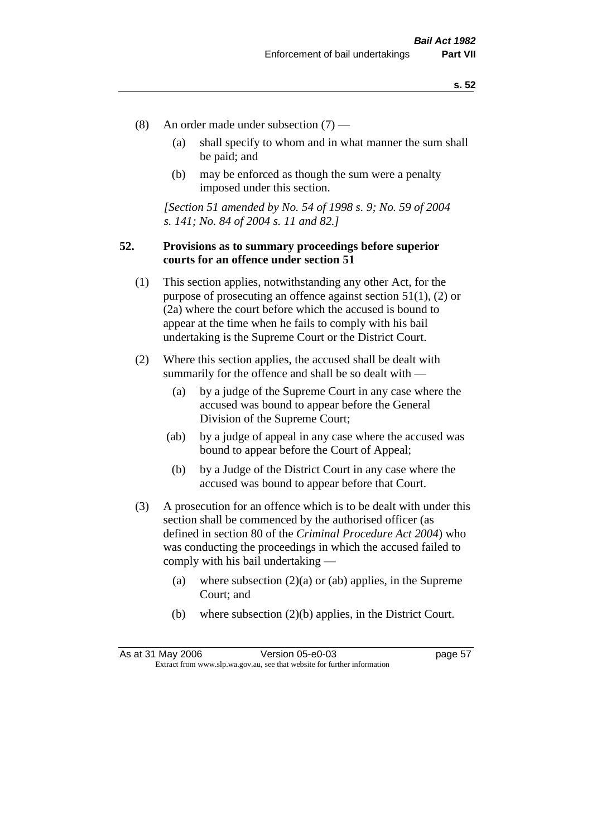- (8) An order made under subsection (7)
	- (a) shall specify to whom and in what manner the sum shall be paid; and
	- (b) may be enforced as though the sum were a penalty imposed under this section.

*[Section 51 amended by No. 54 of 1998 s. 9; No. 59 of 2004 s. 141; No. 84 of 2004 s. 11 and 82.]*

## **52. Provisions as to summary proceedings before superior courts for an offence under section 51**

- (1) This section applies, notwithstanding any other Act, for the purpose of prosecuting an offence against section 51(1), (2) or (2a) where the court before which the accused is bound to appear at the time when he fails to comply with his bail undertaking is the Supreme Court or the District Court.
- (2) Where this section applies, the accused shall be dealt with summarily for the offence and shall be so dealt with —
	- (a) by a judge of the Supreme Court in any case where the accused was bound to appear before the General Division of the Supreme Court;
	- (ab) by a judge of appeal in any case where the accused was bound to appear before the Court of Appeal;
	- (b) by a Judge of the District Court in any case where the accused was bound to appear before that Court.
- (3) A prosecution for an offence which is to be dealt with under this section shall be commenced by the authorised officer (as defined in section 80 of the *Criminal Procedure Act 2004*) who was conducting the proceedings in which the accused failed to comply with his bail undertaking —
	- (a) where subsection  $(2)(a)$  or (ab) applies, in the Supreme Court; and
	- (b) where subsection (2)(b) applies, in the District Court.

As at 31 May 2006 Version 05-e0-03 Page 57 Extract from www.slp.wa.gov.au, see that website for further information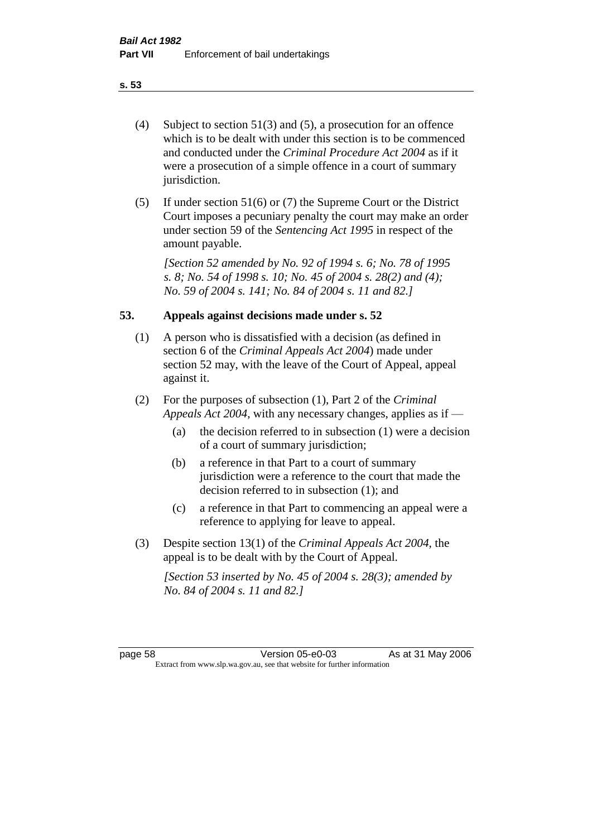- (4) Subject to section 51(3) and (5), a prosecution for an offence which is to be dealt with under this section is to be commenced and conducted under the *Criminal Procedure Act 2004* as if it were a prosecution of a simple offence in a court of summary jurisdiction.
- (5) If under section 51(6) or (7) the Supreme Court or the District Court imposes a pecuniary penalty the court may make an order under section 59 of the *Sentencing Act 1995* in respect of the amount payable.

*[Section 52 amended by No. 92 of 1994 s. 6; No. 78 of 1995 s. 8; No. 54 of 1998 s. 10; No. 45 of 2004 s. 28(2) and (4); No. 59 of 2004 s. 141; No. 84 of 2004 s. 11 and 82.]* 

### **53. Appeals against decisions made under s. 52**

- (1) A person who is dissatisfied with a decision (as defined in section 6 of the *Criminal Appeals Act 2004*) made under section 52 may, with the leave of the Court of Appeal, appeal against it.
- (2) For the purposes of subsection (1), Part 2 of the *Criminal Appeals Act 2004*, with any necessary changes, applies as if —
	- (a) the decision referred to in subsection (1) were a decision of a court of summary jurisdiction;
	- (b) a reference in that Part to a court of summary jurisdiction were a reference to the court that made the decision referred to in subsection (1); and
	- (c) a reference in that Part to commencing an appeal were a reference to applying for leave to appeal.
- (3) Despite section 13(1) of the *Criminal Appeals Act 2004*, the appeal is to be dealt with by the Court of Appeal.

*[Section 53 inserted by No. 45 of 2004 s. 28(3); amended by No. 84 of 2004 s. 11 and 82.]*

page 58 Version 05-e0-03 As at 31 May 2006 Extract from www.slp.wa.gov.au, see that website for further information

#### **s. 53**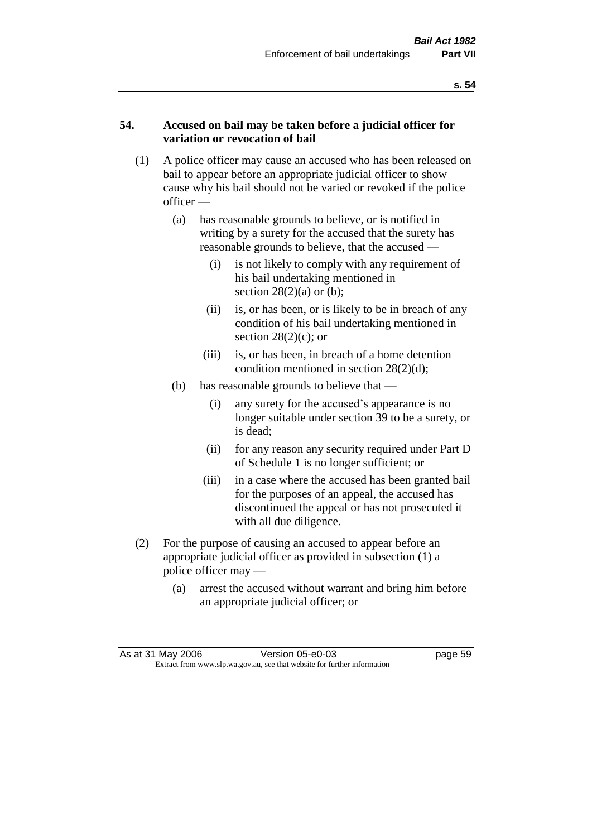### **54. Accused on bail may be taken before a judicial officer for variation or revocation of bail**

- (1) A police officer may cause an accused who has been released on bail to appear before an appropriate judicial officer to show cause why his bail should not be varied or revoked if the police officer —
	- (a) has reasonable grounds to believe, or is notified in writing by a surety for the accused that the surety has reasonable grounds to believe, that the accused —
		- (i) is not likely to comply with any requirement of his bail undertaking mentioned in section  $28(2)(a)$  or (b);
		- (ii) is, or has been, or is likely to be in breach of any condition of his bail undertaking mentioned in section  $28(2)(c)$ ; or
		- (iii) is, or has been, in breach of a home detention condition mentioned in section 28(2)(d);
	- (b) has reasonable grounds to believe that
		- (i) any surety for the accused's appearance is no longer suitable under section 39 to be a surety, or is dead;
		- (ii) for any reason any security required under Part D of Schedule 1 is no longer sufficient; or
		- (iii) in a case where the accused has been granted bail for the purposes of an appeal, the accused has discontinued the appeal or has not prosecuted it with all due diligence.
- (2) For the purpose of causing an accused to appear before an appropriate judicial officer as provided in subsection (1) a police officer may —
	- (a) arrest the accused without warrant and bring him before an appropriate judicial officer; or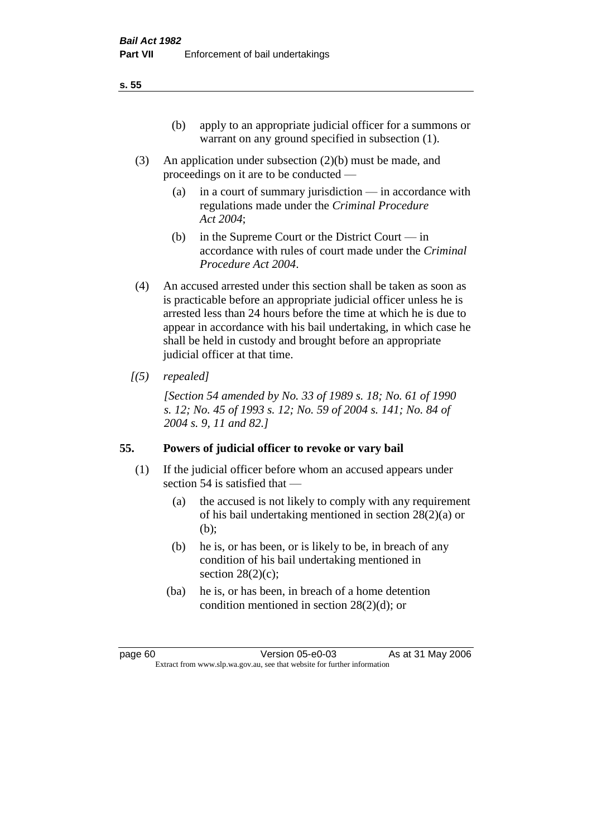- (3) An application under subsection (2)(b) must be made, and proceedings on it are to be conducted —
	- (a) in a court of summary jurisdiction in accordance with regulations made under the *Criminal Procedure Act 2004*;
	- (b) in the Supreme Court or the District Court  $-\text{in}$ accordance with rules of court made under the *Criminal Procedure Act 2004*.
- (4) An accused arrested under this section shall be taken as soon as is practicable before an appropriate judicial officer unless he is arrested less than 24 hours before the time at which he is due to appear in accordance with his bail undertaking, in which case he shall be held in custody and brought before an appropriate judicial officer at that time.
- *[(5) repealed]*

*[Section 54 amended by No. 33 of 1989 s. 18; No. 61 of 1990 s. 12; No. 45 of 1993 s. 12; No. 59 of 2004 s. 141; No. 84 of 2004 s. 9, 11 and 82.]* 

# **55. Powers of judicial officer to revoke or vary bail**

- (1) If the judicial officer before whom an accused appears under section 54 is satisfied that —
	- (a) the accused is not likely to comply with any requirement of his bail undertaking mentioned in section 28(2)(a) or (b);
	- (b) he is, or has been, or is likely to be, in breach of any condition of his bail undertaking mentioned in section  $28(2)(c)$ ;
	- (ba) he is, or has been, in breach of a home detention condition mentioned in section 28(2)(d); or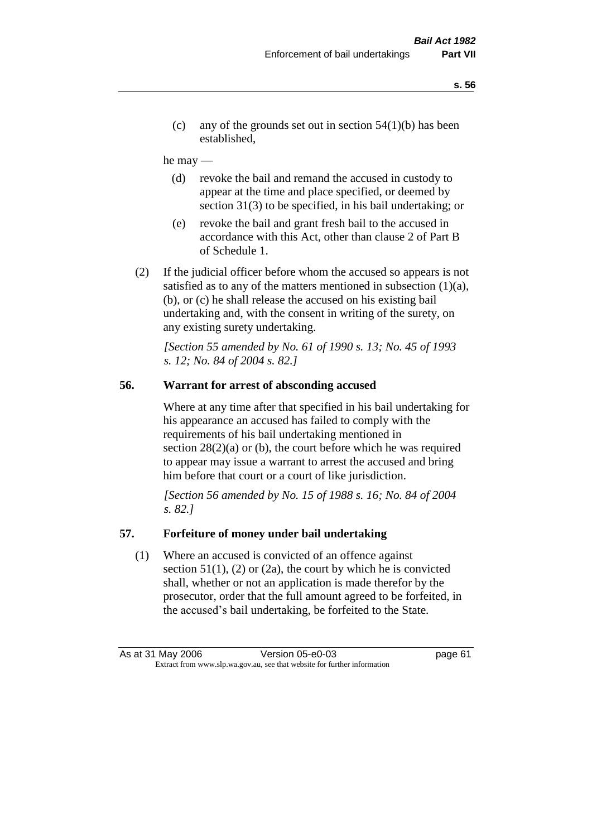(c) any of the grounds set out in section  $54(1)(b)$  has been established,

#### he may —

- (d) revoke the bail and remand the accused in custody to appear at the time and place specified, or deemed by section 31(3) to be specified, in his bail undertaking; or
- (e) revoke the bail and grant fresh bail to the accused in accordance with this Act, other than clause 2 of Part B of Schedule 1.
- (2) If the judicial officer before whom the accused so appears is not satisfied as to any of the matters mentioned in subsection  $(1)(a)$ , (b), or (c) he shall release the accused on his existing bail undertaking and, with the consent in writing of the surety, on any existing surety undertaking.

*[Section 55 amended by No. 61 of 1990 s. 13; No. 45 of 1993 s. 12; No. 84 of 2004 s. 82.]* 

## **56. Warrant for arrest of absconding accused**

Where at any time after that specified in his bail undertaking for his appearance an accused has failed to comply with the requirements of his bail undertaking mentioned in section  $28(2)(a)$  or (b), the court before which he was required to appear may issue a warrant to arrest the accused and bring him before that court or a court of like jurisdiction.

*[Section 56 amended by No. 15 of 1988 s. 16; No. 84 of 2004 s. 82.]* 

### **57. Forfeiture of money under bail undertaking**

(1) Where an accused is convicted of an offence against section  $51(1)$ ,  $(2)$  or  $(2a)$ , the court by which he is convicted shall, whether or not an application is made therefor by the prosecutor, order that the full amount agreed to be forfeited, in the accused's bail undertaking, be forfeited to the State.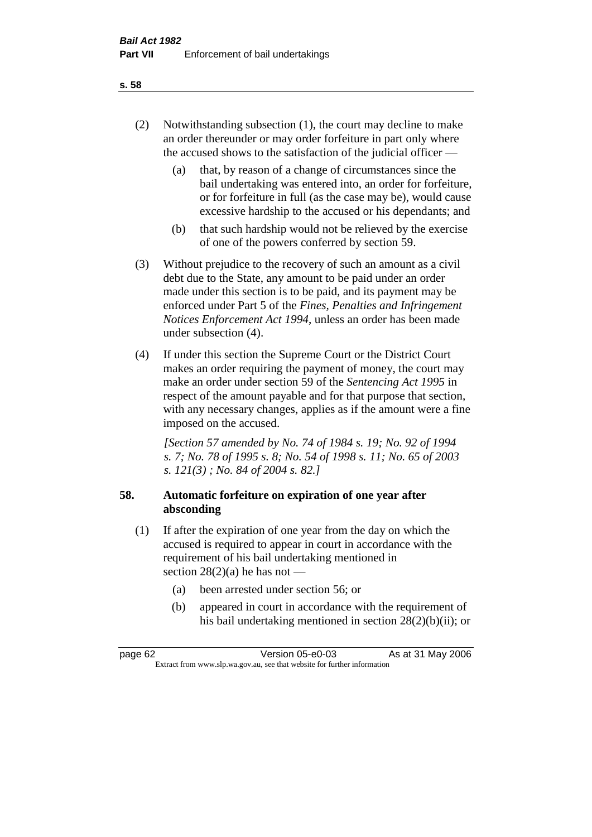- (2) Notwithstanding subsection (1), the court may decline to make an order thereunder or may order forfeiture in part only where the accused shows to the satisfaction of the judicial officer —
	- (a) that, by reason of a change of circumstances since the bail undertaking was entered into, an order for forfeiture, or for forfeiture in full (as the case may be), would cause excessive hardship to the accused or his dependants; and
	- (b) that such hardship would not be relieved by the exercise of one of the powers conferred by section 59.
- (3) Without prejudice to the recovery of such an amount as a civil debt due to the State, any amount to be paid under an order made under this section is to be paid, and its payment may be enforced under Part 5 of the *Fines, Penalties and Infringement Notices Enforcement Act 1994*, unless an order has been made under subsection (4).
- (4) If under this section the Supreme Court or the District Court makes an order requiring the payment of money, the court may make an order under section 59 of the *Sentencing Act 1995* in respect of the amount payable and for that purpose that section, with any necessary changes, applies as if the amount were a fine imposed on the accused.

*[Section 57 amended by No. 74 of 1984 s. 19; No. 92 of 1994 s. 7; No. 78 of 1995 s. 8; No. 54 of 1998 s. 11; No. 65 of 2003 s. 121(3) ; No. 84 of 2004 s. 82.]* 

# **58. Automatic forfeiture on expiration of one year after absconding**

- (1) If after the expiration of one year from the day on which the accused is required to appear in court in accordance with the requirement of his bail undertaking mentioned in section  $28(2)(a)$  he has not —
	- (a) been arrested under section 56; or
	- (b) appeared in court in accordance with the requirement of his bail undertaking mentioned in section 28(2)(b)(ii); or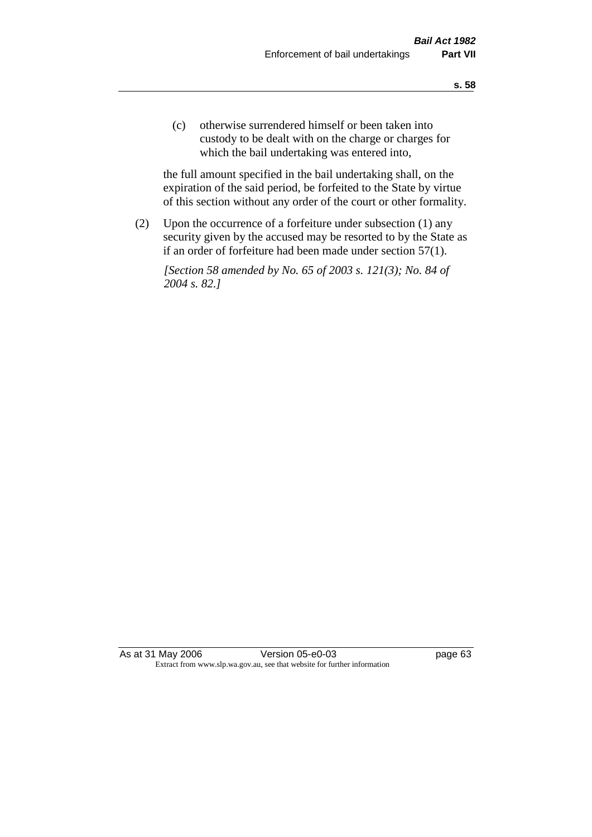(c) otherwise surrendered himself or been taken into custody to be dealt with on the charge or charges for which the bail undertaking was entered into,

the full amount specified in the bail undertaking shall, on the expiration of the said period, be forfeited to the State by virtue of this section without any order of the court or other formality.

(2) Upon the occurrence of a forfeiture under subsection (1) any security given by the accused may be resorted to by the State as if an order of forfeiture had been made under section 57(1).

*[Section 58 amended by No. 65 of 2003 s. 121(3); No. 84 of 2004 s. 82.]*

As at 31 May 2006 Version 05-e0-03 page 63 Extract from www.slp.wa.gov.au, see that website for further information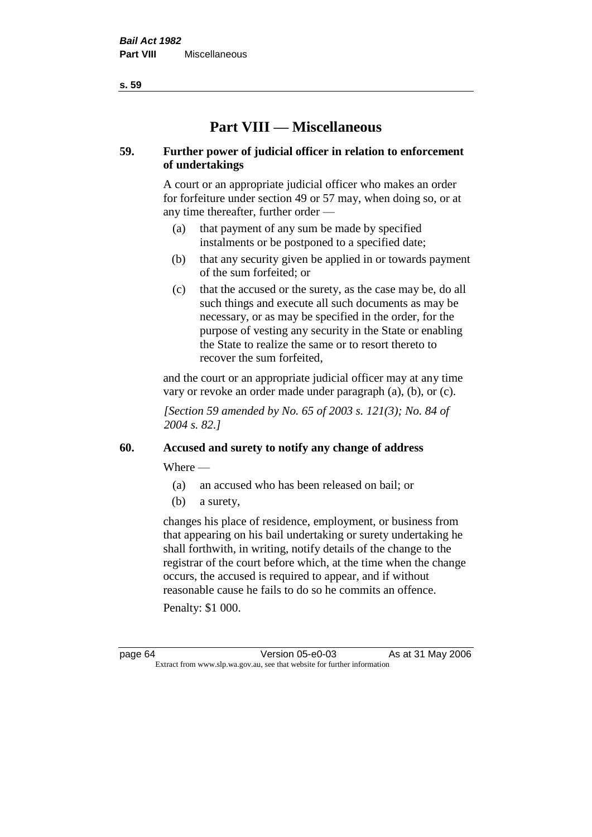**s. 59**

# **Part VIII — Miscellaneous**

# **59. Further power of judicial officer in relation to enforcement of undertakings**

A court or an appropriate judicial officer who makes an order for forfeiture under section 49 or 57 may, when doing so, or at any time thereafter, further order —

- (a) that payment of any sum be made by specified instalments or be postponed to a specified date;
- (b) that any security given be applied in or towards payment of the sum forfeited; or
- (c) that the accused or the surety, as the case may be, do all such things and execute all such documents as may be necessary, or as may be specified in the order, for the purpose of vesting any security in the State or enabling the State to realize the same or to resort thereto to recover the sum forfeited,

and the court or an appropriate judicial officer may at any time vary or revoke an order made under paragraph (a), (b), or (c).

*[Section 59 amended by No. 65 of 2003 s. 121(3); No. 84 of 2004 s. 82.]*

# **60. Accused and surety to notify any change of address**

Where —

- (a) an accused who has been released on bail; or
- (b) a surety,

changes his place of residence, employment, or business from that appearing on his bail undertaking or surety undertaking he shall forthwith, in writing, notify details of the change to the registrar of the court before which, at the time when the change occurs, the accused is required to appear, and if without reasonable cause he fails to do so he commits an offence.

Penalty: \$1 000.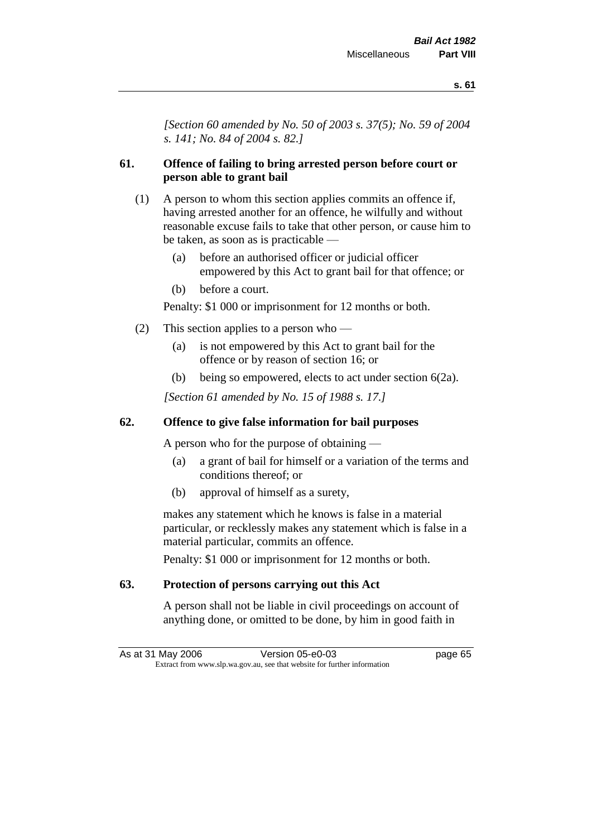*[Section 60 amended by No. 50 of 2003 s. 37(5); No. 59 of 2004 s. 141; No. 84 of 2004 s. 82.]*

# **61. Offence of failing to bring arrested person before court or person able to grant bail**

- (1) A person to whom this section applies commits an offence if, having arrested another for an offence, he wilfully and without reasonable excuse fails to take that other person, or cause him to be taken, as soon as is practicable —
	- (a) before an authorised officer or judicial officer empowered by this Act to grant bail for that offence; or
	- (b) before a court.

Penalty: \$1 000 or imprisonment for 12 months or both.

- (2) This section applies to a person who
	- (a) is not empowered by this Act to grant bail for the offence or by reason of section 16; or
	- (b) being so empowered, elects to act under section 6(2a).

*[Section 61 amended by No. 15 of 1988 s. 17.]* 

# **62. Offence to give false information for bail purposes**

A person who for the purpose of obtaining —

- (a) a grant of bail for himself or a variation of the terms and conditions thereof; or
- (b) approval of himself as a surety,

makes any statement which he knows is false in a material particular, or recklessly makes any statement which is false in a material particular, commits an offence.

Penalty: \$1 000 or imprisonment for 12 months or both.

# **63. Protection of persons carrying out this Act**

A person shall not be liable in civil proceedings on account of anything done, or omitted to be done, by him in good faith in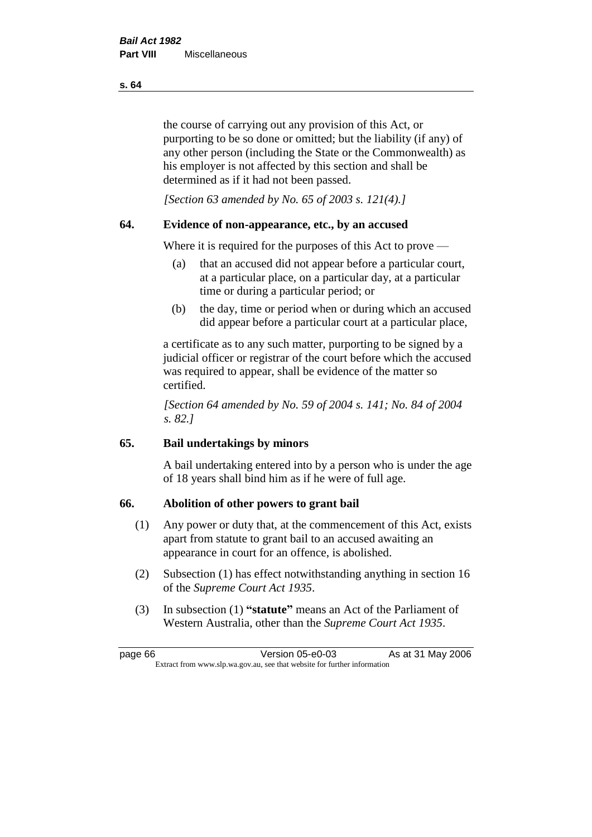the course of carrying out any provision of this Act, or purporting to be so done or omitted; but the liability (if any) of any other person (including the State or the Commonwealth) as his employer is not affected by this section and shall be determined as if it had not been passed.

*[Section 63 amended by No. 65 of 2003 s. 121(4).]*

# **64. Evidence of non-appearance, etc., by an accused**

Where it is required for the purposes of this Act to prove —

- (a) that an accused did not appear before a particular court, at a particular place, on a particular day, at a particular time or during a particular period; or
- (b) the day, time or period when or during which an accused did appear before a particular court at a particular place,

a certificate as to any such matter, purporting to be signed by a judicial officer or registrar of the court before which the accused was required to appear, shall be evidence of the matter so certified.

*[Section 64 amended by No. 59 of 2004 s. 141; No. 84 of 2004 s. 82.]* 

# **65. Bail undertakings by minors**

A bail undertaking entered into by a person who is under the age of 18 years shall bind him as if he were of full age.

# **66. Abolition of other powers to grant bail**

- (1) Any power or duty that, at the commencement of this Act, exists apart from statute to grant bail to an accused awaiting an appearance in court for an offence, is abolished.
- (2) Subsection (1) has effect notwithstanding anything in section 16 of the *Supreme Court Act 1935*.
- (3) In subsection (1) **"statute"** means an Act of the Parliament of Western Australia, other than the *Supreme Court Act 1935*.

page 66 Version 05-e0-03 As at 31 May 2006 Extract from www.slp.wa.gov.au, see that website for further information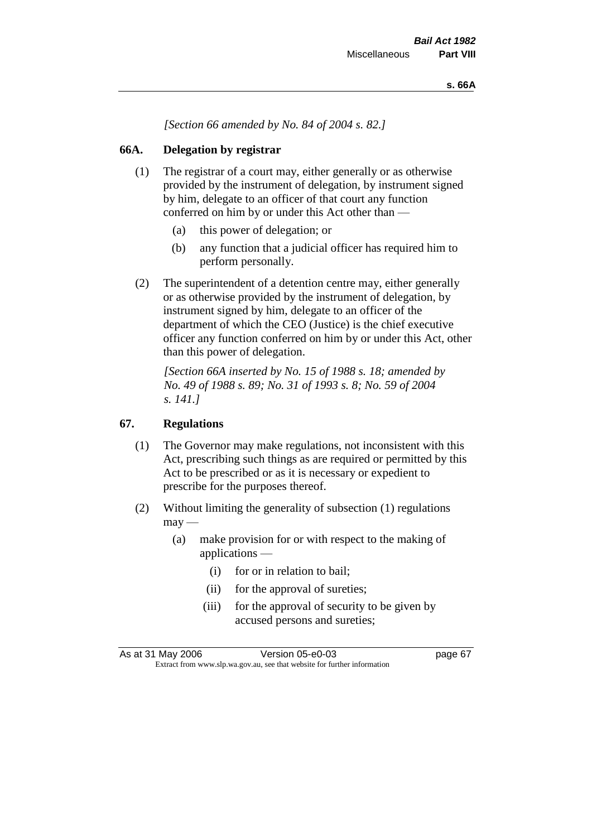*[Section 66 amended by No. 84 of 2004 s. 82.]*

# **66A. Delegation by registrar**

- (1) The registrar of a court may, either generally or as otherwise provided by the instrument of delegation, by instrument signed by him, delegate to an officer of that court any function conferred on him by or under this Act other than —
	- (a) this power of delegation; or
	- (b) any function that a judicial officer has required him to perform personally.
- (2) The superintendent of a detention centre may, either generally or as otherwise provided by the instrument of delegation, by instrument signed by him, delegate to an officer of the department of which the CEO (Justice) is the chief executive officer any function conferred on him by or under this Act, other than this power of delegation.

*[Section 66A inserted by No. 15 of 1988 s. 18; amended by No. 49 of 1988 s. 89; No. 31 of 1993 s. 8; No. 59 of 2004 s. 141.]* 

# **67. Regulations**

- (1) The Governor may make regulations, not inconsistent with this Act, prescribing such things as are required or permitted by this Act to be prescribed or as it is necessary or expedient to prescribe for the purposes thereof.
- (2) Without limiting the generality of subsection (1) regulations  $\text{max}$  —
	- (a) make provision for or with respect to the making of applications —
		- (i) for or in relation to bail;
		- (ii) for the approval of sureties;
		- (iii) for the approval of security to be given by accused persons and sureties;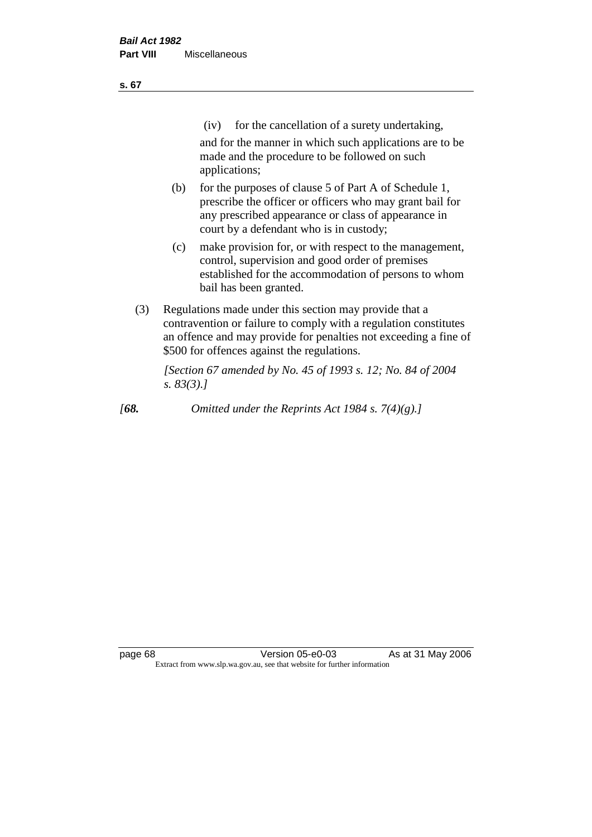| ×<br>v | ۰. |
|--------|----|
|        |    |

(iv) for the cancellation of a surety undertaking,

and for the manner in which such applications are to be made and the procedure to be followed on such applications;

- (b) for the purposes of clause 5 of Part A of Schedule 1, prescribe the officer or officers who may grant bail for any prescribed appearance or class of appearance in court by a defendant who is in custody;
- (c) make provision for, or with respect to the management, control, supervision and good order of premises established for the accommodation of persons to whom bail has been granted.
- (3) Regulations made under this section may provide that a contravention or failure to comply with a regulation constitutes an offence and may provide for penalties not exceeding a fine of \$500 for offences against the regulations.

*[Section 67 amended by No. 45 of 1993 s. 12; No. 84 of 2004 s. 83(3).]* 

*[68. Omitted under the Reprints Act 1984 s. 7(4)(g).]*

page 68 **Version 05-e0-03** As at 31 May 2006 Extract from www.slp.wa.gov.au, see that website for further information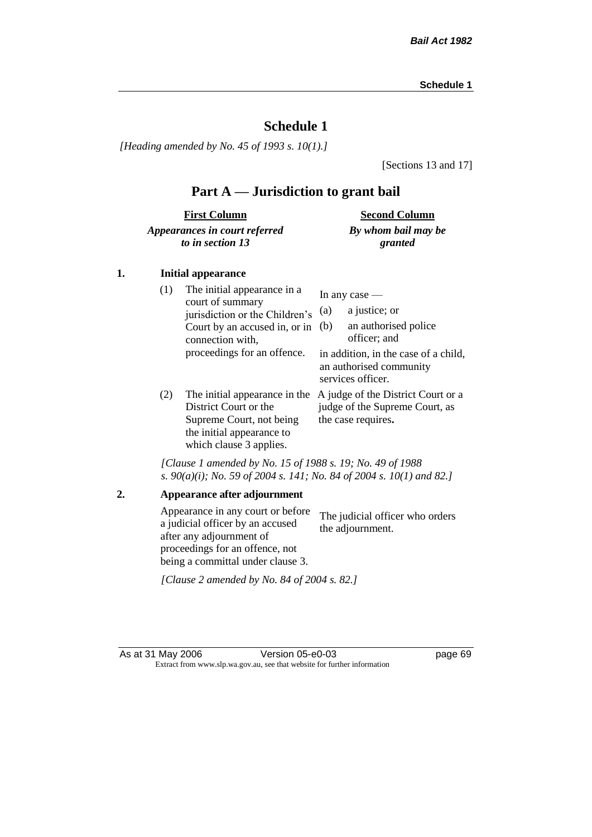*[Heading amended by No. 45 of 1993 s. 10(1).]*

[Sections 13 and 17]

# **Part A — Jurisdiction to grant bail**

| <b>First Column</b>           | <b>Second Column</b> |
|-------------------------------|----------------------|
| Appearances in court referred | By whom bail may be  |
| to in section 13              | granted              |

#### **1. Initial appearance**

| (1) | The initial appearance in a<br>court of summary<br>jurisdiction or the Children's<br>Court by an accused in, or in<br>connection with,<br>proceedings for an offence. | In any case $-$<br>a justice; or<br>(a)<br>an authorised police<br>(b)<br>officer; and<br>in addition, in the case of a child,<br>an authorised community |
|-----|-----------------------------------------------------------------------------------------------------------------------------------------------------------------------|-----------------------------------------------------------------------------------------------------------------------------------------------------------|
| (2) | The initial appearance in the<br>District Court or the<br>Supreme Court, not being<br>the initial appearance to<br>which clause 3 applies.                            | services officer.<br>A judge of the District Court or a<br>judge of the Supreme Court, as<br>the case requires.                                           |

*[Clause 1 amended by No. 15 of 1988 s. 19; No. 49 of 1988 s. 90(a)(i); No. 59 of 2004 s. 141; No. 84 of 2004 s. 10(1) and 82.]*

**2. Appearance after adjournment** Appearance in any court or before a judicial officer by an accused after any adjournment of proceedings for an offence, not being a committal under clause 3. The judicial officer who orders the adjournment. *[Clause 2 amended by No. 84 of 2004 s. 82.]*

As at 31 May 2006 Version 05-e0-03 page 69 Extract from www.slp.wa.gov.au, see that website for further information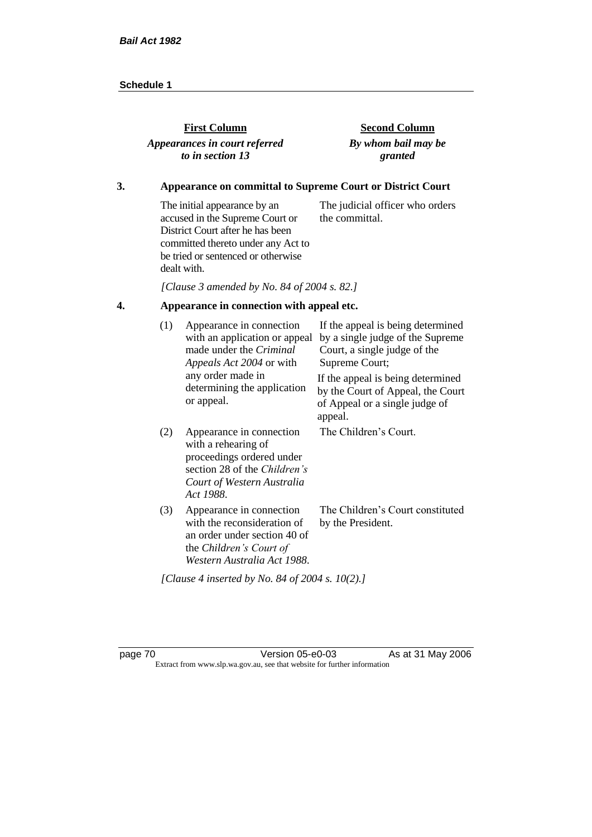| <b>First Column</b>           | <b>Second Column</b> |
|-------------------------------|----------------------|
| Appearances in court referred | By whom bail may be  |
| to in section 13              | granted              |

### **3. Appearance on committal to Supreme Court or District Court**

The initial appearance by an accused in the Supreme Court or District Court after he has been committed thereto under any Act to be tried or sentenced or otherwise dealt with. The judicial officer who orders the committal.

*[Clause 3 amended by No. 84 of 2004 s. 82.]*

# **4. Appearance in connection with appeal etc.**

| (1) | Appearance in connection<br>with an application or appeal<br>made under the Criminal<br>Appeals Act 2004 or with                                        | If the appeal is being determined<br>by a single judge of the Supreme<br>Court, a single judge of the<br>Supreme Court; |
|-----|---------------------------------------------------------------------------------------------------------------------------------------------------------|-------------------------------------------------------------------------------------------------------------------------|
|     | any order made in<br>determining the application<br>or appeal.                                                                                          | If the appeal is being determined<br>by the Court of Appeal, the Court<br>of Appeal or a single judge of<br>appeal.     |
| (2) | Appearance in connection<br>with a rehearing of<br>proceedings ordered under<br>section 28 of the Children's<br>Court of Western Australia<br>Act 1988. | The Children's Court.                                                                                                   |
| (3) | Appearance in connection<br>with the reconsideration of<br>an order under section 40 of<br>the Children's Court of<br>Western Australia Act 1988.       | The Children's Court constituted<br>by the President.                                                                   |
|     | [Clause 4 inserted by No. 84 of 2004 s. 10(2).]                                                                                                         |                                                                                                                         |

page 70 **Version 05-e0-03** As at 31 May 2006 Extract from www.slp.wa.gov.au, see that website for further information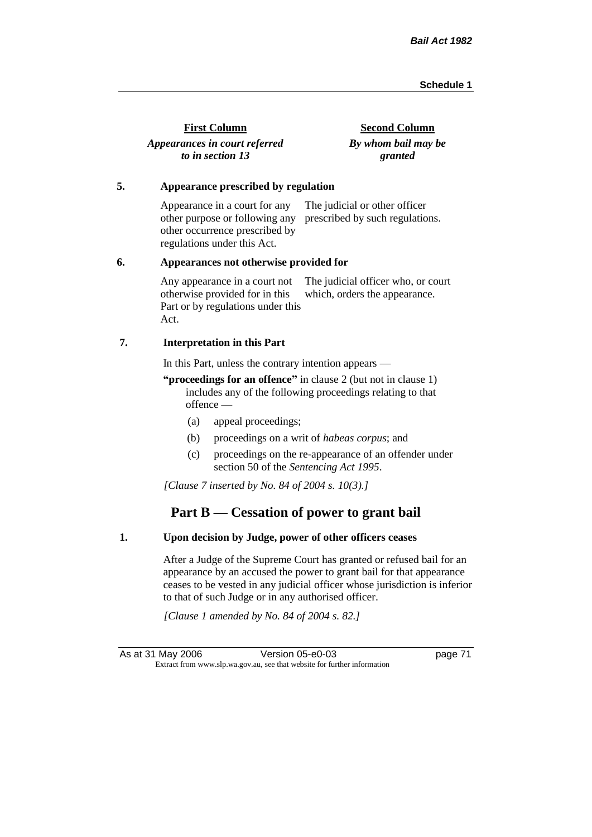| <b>First Column</b>           | <b>Second Column</b> |
|-------------------------------|----------------------|
| Appearances in court referred | By whom bail may be  |
| to in section 13              | granted              |

#### **5. Appearance prescribed by regulation**

Appearance in a court for any other purpose or following any prescribed by such regulations. other occurrence prescribed by regulations under this Act. The judicial or other officer

#### **6. Appearances not otherwise provided for**

Any appearance in a court not otherwise provided for in this Part or by regulations under this Act. The judicial officer who, or court which, orders the appearance.

#### **7. Interpretation in this Part**

In this Part, unless the contrary intention appears —

**"proceedings for an offence"** in clause 2 (but not in clause 1) includes any of the following proceedings relating to that offence —

- (a) appeal proceedings;
- (b) proceedings on a writ of *habeas corpus*; and
- (c) proceedings on the re-appearance of an offender under section 50 of the *Sentencing Act 1995*.

*[Clause 7 inserted by No. 84 of 2004 s. 10(3).]*

# **Part B — Cessation of power to grant bail**

#### **1. Upon decision by Judge, power of other officers ceases**

After a Judge of the Supreme Court has granted or refused bail for an appearance by an accused the power to grant bail for that appearance ceases to be vested in any judicial officer whose jurisdiction is inferior to that of such Judge or in any authorised officer.

*[Clause 1 amended by No. 84 of 2004 s. 82.]*

As at 31 May 2006 Version 05-e0-03 page 71 Extract from www.slp.wa.gov.au, see that website for further information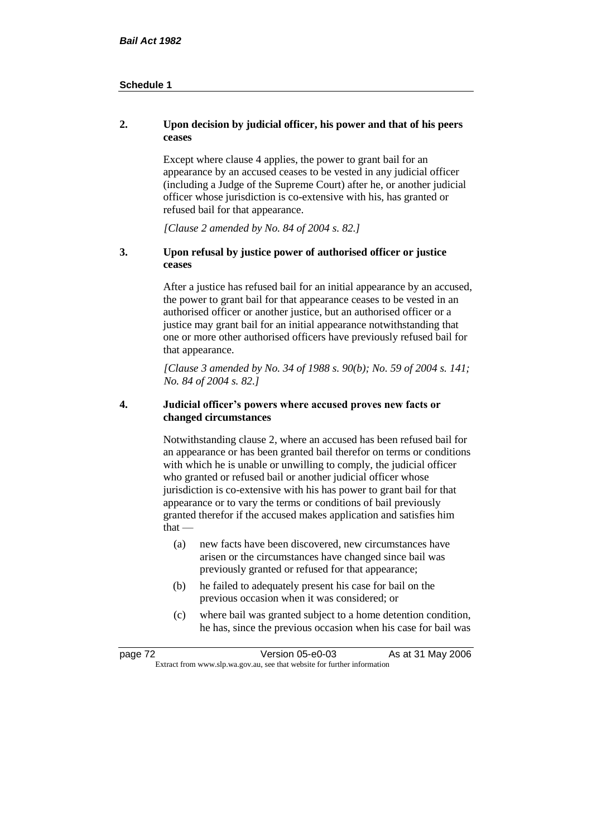#### **2. Upon decision by judicial officer, his power and that of his peers ceases**

Except where clause 4 applies, the power to grant bail for an appearance by an accused ceases to be vested in any judicial officer (including a Judge of the Supreme Court) after he, or another judicial officer whose jurisdiction is co-extensive with his, has granted or refused bail for that appearance.

*[Clause 2 amended by No. 84 of 2004 s. 82.]*

#### **3. Upon refusal by justice power of authorised officer or justice ceases**

After a justice has refused bail for an initial appearance by an accused, the power to grant bail for that appearance ceases to be vested in an authorised officer or another justice, but an authorised officer or a justice may grant bail for an initial appearance notwithstanding that one or more other authorised officers have previously refused bail for that appearance.

*[Clause 3 amended by No. 34 of 1988 s. 90(b); No. 59 of 2004 s. 141; No. 84 of 2004 s. 82.]*

#### **4. Judicial officer's powers where accused proves new facts or changed circumstances**

Notwithstanding clause 2, where an accused has been refused bail for an appearance or has been granted bail therefor on terms or conditions with which he is unable or unwilling to comply, the judicial officer who granted or refused bail or another judicial officer whose jurisdiction is co-extensive with his has power to grant bail for that appearance or to vary the terms or conditions of bail previously granted therefor if the accused makes application and satisfies him  $that -$ 

- (a) new facts have been discovered, new circumstances have arisen or the circumstances have changed since bail was previously granted or refused for that appearance;
- (b) he failed to adequately present his case for bail on the previous occasion when it was considered; or
- (c) where bail was granted subject to a home detention condition, he has, since the previous occasion when his case for bail was

| page 72 | Version 05-e0-03                                                         | As at 31 May 2006 |
|---------|--------------------------------------------------------------------------|-------------------|
|         | Extract from www.slp.wa.gov.au, see that website for further information |                   |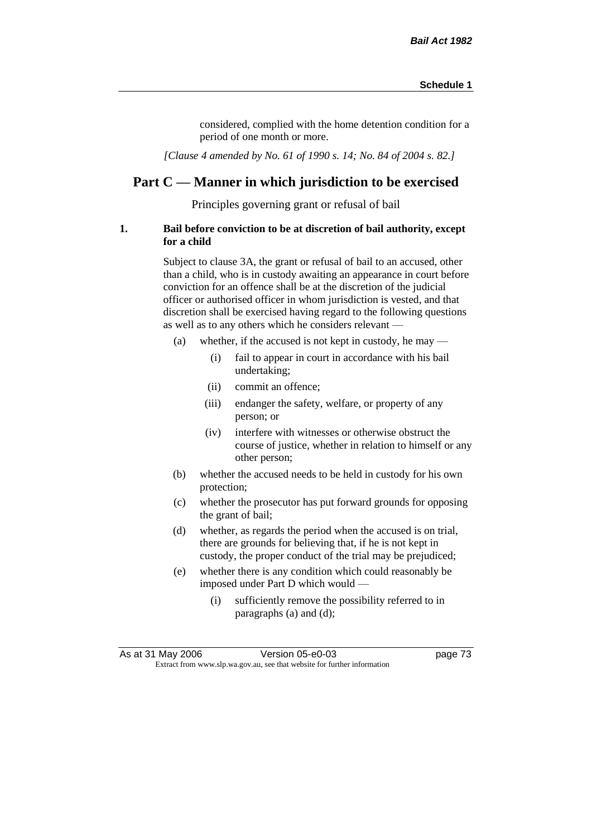considered, complied with the home detention condition for a period of one month or more.

*[Clause 4 amended by No. 61 of 1990 s. 14; No. 84 of 2004 s. 82.]*

# **Part C — Manner in which jurisdiction to be exercised**

Principles governing grant or refusal of bail

#### **1. Bail before conviction to be at discretion of bail authority, except for a child**

Subject to clause 3A, the grant or refusal of bail to an accused, other than a child, who is in custody awaiting an appearance in court before conviction for an offence shall be at the discretion of the judicial officer or authorised officer in whom jurisdiction is vested, and that discretion shall be exercised having regard to the following questions as well as to any others which he considers relevant —

- (a) whether, if the accused is not kept in custody, he may
	- (i) fail to appear in court in accordance with his bail undertaking;
	- (ii) commit an offence;
	- (iii) endanger the safety, welfare, or property of any person; or
	- (iv) interfere with witnesses or otherwise obstruct the course of justice, whether in relation to himself or any other person;
- (b) whether the accused needs to be held in custody for his own protection;
- (c) whether the prosecutor has put forward grounds for opposing the grant of bail;
- (d) whether, as regards the period when the accused is on trial, there are grounds for believing that, if he is not kept in custody, the proper conduct of the trial may be prejudiced;
- (e) whether there is any condition which could reasonably be imposed under Part D which would —
	- (i) sufficiently remove the possibility referred to in paragraphs (a) and (d);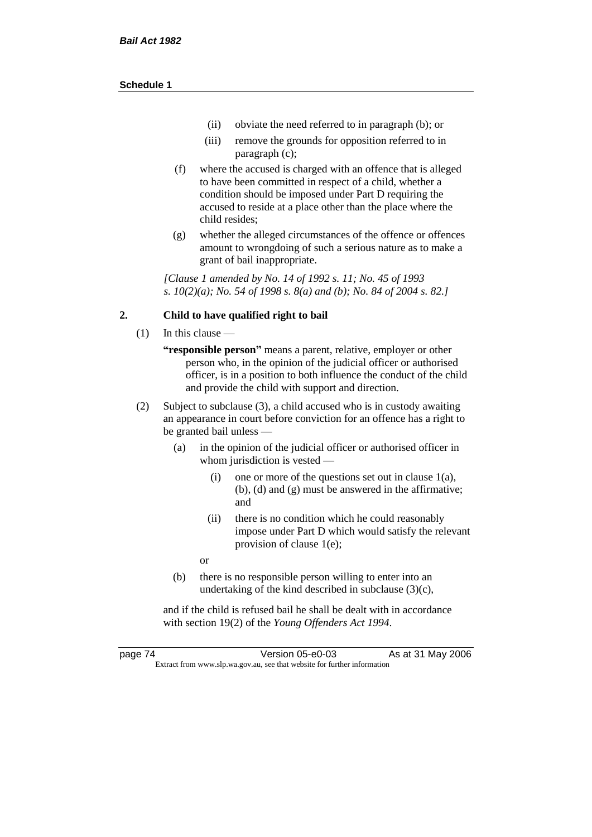- (ii) obviate the need referred to in paragraph (b); or
- (iii) remove the grounds for opposition referred to in paragraph (c);
- (f) where the accused is charged with an offence that is alleged to have been committed in respect of a child, whether a condition should be imposed under Part D requiring the accused to reside at a place other than the place where the child resides;
- (g) whether the alleged circumstances of the offence or offences amount to wrongdoing of such a serious nature as to make a grant of bail inappropriate.

*[Clause 1 amended by No. 14 of 1992 s. 11; No. 45 of 1993 s. 10(2)(a); No. 54 of 1998 s. 8(a) and (b); No. 84 of 2004 s. 82.]*

#### **2. Child to have qualified right to bail**

- (1) In this clause
	- **"responsible person"** means a parent, relative, employer or other person who, in the opinion of the judicial officer or authorised officer, is in a position to both influence the conduct of the child and provide the child with support and direction.
- (2) Subject to subclause (3), a child accused who is in custody awaiting an appearance in court before conviction for an offence has a right to be granted bail unless —
	- (a) in the opinion of the judicial officer or authorised officer in whom jurisdiction is vested —
		- (i) one or more of the questions set out in clause 1(a), (b), (d) and (g) must be answered in the affirmative; and
		- (ii) there is no condition which he could reasonably impose under Part D which would satisfy the relevant provision of clause 1(e);
		- or
	- (b) there is no responsible person willing to enter into an undertaking of the kind described in subclause (3)(c),

and if the child is refused bail he shall be dealt with in accordance with section 19(2) of the *Young Offenders Act 1994*.

page 74 Version 05-e0-03 As at 31 May 2006 Extract from www.slp.wa.gov.au, see that website for further information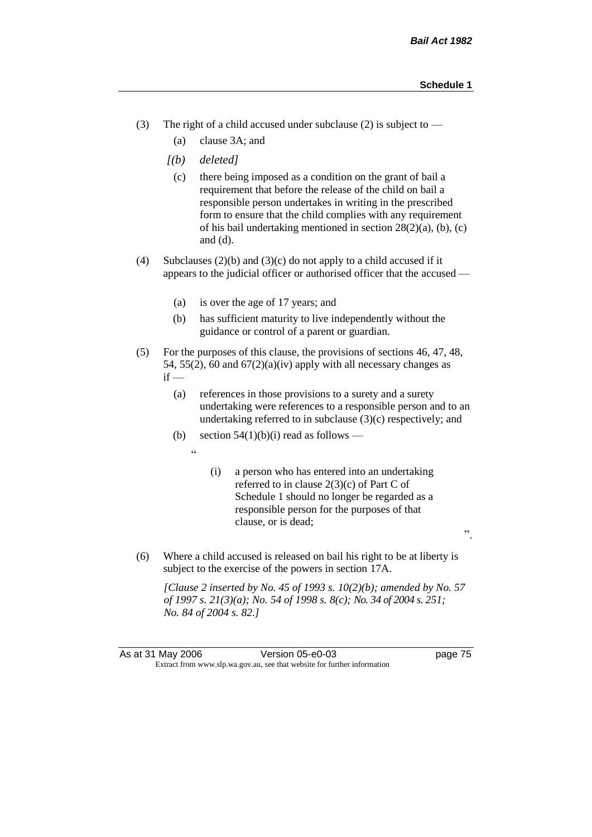- (3) The right of a child accused under subclause (2) is subject to  $-$ 
	- (a) clause 3A; and
	- *[(b) deleted]*
		- (c) there being imposed as a condition on the grant of bail a requirement that before the release of the child on bail a responsible person undertakes in writing in the prescribed form to ensure that the child complies with any requirement of his bail undertaking mentioned in section 28(2)(a), (b), (c) and (d).
- (4) Subclauses (2)(b) and (3)(c) do not apply to a child accused if it appears to the judicial officer or authorised officer that the accused —
	- (a) is over the age of 17 years; and
	- (b) has sufficient maturity to live independently without the guidance or control of a parent or guardian.
- (5) For the purposes of this clause, the provisions of sections 46, 47, 48, 54, 55(2), 60 and  $67(2)(a)(iv)$  apply with all necessary changes as  $if -$ 
	- (a) references in those provisions to a surety and a surety undertaking were references to a responsible person and to an undertaking referred to in subclause  $(3)(c)$  respectively; and
	- (b) section  $54(1)(b)(i)$  read as follows
		- "
- (i) a person who has entered into an undertaking referred to in clause 2(3)(c) of Part C of Schedule 1 should no longer be regarded as a responsible person for the purposes of that clause, or is dead;
- (6) Where a child accused is released on bail his right to be at liberty is subject to the exercise of the powers in section 17A.

*[Clause 2 inserted by No. 45 of 1993 s. 10(2)(b); amended by No. 57 of 1997 s. 21(3)(a); No. 54 of 1998 s. 8(c); No. 34 of 2004 s. 251; No. 84 of 2004 s. 82.]*

".

As at 31 May 2006 Version 05-e0-03 page 75 Extract from www.slp.wa.gov.au, see that website for further information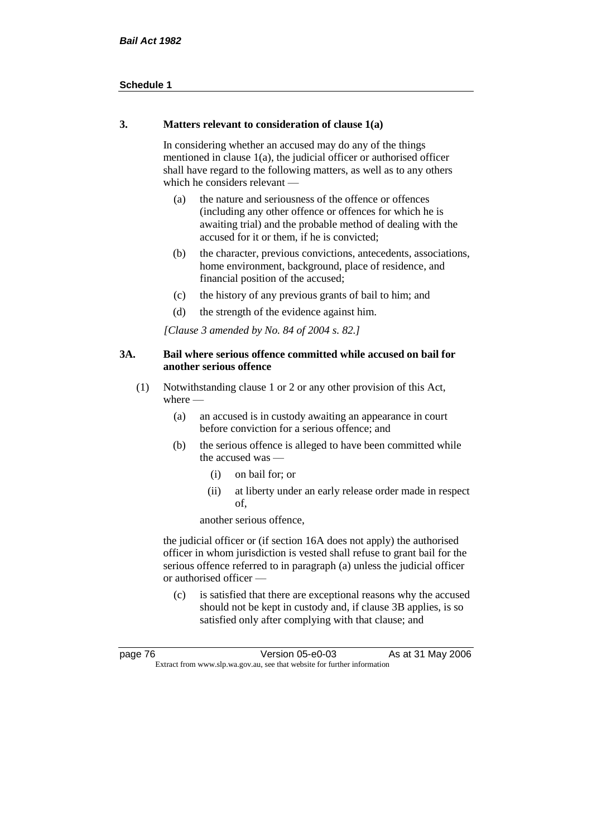#### **3. Matters relevant to consideration of clause 1(a)**

In considering whether an accused may do any of the things mentioned in clause 1(a), the judicial officer or authorised officer shall have regard to the following matters, as well as to any others which he considers relevant —

- (a) the nature and seriousness of the offence or offences (including any other offence or offences for which he is awaiting trial) and the probable method of dealing with the accused for it or them, if he is convicted;
- (b) the character, previous convictions, antecedents, associations, home environment, background, place of residence, and financial position of the accused;
- (c) the history of any previous grants of bail to him; and
- (d) the strength of the evidence against him.

*[Clause 3 amended by No. 84 of 2004 s. 82.]*

#### **3A. Bail where serious offence committed while accused on bail for another serious offence**

- (1) Notwithstanding clause 1 or 2 or any other provision of this Act, where —
	- (a) an accused is in custody awaiting an appearance in court before conviction for a serious offence; and
	- (b) the serious offence is alleged to have been committed while the accused was —
		- (i) on bail for; or
		- (ii) at liberty under an early release order made in respect of,

another serious offence,

the judicial officer or (if section 16A does not apply) the authorised officer in whom jurisdiction is vested shall refuse to grant bail for the serious offence referred to in paragraph (a) unless the judicial officer or authorised officer —

(c) is satisfied that there are exceptional reasons why the accused should not be kept in custody and, if clause 3B applies, is so satisfied only after complying with that clause; and

| page 76 | Version 05-e0-03                                                         | As at 31 May 2006 |
|---------|--------------------------------------------------------------------------|-------------------|
|         | Extract from www.slp.wa.gov.au, see that website for further information |                   |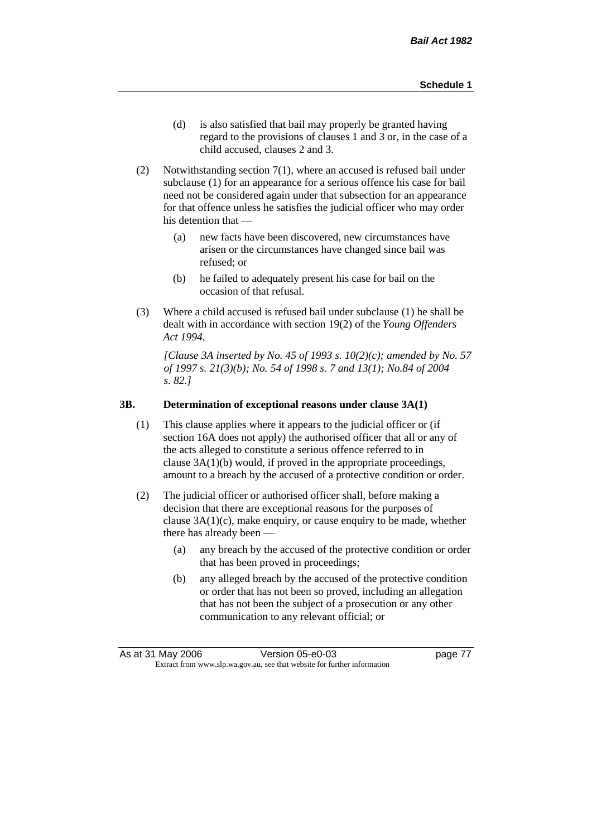- (d) is also satisfied that bail may properly be granted having regard to the provisions of clauses 1 and 3 or, in the case of a child accused, clauses 2 and 3.
- (2) Notwithstanding section 7(1), where an accused is refused bail under subclause (1) for an appearance for a serious offence his case for bail need not be considered again under that subsection for an appearance for that offence unless he satisfies the judicial officer who may order his detention that —
	- (a) new facts have been discovered, new circumstances have arisen or the circumstances have changed since bail was refused; or
	- (b) he failed to adequately present his case for bail on the occasion of that refusal.
- (3) Where a child accused is refused bail under subclause (1) he shall be dealt with in accordance with section 19(2) of the *Young Offenders Act 1994*.

*[Clause 3A inserted by No. 45 of 1993 s. 10(2)(c); amended by No. 57 of 1997 s. 21(3)(b); No. 54 of 1998 s. 7 and 13(1); No.84 of 2004 s. 82.]*

#### **3B. Determination of exceptional reasons under clause 3A(1)**

- (1) This clause applies where it appears to the judicial officer or (if section 16A does not apply) the authorised officer that all or any of the acts alleged to constitute a serious offence referred to in clause 3A(1)(b) would, if proved in the appropriate proceedings, amount to a breach by the accused of a protective condition or order.
- (2) The judicial officer or authorised officer shall, before making a decision that there are exceptional reasons for the purposes of clause  $3A(1)(c)$ , make enquiry, or cause enquiry to be made, whether there has already been -
	- (a) any breach by the accused of the protective condition or order that has been proved in proceedings;
	- (b) any alleged breach by the accused of the protective condition or order that has not been so proved, including an allegation that has not been the subject of a prosecution or any other communication to any relevant official; or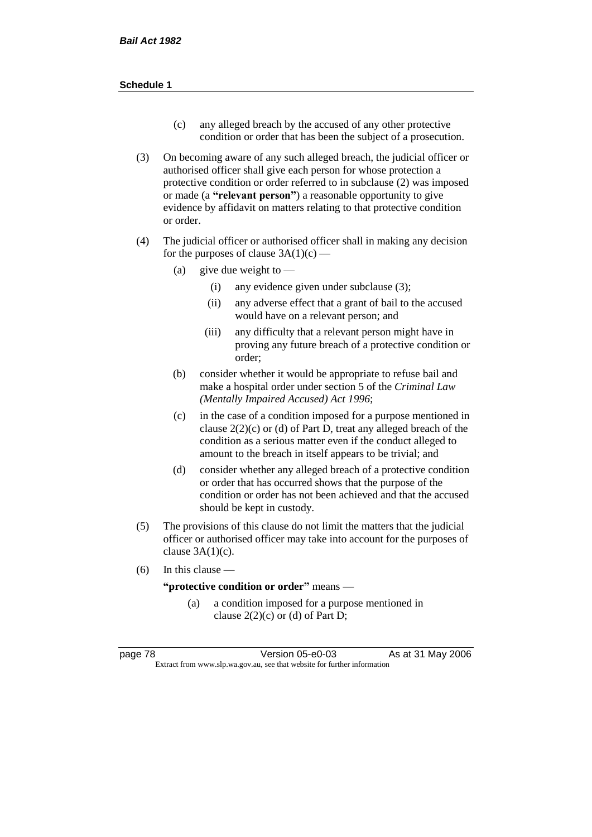- (c) any alleged breach by the accused of any other protective condition or order that has been the subject of a prosecution.
- (3) On becoming aware of any such alleged breach, the judicial officer or authorised officer shall give each person for whose protection a protective condition or order referred to in subclause (2) was imposed or made (a **"relevant person"**) a reasonable opportunity to give evidence by affidavit on matters relating to that protective condition or order.
- (4) The judicial officer or authorised officer shall in making any decision for the purposes of clause  $3A(1)(c)$  —
	- (a) give due weight to  $-$ 
		- (i) any evidence given under subclause (3);
		- (ii) any adverse effect that a grant of bail to the accused would have on a relevant person; and
		- (iii) any difficulty that a relevant person might have in proving any future breach of a protective condition or order;
	- (b) consider whether it would be appropriate to refuse bail and make a hospital order under section 5 of the *Criminal Law (Mentally Impaired Accused) Act 1996*;
	- (c) in the case of a condition imposed for a purpose mentioned in clause  $2(2)(c)$  or (d) of Part D, treat any alleged breach of the condition as a serious matter even if the conduct alleged to amount to the breach in itself appears to be trivial; and
	- (d) consider whether any alleged breach of a protective condition or order that has occurred shows that the purpose of the condition or order has not been achieved and that the accused should be kept in custody.
- (5) The provisions of this clause do not limit the matters that the judicial officer or authorised officer may take into account for the purposes of clause  $3A(1)(c)$ .
- $(6)$  In this clause —

**"protective condition or order"** means —

(a) a condition imposed for a purpose mentioned in clause  $2(2)(c)$  or (d) of Part D;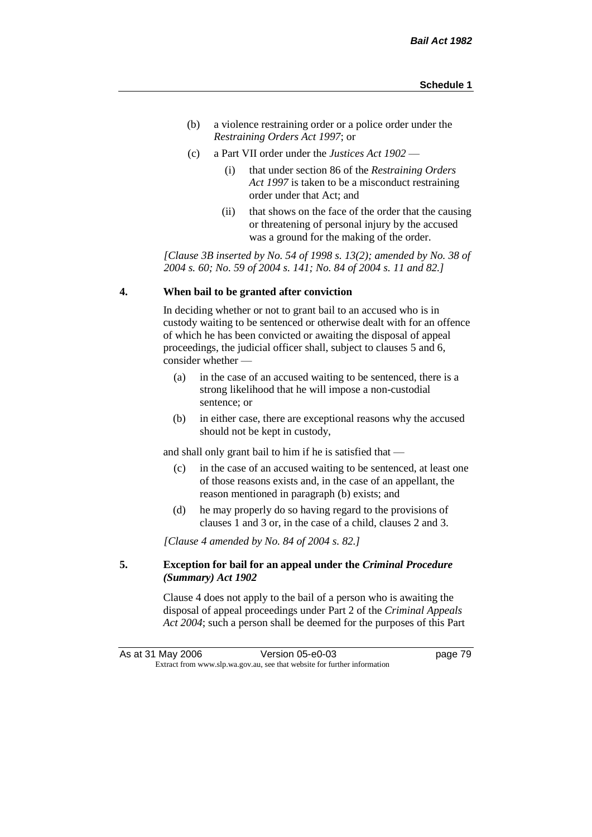- (b) a violence restraining order or a police order under the *Restraining Orders Act 1997*; or
- (c) a Part VII order under the *Justices Act 1902*
	- (i) that under section 86 of the *Restraining Orders Act 1997* is taken to be a misconduct restraining order under that Act; and
	- (ii) that shows on the face of the order that the causing or threatening of personal injury by the accused was a ground for the making of the order.

*[Clause 3B inserted by No. 54 of 1998 s. 13(2); amended by No. 38 of 2004 s. 60; No. 59 of 2004 s. 141; No. 84 of 2004 s. 11 and 82.]*

#### **4. When bail to be granted after conviction**

In deciding whether or not to grant bail to an accused who is in custody waiting to be sentenced or otherwise dealt with for an offence of which he has been convicted or awaiting the disposal of appeal proceedings, the judicial officer shall, subject to clauses 5 and 6, consider whether —

- (a) in the case of an accused waiting to be sentenced, there is a strong likelihood that he will impose a non-custodial sentence; or
- (b) in either case, there are exceptional reasons why the accused should not be kept in custody,

and shall only grant bail to him if he is satisfied that —

- (c) in the case of an accused waiting to be sentenced, at least one of those reasons exists and, in the case of an appellant, the reason mentioned in paragraph (b) exists; and
- (d) he may properly do so having regard to the provisions of clauses 1 and 3 or, in the case of a child, clauses 2 and 3.

*[Clause 4 amended by No. 84 of 2004 s. 82.]*

#### **5. Exception for bail for an appeal under the** *Criminal Procedure (Summary) Act 1902*

Clause 4 does not apply to the bail of a person who is awaiting the disposal of appeal proceedings under Part 2 of the *Criminal Appeals Act 2004*; such a person shall be deemed for the purposes of this Part

As at 31 May 2006 Version 05-e0-03 page 79 Extract from www.slp.wa.gov.au, see that website for further information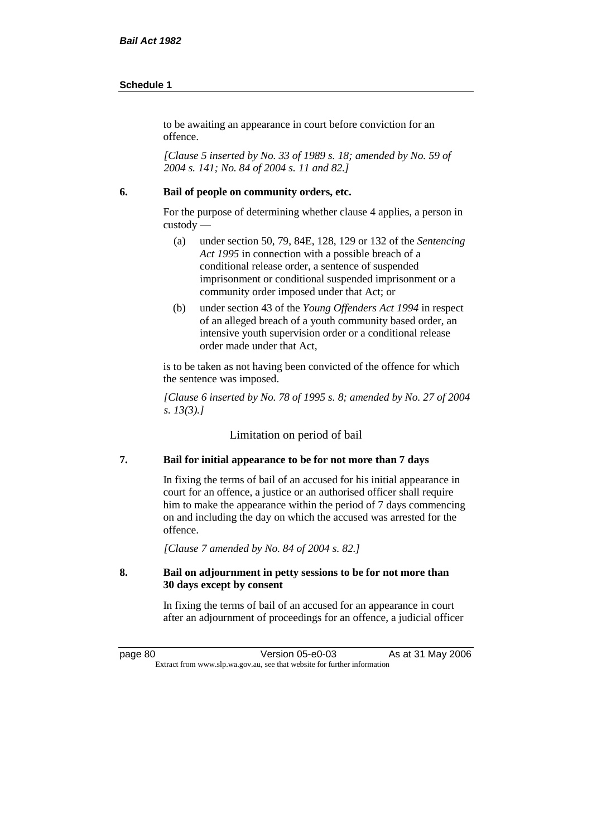to be awaiting an appearance in court before conviction for an offence.

*[Clause 5 inserted by No. 33 of 1989 s. 18; amended by No. 59 of 2004 s. 141; No. 84 of 2004 s. 11 and 82.]*

#### **6. Bail of people on community orders, etc.**

For the purpose of determining whether clause 4 applies, a person in custody —

- (a) under section 50, 79, 84E, 128, 129 or 132 of the *Sentencing Act 1995* in connection with a possible breach of a conditional release order, a sentence of suspended imprisonment or conditional suspended imprisonment or a community order imposed under that Act; or
- (b) under section 43 of the *Young Offenders Act 1994* in respect of an alleged breach of a youth community based order, an intensive youth supervision order or a conditional release order made under that Act,

is to be taken as not having been convicted of the offence for which the sentence was imposed.

*[Clause 6 inserted by No. 78 of 1995 s. 8; amended by No. 27 of 2004 s. 13(3).]*

Limitation on period of bail

#### **7. Bail for initial appearance to be for not more than 7 days**

In fixing the terms of bail of an accused for his initial appearance in court for an offence, a justice or an authorised officer shall require him to make the appearance within the period of 7 days commencing on and including the day on which the accused was arrested for the offence.

*[Clause 7 amended by No. 84 of 2004 s. 82.]*

#### **8. Bail on adjournment in petty sessions to be for not more than 30 days except by consent**

In fixing the terms of bail of an accused for an appearance in court after an adjournment of proceedings for an offence, a judicial officer

page 80 Version 05-e0-03 As at 31 May 2006 Extract from www.slp.wa.gov.au, see that website for further information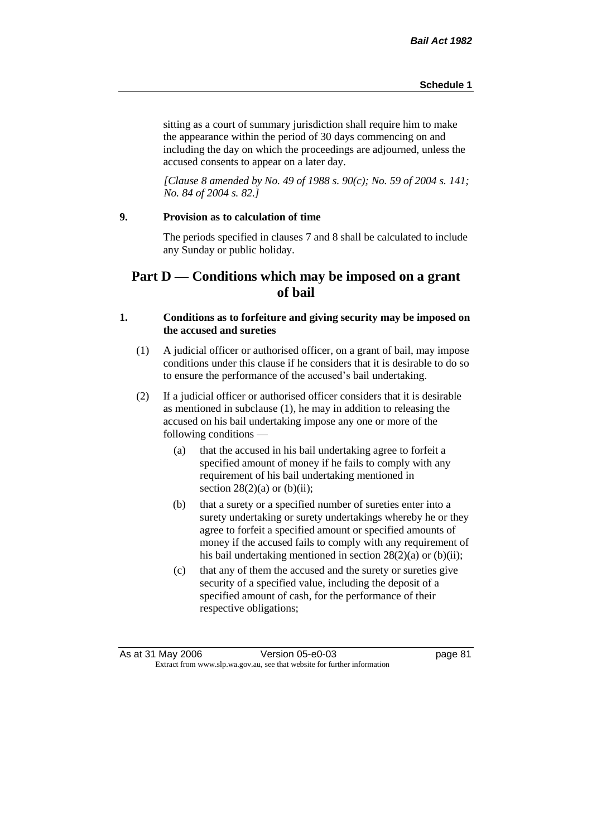sitting as a court of summary jurisdiction shall require him to make the appearance within the period of 30 days commencing on and including the day on which the proceedings are adjourned, unless the accused consents to appear on a later day.

*[Clause 8 amended by No. 49 of 1988 s. 90(c); No. 59 of 2004 s. 141; No. 84 of 2004 s. 82.]*

## **9. Provision as to calculation of time**

The periods specified in clauses 7 and 8 shall be calculated to include any Sunday or public holiday.

# **Part D — Conditions which may be imposed on a grant of bail**

#### **1. Conditions as to forfeiture and giving security may be imposed on the accused and sureties**

- (1) A judicial officer or authorised officer, on a grant of bail, may impose conditions under this clause if he considers that it is desirable to do so to ensure the performance of the accused's bail undertaking.
- (2) If a judicial officer or authorised officer considers that it is desirable as mentioned in subclause (1), he may in addition to releasing the accused on his bail undertaking impose any one or more of the following conditions —
	- (a) that the accused in his bail undertaking agree to forfeit a specified amount of money if he fails to comply with any requirement of his bail undertaking mentioned in section  $28(2)(a)$  or  $(b)(ii)$ ;
	- (b) that a surety or a specified number of sureties enter into a surety undertaking or surety undertakings whereby he or they agree to forfeit a specified amount or specified amounts of money if the accused fails to comply with any requirement of his bail undertaking mentioned in section 28(2)(a) or (b)(ii);
	- (c) that any of them the accused and the surety or sureties give security of a specified value, including the deposit of a specified amount of cash, for the performance of their respective obligations;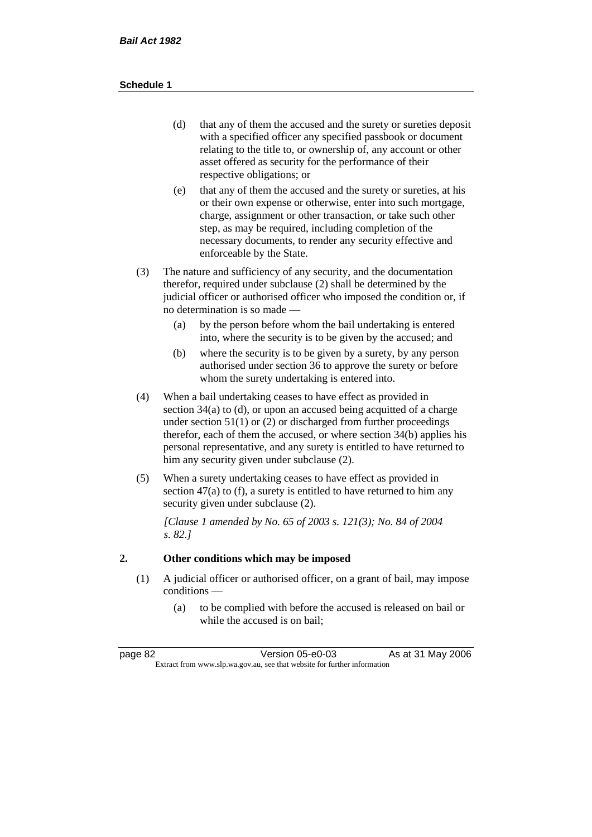- (d) that any of them the accused and the surety or sureties deposit with a specified officer any specified passbook or document relating to the title to, or ownership of, any account or other asset offered as security for the performance of their respective obligations; or
- (e) that any of them the accused and the surety or sureties, at his or their own expense or otherwise, enter into such mortgage, charge, assignment or other transaction, or take such other step, as may be required, including completion of the necessary documents, to render any security effective and enforceable by the State.
- (3) The nature and sufficiency of any security, and the documentation therefor, required under subclause (2) shall be determined by the judicial officer or authorised officer who imposed the condition or, if no determination is so made —
	- (a) by the person before whom the bail undertaking is entered into, where the security is to be given by the accused; and
	- (b) where the security is to be given by a surety, by any person authorised under section 36 to approve the surety or before whom the surety undertaking is entered into.
- (4) When a bail undertaking ceases to have effect as provided in section 34(a) to (d), or upon an accused being acquitted of a charge under section  $51(1)$  or (2) or discharged from further proceedings therefor, each of them the accused, or where section 34(b) applies his personal representative, and any surety is entitled to have returned to him any security given under subclause (2).
- (5) When a surety undertaking ceases to have effect as provided in section 47(a) to (f), a surety is entitled to have returned to him any security given under subclause  $(2)$ .

*[Clause 1 amended by No. 65 of 2003 s. 121(3); No. 84 of 2004 s. 82.]*

# **2. Other conditions which may be imposed**

- (1) A judicial officer or authorised officer, on a grant of bail, may impose conditions —
	- (a) to be complied with before the accused is released on bail or while the accused is on bail;

| page 82                                                                  | Version 05-e0-03 | As at 31 May 2006 |
|--------------------------------------------------------------------------|------------------|-------------------|
| Extract from www.slp.wa.gov.au, see that website for further information |                  |                   |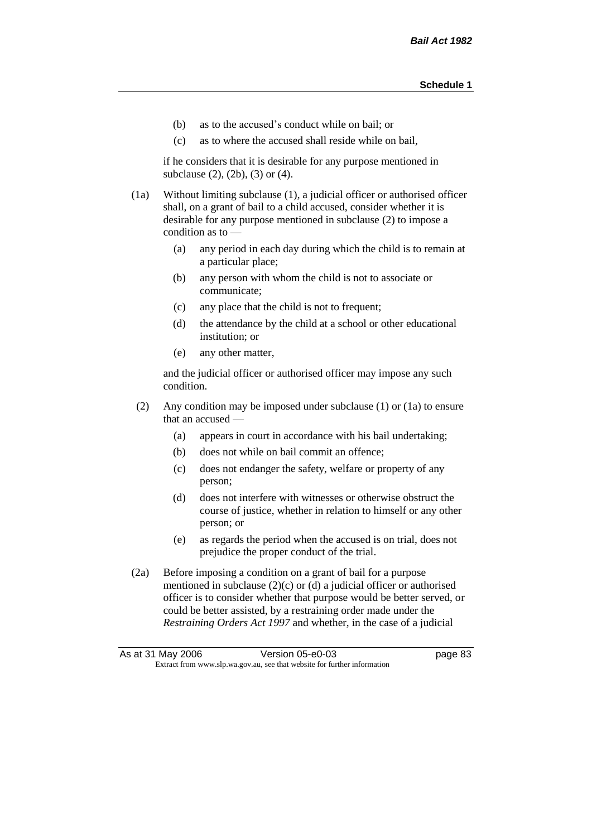- (b) as to the accused's conduct while on bail; or
- (c) as to where the accused shall reside while on bail,

if he considers that it is desirable for any purpose mentioned in subclause (2), (2b), (3) or (4).

(1a) Without limiting subclause (1), a judicial officer or authorised officer shall, on a grant of bail to a child accused, consider whether it is desirable for any purpose mentioned in subclause (2) to impose a condition as to —

- (a) any period in each day during which the child is to remain at a particular place;
- (b) any person with whom the child is not to associate or communicate;
- (c) any place that the child is not to frequent;
- (d) the attendance by the child at a school or other educational institution; or
- (e) any other matter,

and the judicial officer or authorised officer may impose any such condition.

- (2) Any condition may be imposed under subclause (1) or (1a) to ensure that an accused —
	- (a) appears in court in accordance with his bail undertaking;
	- (b) does not while on bail commit an offence;
	- (c) does not endanger the safety, welfare or property of any person;
	- (d) does not interfere with witnesses or otherwise obstruct the course of justice, whether in relation to himself or any other person; or
	- (e) as regards the period when the accused is on trial, does not prejudice the proper conduct of the trial.
- (2a) Before imposing a condition on a grant of bail for a purpose mentioned in subclause (2)(c) or (d) a judicial officer or authorised officer is to consider whether that purpose would be better served, or could be better assisted, by a restraining order made under the *Restraining Orders Act 1997* and whether, in the case of a judicial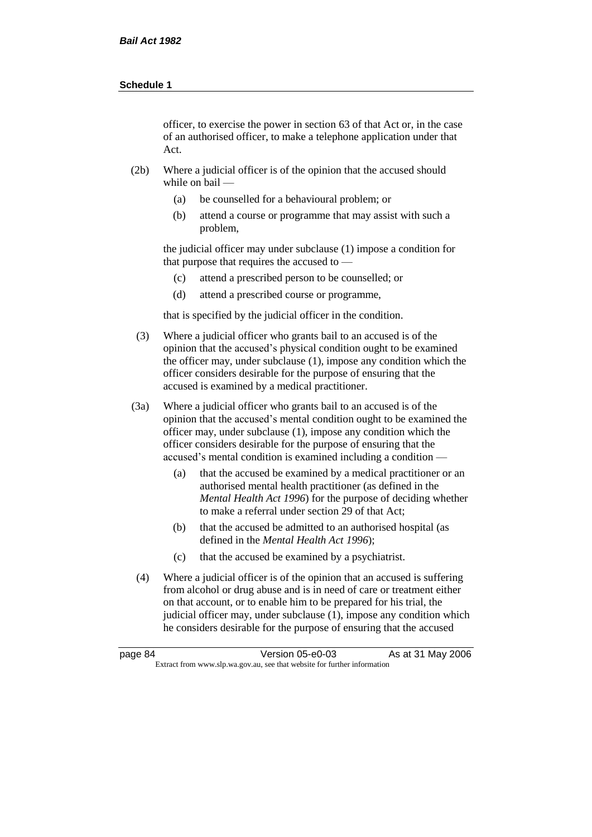officer, to exercise the power in section 63 of that Act or, in the case of an authorised officer, to make a telephone application under that Act.

- (2b) Where a judicial officer is of the opinion that the accused should while on bail —
	- (a) be counselled for a behavioural problem; or
	- (b) attend a course or programme that may assist with such a problem,

the judicial officer may under subclause (1) impose a condition for that purpose that requires the accused to —

- (c) attend a prescribed person to be counselled; or
- (d) attend a prescribed course or programme,

that is specified by the judicial officer in the condition.

- (3) Where a judicial officer who grants bail to an accused is of the opinion that the accused's physical condition ought to be examined the officer may, under subclause (1), impose any condition which the officer considers desirable for the purpose of ensuring that the accused is examined by a medical practitioner.
- (3a) Where a judicial officer who grants bail to an accused is of the opinion that the accused's mental condition ought to be examined the officer may, under subclause (1), impose any condition which the officer considers desirable for the purpose of ensuring that the accused's mental condition is examined including a condition —
	- (a) that the accused be examined by a medical practitioner or an authorised mental health practitioner (as defined in the *Mental Health Act 1996*) for the purpose of deciding whether to make a referral under section 29 of that Act;
	- (b) that the accused be admitted to an authorised hospital (as defined in the *Mental Health Act 1996*);
	- (c) that the accused be examined by a psychiatrist.
- (4) Where a judicial officer is of the opinion that an accused is suffering from alcohol or drug abuse and is in need of care or treatment either on that account, or to enable him to be prepared for his trial, the judicial officer may, under subclause (1), impose any condition which he considers desirable for the purpose of ensuring that the accused

| page 84 | Version 05-e0-03                                                         | As at 31 May 2006 |
|---------|--------------------------------------------------------------------------|-------------------|
|         | Extract from www.slp.wa.gov.au, see that website for further information |                   |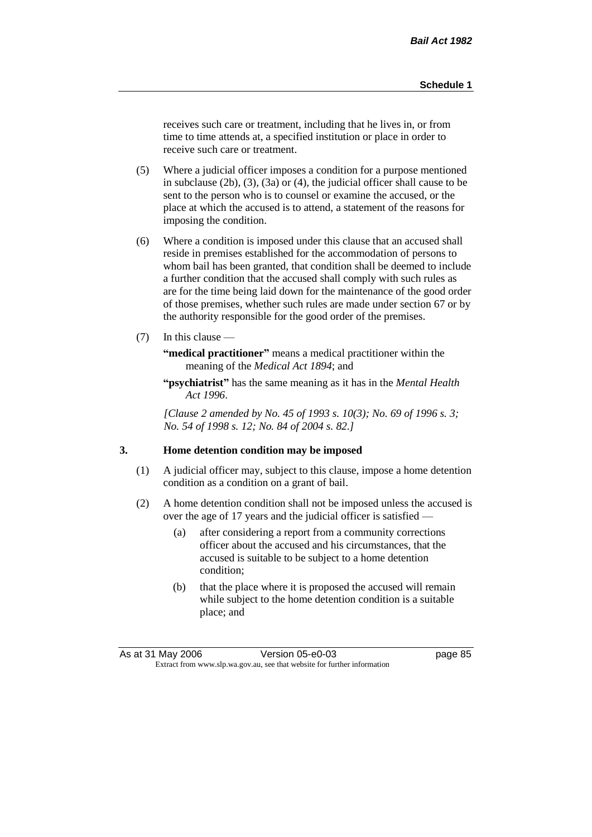receives such care or treatment, including that he lives in, or from time to time attends at, a specified institution or place in order to receive such care or treatment.

- (5) Where a judicial officer imposes a condition for a purpose mentioned in subclause (2b), (3), (3a) or (4), the judicial officer shall cause to be sent to the person who is to counsel or examine the accused, or the place at which the accused is to attend, a statement of the reasons for imposing the condition.
- (6) Where a condition is imposed under this clause that an accused shall reside in premises established for the accommodation of persons to whom bail has been granted, that condition shall be deemed to include a further condition that the accused shall comply with such rules as are for the time being laid down for the maintenance of the good order of those premises, whether such rules are made under section 67 or by the authority responsible for the good order of the premises.
- (7) In this clause —

**"medical practitioner"** means a medical practitioner within the meaning of the *Medical Act 1894*; and

**"psychiatrist"** has the same meaning as it has in the *Mental Health Act 1996*.

*[Clause 2 amended by No. 45 of 1993 s. 10(3); No. 69 of 1996 s. 3; No. 54 of 1998 s. 12; No. 84 of 2004 s. 82.]*

#### **3. Home detention condition may be imposed**

- (1) A judicial officer may, subject to this clause, impose a home detention condition as a condition on a grant of bail.
- (2) A home detention condition shall not be imposed unless the accused is over the age of 17 years and the judicial officer is satisfied —
	- (a) after considering a report from a community corrections officer about the accused and his circumstances, that the accused is suitable to be subject to a home detention condition;
	- (b) that the place where it is proposed the accused will remain while subject to the home detention condition is a suitable place; and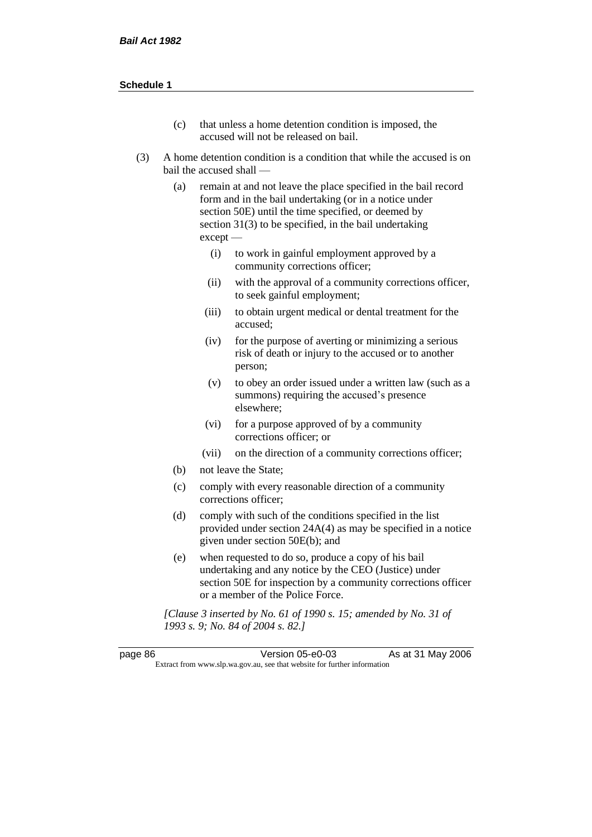- (c) that unless a home detention condition is imposed, the accused will not be released on bail.
- (3) A home detention condition is a condition that while the accused is on bail the accused shall —
	- (a) remain at and not leave the place specified in the bail record form and in the bail undertaking (or in a notice under section 50E) until the time specified, or deemed by section 31(3) to be specified, in the bail undertaking except —
		- (i) to work in gainful employment approved by a community corrections officer;
		- (ii) with the approval of a community corrections officer, to seek gainful employment;
		- (iii) to obtain urgent medical or dental treatment for the accused;
		- (iv) for the purpose of averting or minimizing a serious risk of death or injury to the accused or to another person;
		- (v) to obey an order issued under a written law (such as a summons) requiring the accused's presence elsewhere;
		- (vi) for a purpose approved of by a community corrections officer; or
		- (vii) on the direction of a community corrections officer;
	- (b) not leave the State;
	- (c) comply with every reasonable direction of a community corrections officer;
	- (d) comply with such of the conditions specified in the list provided under section 24A(4) as may be specified in a notice given under section 50E(b); and
	- (e) when requested to do so, produce a copy of his bail undertaking and any notice by the CEO (Justice) under section 50E for inspection by a community corrections officer or a member of the Police Force.

*[Clause 3 inserted by No. 61 of 1990 s. 15; amended by No. 31 of 1993 s. 9; No. 84 of 2004 s. 82.]*

page 86 Version 05-e0-03 As at 31 May 2006 Extract from www.slp.wa.gov.au, see that website for further information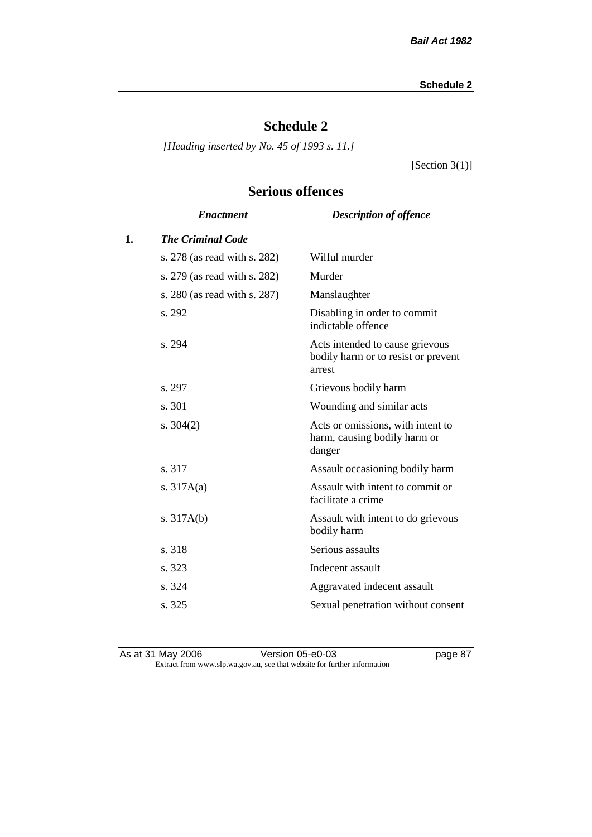# **Schedule 2**

*[Heading inserted by No. 45 of 1993 s. 11.]*

[Section 3(1)]

# **Serious offences**

|    | <b>Enactment</b>             | <b>Description of offence</b>                                                    |
|----|------------------------------|----------------------------------------------------------------------------------|
| 1. | <b>The Criminal Code</b>     |                                                                                  |
|    | s. 278 (as read with s. 282) | Wilful murder                                                                    |
|    | s. 279 (as read with s. 282) | Murder                                                                           |
|    | s. 280 (as read with s. 287) | Manslaughter                                                                     |
|    | s. 292                       | Disabling in order to commit<br>indictable offence                               |
|    | s. 294                       | Acts intended to cause grievous<br>bodily harm or to resist or prevent<br>arrest |
|    | s. 297                       | Grievous bodily harm                                                             |
|    | s. 301                       | Wounding and similar acts                                                        |
|    | s. $304(2)$                  | Acts or omissions, with intent to<br>harm, causing bodily harm or<br>danger      |
|    | s. 317                       | Assault occasioning bodily harm                                                  |
|    | s. $317A(a)$                 | Assault with intent to commit or<br>facilitate a crime                           |
|    | s. $317A(b)$                 | Assault with intent to do grievous<br>bodily harm                                |
|    | s. 318                       | Serious assaults                                                                 |
|    | s. 323                       | Indecent assault                                                                 |
|    | s. 324                       | Aggravated indecent assault                                                      |
|    | s. 325                       | Sexual penetration without consent                                               |
|    |                              |                                                                                  |

As at 31 May 2006 Version 05-e0-03 page 87 Extract from www.slp.wa.gov.au, see that website for further information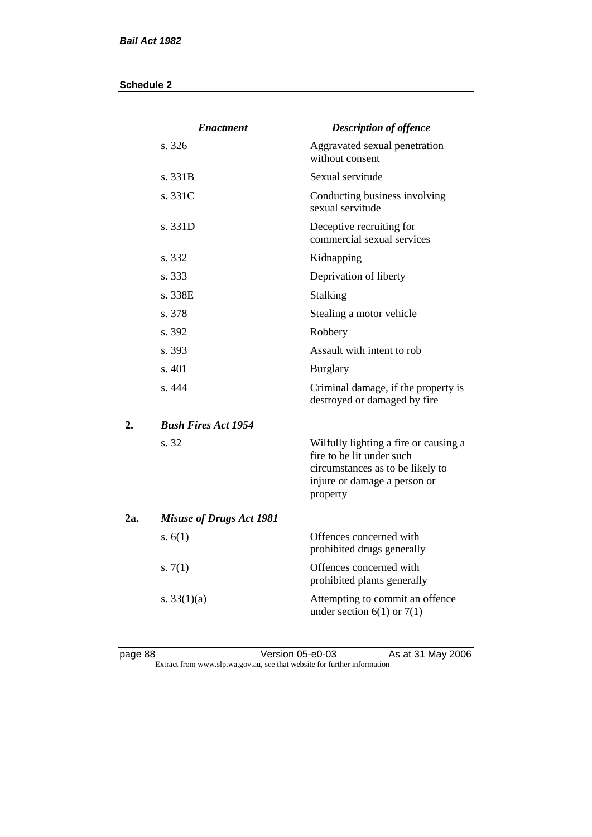|     | <b>Enactment</b>                | <b>Description of offence</b>                                                                                                                      |
|-----|---------------------------------|----------------------------------------------------------------------------------------------------------------------------------------------------|
|     | s.326                           | Aggravated sexual penetration<br>without consent                                                                                                   |
|     | s. 331B                         | Sexual servitude                                                                                                                                   |
|     | s. 331C                         | Conducting business involving<br>sexual servitude                                                                                                  |
|     | s. 331D                         | Deceptive recruiting for<br>commercial sexual services                                                                                             |
|     | s. 332                          | Kidnapping                                                                                                                                         |
|     | s. 333                          | Deprivation of liberty                                                                                                                             |
|     | s. 338E                         | <b>Stalking</b>                                                                                                                                    |
|     | s. 378                          | Stealing a motor vehicle                                                                                                                           |
|     | s. 392                          | Robbery                                                                                                                                            |
|     | s. 393                          | Assault with intent to rob                                                                                                                         |
|     | s. 401                          | <b>Burglary</b>                                                                                                                                    |
|     | s. 444                          | Criminal damage, if the property is<br>destroyed or damaged by fire                                                                                |
| 2.  | <b>Bush Fires Act 1954</b>      |                                                                                                                                                    |
|     | s. 32                           | Wilfully lighting a fire or causing a<br>fire to be lit under such<br>circumstances as to be likely to<br>injure or damage a person or<br>property |
| 2a. | <b>Misuse of Drugs Act 1981</b> |                                                                                                                                                    |
|     | s. $6(1)$                       | Offences concerned with<br>prohibited drugs generally                                                                                              |
|     | s. $7(1)$                       | Offences concerned with<br>prohibited plants generally                                                                                             |
|     | s. $33(1)(a)$                   | Attempting to commit an offence<br>under section $6(1)$ or $7(1)$                                                                                  |

page 88 Version 05-e0-03 As at 31 May 2006 Extract from www.slp.wa.gov.au, see that website for further information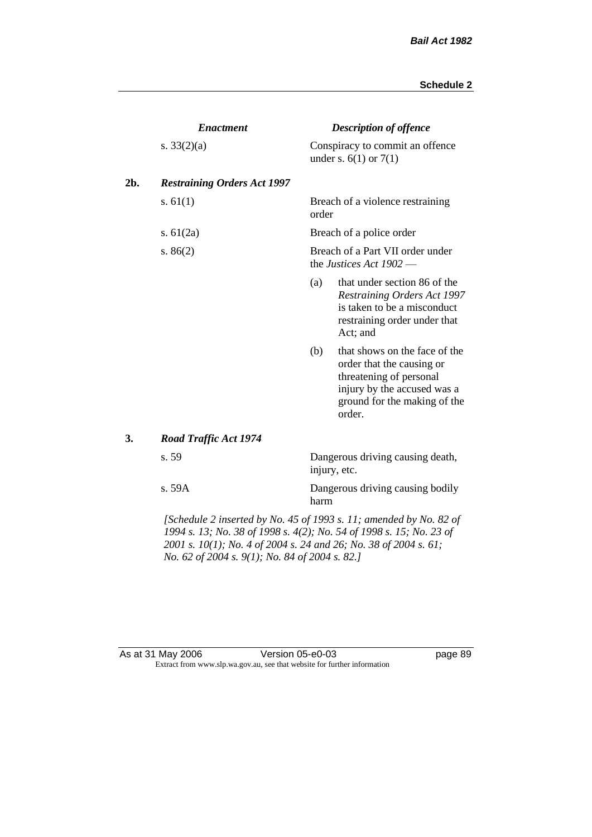|     | <b>Enactment</b>                                                                |                                                               | <b>Description of offence</b>                                                                                                                                  |  |
|-----|---------------------------------------------------------------------------------|---------------------------------------------------------------|----------------------------------------------------------------------------------------------------------------------------------------------------------------|--|
|     | s. $33(2)(a)$                                                                   |                                                               | Conspiracy to commit an offence<br>under s. $6(1)$ or $7(1)$                                                                                                   |  |
| 2b. | <b>Restraining Orders Act 1997</b>                                              |                                                               |                                                                                                                                                                |  |
|     | s. $61(1)$                                                                      | order                                                         | Breach of a violence restraining                                                                                                                               |  |
|     | s. $61(2a)$                                                                     |                                                               | Breach of a police order                                                                                                                                       |  |
|     | s. $86(2)$                                                                      | Breach of a Part VII order under<br>the Justices Act $1902$ — |                                                                                                                                                                |  |
|     |                                                                                 | (a)                                                           | that under section 86 of the<br><b>Restraining Orders Act 1997</b><br>is taken to be a misconduct<br>restraining order under that<br>Act; and                  |  |
|     |                                                                                 | (b)                                                           | that shows on the face of the<br>order that the causing or<br>threatening of personal<br>injury by the accused was a<br>ground for the making of the<br>order. |  |
| 3.  | <b>Road Traffic Act 1974</b>                                                    |                                                               |                                                                                                                                                                |  |
|     | s. 59                                                                           |                                                               | Dangerous driving causing death,<br>injury, etc.                                                                                                               |  |
|     | s. 59A                                                                          | harm                                                          | Dangerous driving causing bodily                                                                                                                               |  |
|     | $\mathcal{L}$ Cahadula 2 inserted by No. 45 of 1002 s. 11; smanded by No. 82 of |                                                               |                                                                                                                                                                |  |

*[Schedule 2 inserted by No. 45 of 1993 s. 11; amended by No. 82 of 1994 s. 13; No. 38 of 1998 s. 4(2); No. 54 of 1998 s. 15; No. 23 of 2001 s. 10(1); No. 4 of 2004 s. 24 and 26; No. 38 of 2004 s. 61; No. 62 of 2004 s. 9(1); No. 84 of 2004 s. 82.]* 

#### As at 31 May 2006 Version 05-e0-03 page 89 Extract from www.slp.wa.gov.au, see that website for further information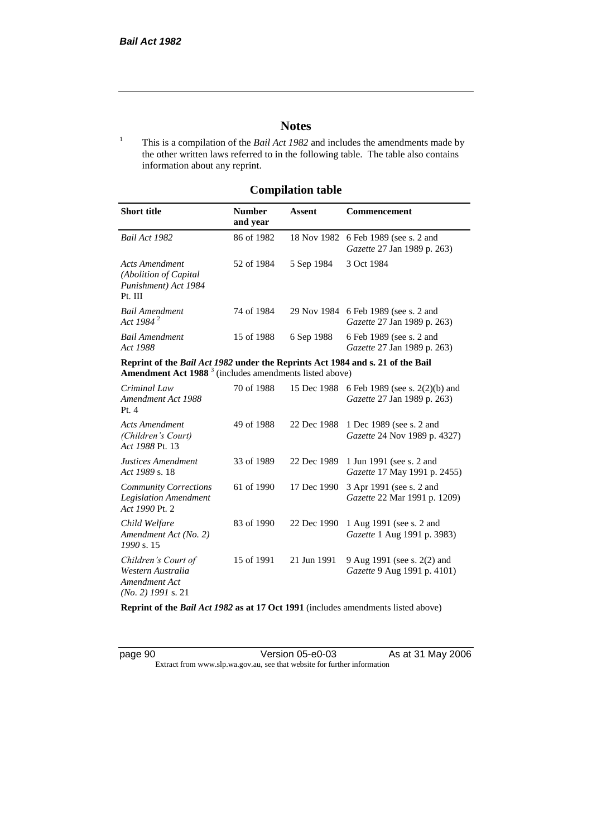# **Notes**

<sup>1</sup> This is a compilation of the *Bail Act 1982* and includes the amendments made by the other written laws referred to in the following table. The table also contains information about any reprint.

# **Compilation table**

| <b>Short title</b>                                                          | <b>Number</b><br>and year | Assent     | <b>Commencement</b>                                                        |
|-----------------------------------------------------------------------------|---------------------------|------------|----------------------------------------------------------------------------|
| Bail Act 1982                                                               | 86 of 1982                |            | 18 Nov 1982 6 Feb 1989 (see s. 2 and<br><i>Gazette</i> 27 Jan 1989 p. 263) |
| Acts Amendment<br>(Abolition of Capital)<br>Punishment) Act 1984<br>Pt. III | 52 of 1984                | 5 Sep 1984 | 3 Oct 1984                                                                 |
| <b>Bail Amendment</b><br>Act 1984 <sup>2</sup>                              | 74 of 1984                |            | 29 Nov 1984 6 Feb 1989 (see s. 2 and<br><i>Gazette</i> 27 Jan 1989 p. 263) |
| <b>Bail Amendment</b><br>Act 1988                                           | 15 of 1988                | 6 Sep 1988 | 6 Feb 1989 (see s. 2 and<br><i>Gazette</i> 27 Jan 1989 p. 263)             |

**Reprint of the** *Bail Act 1982* **under the Reprints Act 1984 and s. 21 of the Bail Amendment Act 1988** <sup>3</sup> (includes amendments listed above)

| Criminal Law<br>Amendment Act 1988<br>Pt. 4                                       | 70 of 1988 | 15 Dec 1988 | 6 Feb 1989 (see s. 2(2)(b) and<br><i>Gazette</i> 27 Jan 1989 p. 263) |
|-----------------------------------------------------------------------------------|------------|-------------|----------------------------------------------------------------------|
| Acts Amendment<br>(Children's Court)<br>Act 1988 Pt. 13                           | 49 of 1988 | 22 Dec 1988 | 1 Dec 1989 (see s. 2 and<br><i>Gazette</i> 24 Nov 1989 p. 4327)      |
| Justices Amendment<br>Act 1989 s. 18                                              | 33 of 1989 | 22 Dec 1989 | 1 Jun 1991 (see s. 2 and<br><i>Gazette</i> 17 May 1991 p. 2455)      |
| <b>Community Corrections</b><br><b>Legislation Amendment</b><br>Act 1990 Pt. 2    | 61 of 1990 | 17 Dec 1990 | 3 Apr 1991 (see s. 2 and<br><i>Gazette</i> 22 Mar 1991 p. 1209)      |
| Child Welfare<br>Amendment Act (No. 2)<br>1990 s. 15                              | 83 of 1990 | 22 Dec 1990 | 1 Aug 1991 (see s. 2 and<br><i>Gazette</i> 1 Aug 1991 p. 3983)       |
| Children's Court of<br>Western Australia<br>Amendment Act<br>$(No. 2)$ 1991 s. 21 | 15 of 1991 | 21 Jun 1991 | 9 Aug 1991 (see s. 2(2) and<br><i>Gazette</i> 9 Aug 1991 p. 4101)    |

**Reprint of the** *Bail Act 1982* **as at 17 Oct 1991** (includes amendments listed above)

page 90 **Version 05-e0-03** As at 31 May 2006 Extract from www.slp.wa.gov.au, see that website for further information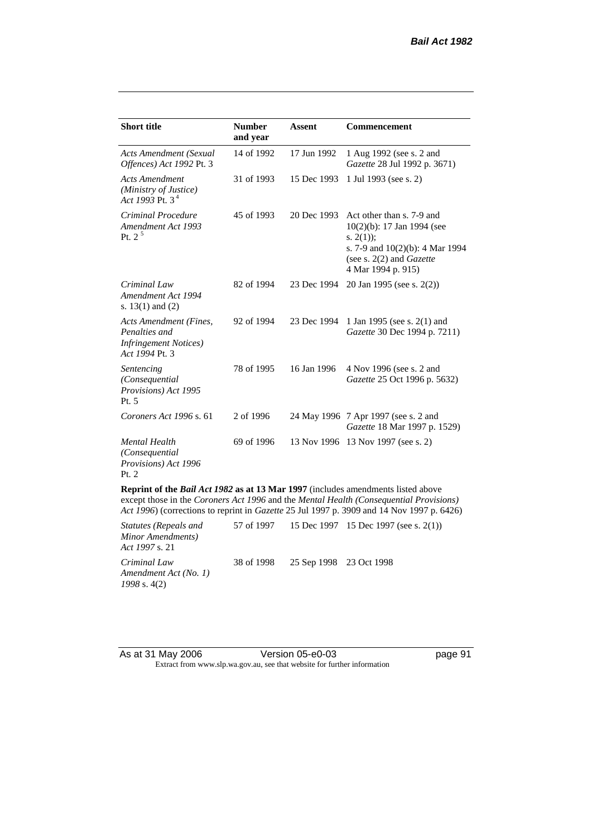| <b>Short title</b>                                                                         | <b>Number</b><br>and year | <b>Assent</b> | <b>Commencement</b>                                                                                                                                                     |
|--------------------------------------------------------------------------------------------|---------------------------|---------------|-------------------------------------------------------------------------------------------------------------------------------------------------------------------------|
| <b>Acts Amendment (Sexual</b><br>Offences) Act 1992 Pt. 3                                  | 14 of 1992                | 17 Jun 1992   | 1 Aug 1992 (see s. 2 and<br>Gazette 28 Jul 1992 p. 3671)                                                                                                                |
| <b>Acts Amendment</b><br>(Ministry of Justice)<br>Act 1993 Pt. $3^4$                       | 31 of 1993                | 15 Dec 1993   | 1 Jul 1993 (see s. 2)                                                                                                                                                   |
| Criminal Procedure<br>Amendment Act 1993<br>Pt. $2^5$                                      | 45 of 1993                | 20 Dec 1993   | Act other than s. 7-9 and<br>10(2)(b): 17 Jan 1994 (see<br>s. $2(1)$ ;<br>s. 7-9 and $10(2)(b)$ : 4 Mar 1994<br>(see s. $2(2)$ and <i>Gazette</i><br>4 Mar 1994 p. 915) |
| Criminal Law<br>Amendment Act 1994<br>s. $13(1)$ and $(2)$                                 | 82 of 1994                | 23 Dec 1994   | 20 Jan 1995 (see s. 2(2))                                                                                                                                               |
| Acts Amendment (Fines,<br>Penalties and<br><b>Infringement Notices</b> )<br>Act 1994 Pt. 3 | 92 of 1994                | 23 Dec 1994   | 1 Jan 1995 (see s. 2(1) and<br>Gazette 30 Dec 1994 p. 7211)                                                                                                             |
| Sentencing<br>(Consequential<br>Provisions) Act 1995<br>Pt. 5                              | 78 of 1995                | 16 Jan 1996   | 4 Nov 1996 (see s. 2 and<br>Gazette 25 Oct 1996 p. 5632)                                                                                                                |
| Coroners Act 1996 s. 61                                                                    | 2 of 1996                 |               | 24 May 1996 7 Apr 1997 (see s. 2 and<br>Gazette 18 Mar 1997 p. 1529)                                                                                                    |
| <b>Mental Health</b><br>(Consequential<br>Provisions) Act 1996<br>Pt. 2                    | 69 of 1996                |               | 13 Nov 1996 13 Nov 1997 (see s. 2)                                                                                                                                      |
| Reprint of the Bail Act 1982 as at 13 Mar 1997 (includes amendments listed above           |                           |               | except those in the Coroners Act 1996 and the Mental Health (Consequential Provisions)                                                                                  |

*Act 1996*) (corrections to reprint in *Gazette* 25 Jul 1997 p. 3909 and 14 Nov 1997 p. 6426)

| <i>Statutes (Repeals and</i><br>Minor Amendments)<br><i>Act 1997 s.</i> 21 |                                    | 57 of 1997 15 Dec 1997 15 Dec 1997 (see s. 2(1)) |
|----------------------------------------------------------------------------|------------------------------------|--------------------------------------------------|
| Criminal Law<br>Amendment Act (No. 1)<br>$1998$ s. 4(2)                    | 38 of 1998 25 Sep 1998 23 Oct 1998 |                                                  |

| As at 31 May 2006 | Version 05-e0-03                                                         |
|-------------------|--------------------------------------------------------------------------|
|                   | Extract from www.slp.wa.gov.au, see that website for further information |

page 91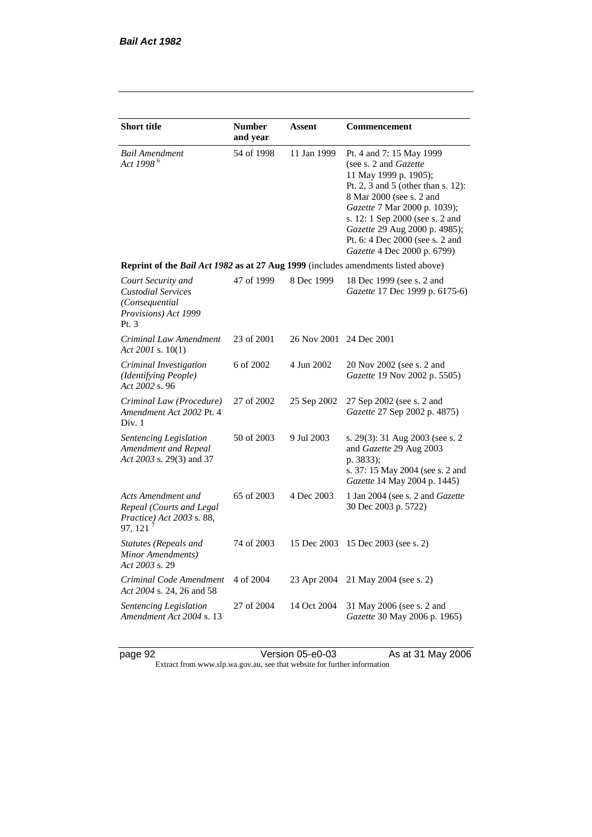| <b>Short title</b>                                                                                 | <b>Number</b><br>and year | Assent                  | Commencement                                                                                                                                                                                                                                                                                                       |  |
|----------------------------------------------------------------------------------------------------|---------------------------|-------------------------|--------------------------------------------------------------------------------------------------------------------------------------------------------------------------------------------------------------------------------------------------------------------------------------------------------------------|--|
| <b>Bail Amendment</b><br>Act 1998 <sup>6</sup>                                                     | 54 of 1998                | 11 Jan 1999             | Pt. 4 and 7: 15 May 1999<br>(see s. 2 and Gazette<br>11 May 1999 p. 1905);<br>Pt. 2, 3 and 5 (other than s. 12):<br>8 Mar 2000 (see s. 2 and<br>Gazette 7 Mar 2000 p. 1039);<br>s. 12: 1 Sep 2000 (see s. 2 and<br>Gazette 29 Aug 2000 p. 4985);<br>Pt. 6: 4 Dec 2000 (see s. 2 and<br>Gazette 4 Dec 2000 p. 6799) |  |
| Reprint of the Bail Act 1982 as at 27 Aug 1999 (includes amendments listed above)                  |                           |                         |                                                                                                                                                                                                                                                                                                                    |  |
| Court Security and<br><b>Custodial Services</b><br>(Consequential<br>Provisions) Act 1999<br>Pt. 3 | 47 of 1999                | 8 Dec 1999              | 18 Dec 1999 (see s. 2 and<br>Gazette 17 Dec 1999 p. 6175-6)                                                                                                                                                                                                                                                        |  |
| Criminal Law Amendment<br>Act 2001 s. 10(1)                                                        | 23 of 2001                | 26 Nov 2001 24 Dec 2001 |                                                                                                                                                                                                                                                                                                                    |  |
| Criminal Investigation<br>(Identifying People)<br>Act 2002 s. 96                                   | 6 of 2002                 | 4 Jun 2002              | 20 Nov 2002 (see s. 2 and<br>Gazette 19 Nov 2002 p. 5505)                                                                                                                                                                                                                                                          |  |
| Criminal Law (Procedure)<br>Amendment Act 2002 Pt. 4<br>Div. 1                                     | 27 of 2002                | 25 Sep 2002             | 27 Sep 2002 (see s. 2 and<br>Gazette 27 Sep 2002 p. 4875)                                                                                                                                                                                                                                                          |  |
| Sentencing Legislation<br>Amendment and Repeal<br>Act 2003 s. 29(3) and 37                         | 50 of 2003                | 9 Jul 2003              | s. 29(3): 31 Aug 2003 (see s. 2)<br>and Gazette 29 Aug 2003<br>p. 3833);<br>s. 37: 15 May 2004 (see s. 2 and<br>Gazette 14 May 2004 p. 1445)                                                                                                                                                                       |  |
| Acts Amendment and<br>Repeal (Courts and Legal<br>Practice) Act 2003 s. 88,<br>97, 121             | 65 of 2003                | 4 Dec 2003              | 1 Jan 2004 (see s. 2 and <i>Gazette</i><br>30 Dec 2003 p. 5722)                                                                                                                                                                                                                                                    |  |
| Statutes (Repeals and<br>Minor Amendments)<br>Act 2003 s. 29                                       | 74 of 2003                | 15 Dec 2003             | 15 Dec 2003 (see s. 2)                                                                                                                                                                                                                                                                                             |  |
| Criminal Code Amendment<br>Act 2004 s. 24, 26 and 58                                               | 4 of 2004                 | 23 Apr 2004             | 21 May 2004 (see s. 2)                                                                                                                                                                                                                                                                                             |  |
| Sentencing Legislation<br>Amendment Act 2004 s. 13                                                 | 27 of 2004                | 14 Oct 2004             | 31 May 2006 (see s. 2 and<br>Gazette 30 May 2006 p. 1965)                                                                                                                                                                                                                                                          |  |

page 92 Version 05-e0-03 As at 31 May 2006 Extract from www.slp.wa.gov.au, see that website for further information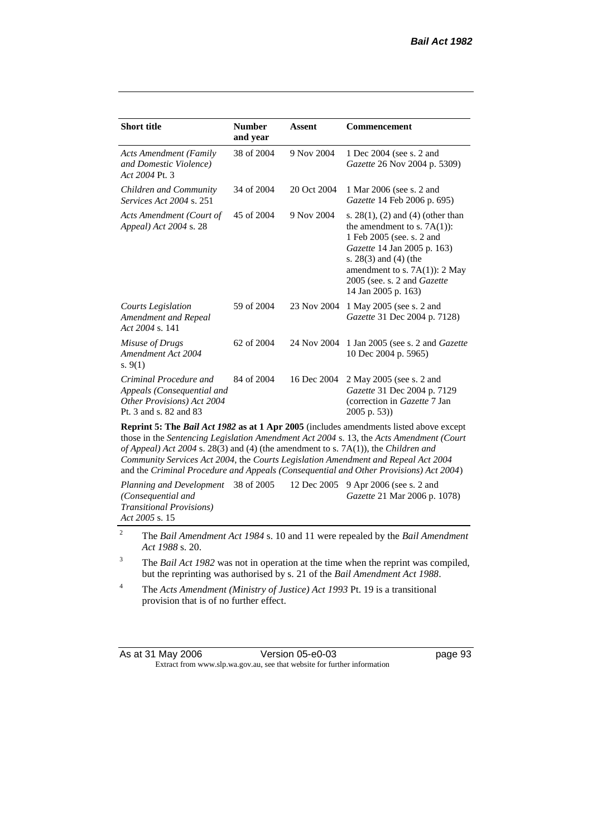| <b>Short title</b>                                                                                           | <b>Number</b><br>and year | <b>Assent</b> | <b>Commencement</b>                                                                                                                                                                                                                                     |
|--------------------------------------------------------------------------------------------------------------|---------------------------|---------------|---------------------------------------------------------------------------------------------------------------------------------------------------------------------------------------------------------------------------------------------------------|
| <b>Acts Amendment (Family</b><br>and Domestic Violence)<br>Act 2004 Pt. 3                                    | 38 of 2004                | 9 Nov 2004    | 1 Dec 2004 (see s. 2 and<br>Gazette 26 Nov 2004 p. 5309)                                                                                                                                                                                                |
| Children and Community<br><i>Services Act 2004 s. 251</i>                                                    | 34 of 2004                | 20 Oct 2004   | 1 Mar 2006 (see s. 2 and<br>Gazette 14 Feb 2006 p. 695)                                                                                                                                                                                                 |
| Acts Amendment (Court of<br>Appeal) Act 2004 s. 28                                                           | 45 of 2004                | 9 Nov 2004    | s. $28(1)$ , (2) and (4) (other than<br>the amendment to s. $7A(1)$ :<br>1 Feb 2005 (see. s. 2 and<br>Gazette 14 Jan 2005 p. 163)<br>s. $28(3)$ and $(4)$ (the<br>amendment to s. $7A(1)$ : 2 May<br>2005 (see. s. 2 and Gazette<br>14 Jan 2005 p. 163) |
| Courts Legislation<br>Amendment and Repeal<br>Act 2004 s. 141                                                | 59 of 2004                | 23 Nov 2004   | 1 May 2005 (see s. 2 and<br>Gazette 31 Dec 2004 p. 7128)                                                                                                                                                                                                |
| Misuse of Drugs<br>Amendment Act 2004<br>s. $9(1)$                                                           | 62 of 2004                | 24 Nov 2004   | 1 Jan 2005 (see s. 2 and <i>Gazette</i><br>10 Dec 2004 p. 5965)                                                                                                                                                                                         |
| Criminal Procedure and<br>Appeals (Consequential and<br>Other Provisions) Act 2004<br>Pt. 3 and s. 82 and 83 | 84 of 2004                | 16 Dec 2004   | 2 May 2005 (see s. 2 and<br>Gazette 31 Dec 2004 p. 7129<br>(correction in Gazette 7 Jan<br>$2005$ p. 53))                                                                                                                                               |
| Dopply 5. The Dail Act 1002 as at 1 Apr 2005 Gualidae amondments listed sharp specul                         |                           |               |                                                                                                                                                                                                                                                         |

**Reprint 5: The** *Bail Act 1982* **as at 1 Apr 2005** (includes amendments listed above except those in the *Sentencing Legislation Amendment Act 2004* s. 13, the *Acts Amendment (Court of Appeal) Act 2004* s. 28(3) and (4) (the amendment to s. 7A(1)), the *Children and Community Services Act 2004*, the *Courts Legislation Amendment and Repeal Act 2004* and the *Criminal Procedure and Appeals (Consequential and Other Provisions) Act 2004*)

*Planning and Development (Consequential and Transitional Provisions) Act 2005* s. 15 12 Dec 2005 9 Apr 2006 (see s. 2 and *Gazette* 21 Mar 2006 p. 1078)

<sup>2</sup> The *Bail Amendment Act 1984* s. 10 and 11 were repealed by the *Bail Amendment Act 1988* s. 20.

<sup>3</sup> The *Bail Act 1982* was not in operation at the time when the reprint was compiled, but the reprinting was authorised by s. 21 of the *Bail Amendment Act 1988*.

<sup>4</sup> The *Acts Amendment (Ministry of Justice) Act 1993* Pt. 19 is a transitional provision that is of no further effect.

| As at 31 May 2006 | Version 05-e0-03                                                         |
|-------------------|--------------------------------------------------------------------------|
|                   | Extract from www.slp.wa.gov.au, see that website for further information |

page 93